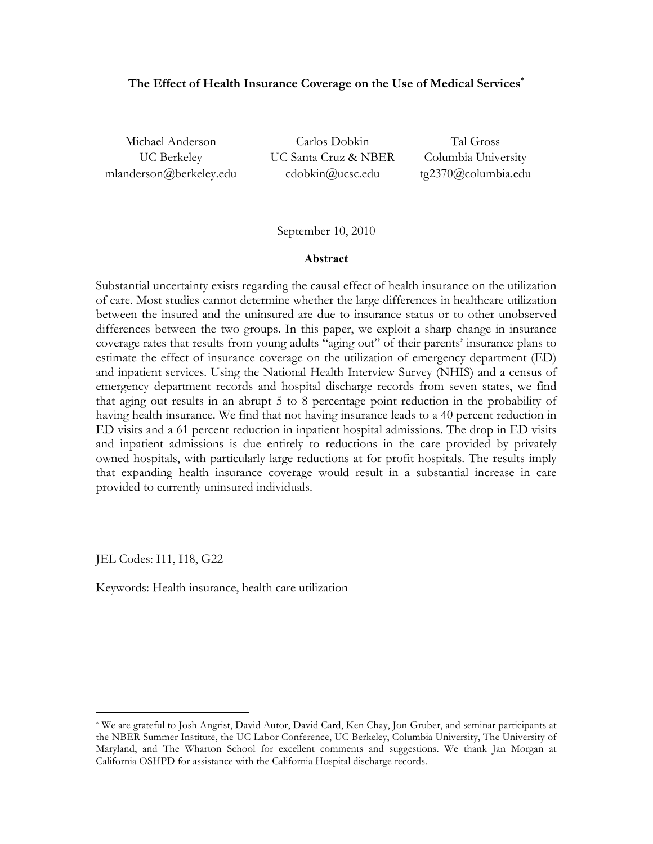## **The Effect of Health Insurance Coverage on the Use of Medical Services\***

mlanderson@berkeley.edu cdobkin@ucsc.edu tg2370@columbia.edu

Michael Anderson Carlos Dobkin Tal Gross UC Berkeley UC Santa Cruz & NBER Columbia University

September 10, 2010

#### **Abstract**

Substantial uncertainty exists regarding the causal effect of health insurance on the utilization of care. Most studies cannot determine whether the large differences in healthcare utilization between the insured and the uninsured are due to insurance status or to other unobserved differences between the two groups. In this paper, we exploit a sharp change in insurance coverage rates that results from young adults "aging out" of their parents' insurance plans to estimate the effect of insurance coverage on the utilization of emergency department (ED) and inpatient services. Using the National Health Interview Survey (NHIS) and a census of emergency department records and hospital discharge records from seven states, we find that aging out results in an abrupt 5 to 8 percentage point reduction in the probability of having health insurance. We find that not having insurance leads to a 40 percent reduction in ED visits and a 61 percent reduction in inpatient hospital admissions. The drop in ED visits and inpatient admissions is due entirely to reductions in the care provided by privately owned hospitals, with particularly large reductions at for profit hospitals. The results imply that expanding health insurance coverage would result in a substantial increase in care provided to currently uninsured individuals.

JEL Codes: I11, I18, G22

Keywords: Health insurance, health care utilization

 <sup>\*</sup> We are grateful to Josh Angrist, David Autor, David Card, Ken Chay, Jon Gruber, and seminar participants at the NBER Summer Institute, the UC Labor Conference, UC Berkeley, Columbia University, The University of Maryland, and The Wharton School for excellent comments and suggestions. We thank Jan Morgan at California OSHPD for assistance with the California Hospital discharge records.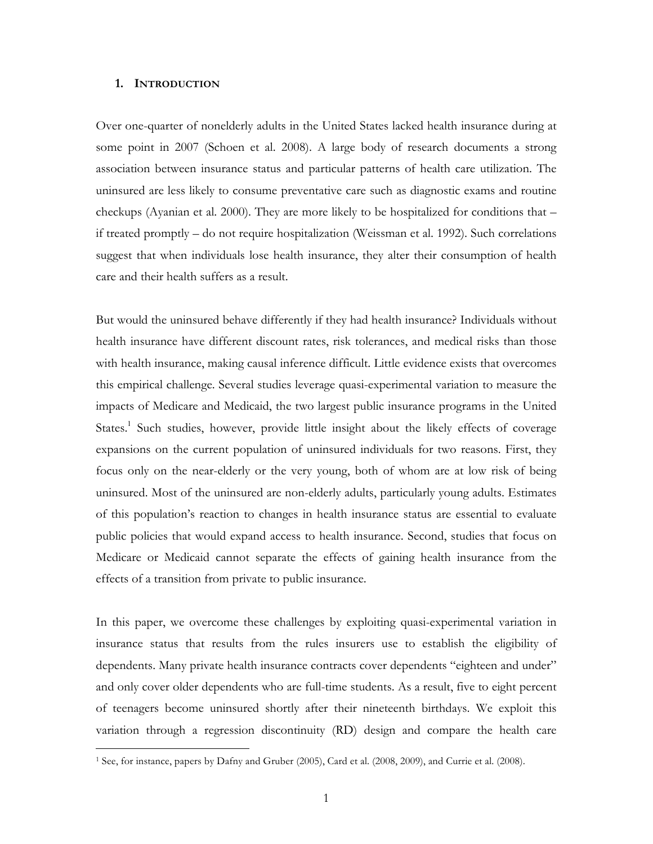#### **1. INTRODUCTION**

Over one-quarter of nonelderly adults in the United States lacked health insurance during at some point in 2007 (Schoen et al. 2008). A large body of research documents a strong association between insurance status and particular patterns of health care utilization. The uninsured are less likely to consume preventative care such as diagnostic exams and routine checkups (Ayanian et al. 2000). They are more likely to be hospitalized for conditions that – if treated promptly – do not require hospitalization (Weissman et al. 1992). Such correlations suggest that when individuals lose health insurance, they alter their consumption of health care and their health suffers as a result.

But would the uninsured behave differently if they had health insurance? Individuals without health insurance have different discount rates, risk tolerances, and medical risks than those with health insurance, making causal inference difficult. Little evidence exists that overcomes this empirical challenge. Several studies leverage quasi-experimental variation to measure the impacts of Medicare and Medicaid, the two largest public insurance programs in the United States.<sup>1</sup> Such studies, however, provide little insight about the likely effects of coverage expansions on the current population of uninsured individuals for two reasons. First, they focus only on the near-elderly or the very young, both of whom are at low risk of being uninsured. Most of the uninsured are non-elderly adults, particularly young adults. Estimates of this population's reaction to changes in health insurance status are essential to evaluate public policies that would expand access to health insurance. Second, studies that focus on Medicare or Medicaid cannot separate the effects of gaining health insurance from the effects of a transition from private to public insurance.

In this paper, we overcome these challenges by exploiting quasi-experimental variation in insurance status that results from the rules insurers use to establish the eligibility of dependents. Many private health insurance contracts cover dependents "eighteen and under" and only cover older dependents who are full-time students. As a result, five to eight percent of teenagers become uninsured shortly after their nineteenth birthdays. We exploit this variation through a regression discontinuity (RD) design and compare the health care

 <sup>1</sup> See, for instance, papers by Dafny and Gruber (2005), Card et al. (2008, 2009), and Currie et al. (2008).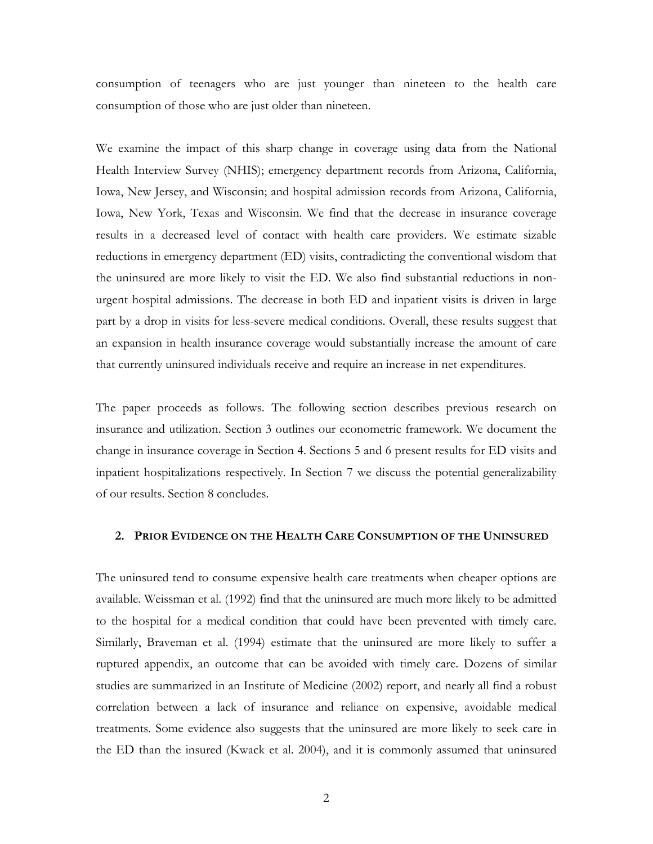consumption of teenagers who are just younger than nineteen to the health care consumption of those who are just older than nineteen.

We examine the impact of this sharp change in coverage using data from the National Health Interview Survey (NHIS); emergency department records from Arizona, California, Iowa, New Jersey, and Wisconsin; and hospital admission records from Arizona, California, Iowa, New York, Texas and Wisconsin. We find that the decrease in insurance coverage results in a decreased level of contact with health care providers. We estimate sizable reductions in emergency department (ED) visits, contradicting the conventional wisdom that the uninsured are more likely to visit the ED. We also find substantial reductions in nonurgent hospital admissions. The decrease in both ED and inpatient visits is driven in large part by a drop in visits for less-severe medical conditions. Overall, these results suggest that an expansion in health insurance coverage would substantially increase the amount of care that currently uninsured individuals receive and require an increase in net expenditures.

The paper proceeds as follows. The following section describes previous research on insurance and utilization. Section 3 outlines our econometric framework. We document the change in insurance coverage in Section 4. Sections 5 and 6 present results for ED visits and inpatient hospitalizations respectively. In Section 7 we discuss the potential generalizability of our results. Section 8 concludes.

## **2. PRIOR EVIDENCE ON THE HEALTH CARE CONSUMPTION OF THE UNINSURED**

The uninsured tend to consume expensive health care treatments when cheaper options are available. Weissman et al. (1992) find that the uninsured are much more likely to be admitted to the hospital for a medical condition that could have been prevented with timely care. Similarly, Braveman et al. (1994) estimate that the uninsured are more likely to suffer a ruptured appendix, an outcome that can be avoided with timely care. Dozens of similar studies are summarized in an Institute of Medicine (2002) report, and nearly all find a robust correlation between a lack of insurance and reliance on expensive, avoidable medical treatments. Some evidence also suggests that the uninsured are more likely to seek care in the ED than the insured (Kwack et al. 2004), and it is commonly assumed that uninsured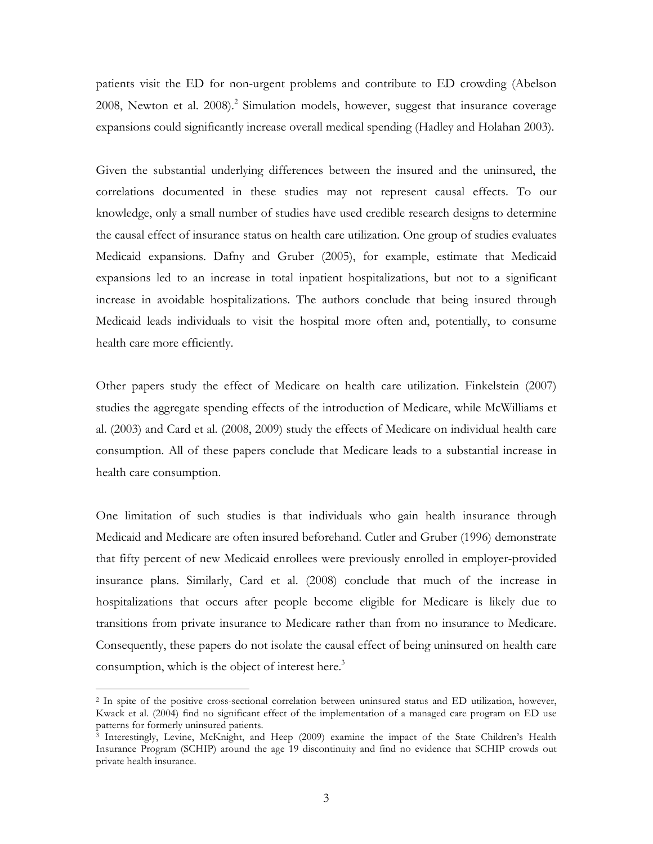patients visit the ED for non-urgent problems and contribute to ED crowding (Abelson 2008, Newton et al. 2008). 2 Simulation models, however, suggest that insurance coverage expansions could significantly increase overall medical spending (Hadley and Holahan 2003).

Given the substantial underlying differences between the insured and the uninsured, the correlations documented in these studies may not represent causal effects. To our knowledge, only a small number of studies have used credible research designs to determine the causal effect of insurance status on health care utilization. One group of studies evaluates Medicaid expansions. Dafny and Gruber (2005), for example, estimate that Medicaid expansions led to an increase in total inpatient hospitalizations, but not to a significant increase in avoidable hospitalizations. The authors conclude that being insured through Medicaid leads individuals to visit the hospital more often and, potentially, to consume health care more efficiently.

Other papers study the effect of Medicare on health care utilization. Finkelstein (2007) studies the aggregate spending effects of the introduction of Medicare, while McWilliams et al. (2003) and Card et al. (2008, 2009) study the effects of Medicare on individual health care consumption. All of these papers conclude that Medicare leads to a substantial increase in health care consumption.

One limitation of such studies is that individuals who gain health insurance through Medicaid and Medicare are often insured beforehand. Cutler and Gruber (1996) demonstrate that fifty percent of new Medicaid enrollees were previously enrolled in employer-provided insurance plans. Similarly, Card et al. (2008) conclude that much of the increase in hospitalizations that occurs after people become eligible for Medicare is likely due to transitions from private insurance to Medicare rather than from no insurance to Medicare. Consequently, these papers do not isolate the causal effect of being uninsured on health care consumption, which is the object of interest here.<sup>3</sup>

 <sup>2</sup> In spite of the positive cross-sectional correlation between uninsured status and ED utilization, however, Kwack et al. (2004) find no significant effect of the implementation of a managed care program on ED use patterns for formerly uninsured patients.

<sup>3</sup> Interestingly, Levine, McKnight, and Heep (2009) examine the impact of the State Children's Health Insurance Program (SCHIP) around the age 19 discontinuity and find no evidence that SCHIP crowds out private health insurance.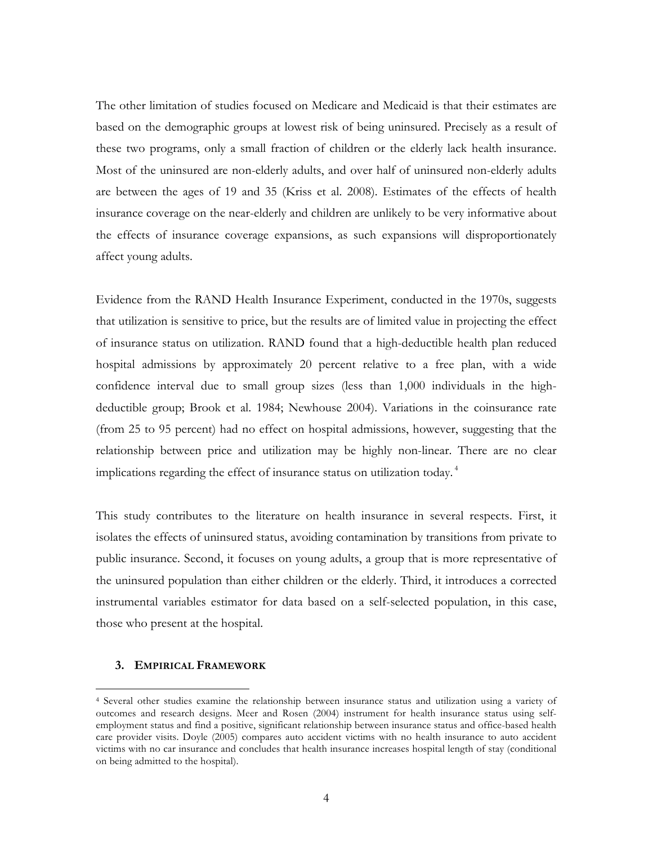The other limitation of studies focused on Medicare and Medicaid is that their estimates are based on the demographic groups at lowest risk of being uninsured. Precisely as a result of these two programs, only a small fraction of children or the elderly lack health insurance. Most of the uninsured are non-elderly adults, and over half of uninsured non-elderly adults are between the ages of 19 and 35 (Kriss et al. 2008). Estimates of the effects of health insurance coverage on the near-elderly and children are unlikely to be very informative about the effects of insurance coverage expansions, as such expansions will disproportionately affect young adults.

Evidence from the RAND Health Insurance Experiment, conducted in the 1970s, suggests that utilization is sensitive to price, but the results are of limited value in projecting the effect of insurance status on utilization. RAND found that a high-deductible health plan reduced hospital admissions by approximately 20 percent relative to a free plan, with a wide confidence interval due to small group sizes (less than 1,000 individuals in the highdeductible group; Brook et al. 1984; Newhouse 2004). Variations in the coinsurance rate (from 25 to 95 percent) had no effect on hospital admissions, however, suggesting that the relationship between price and utilization may be highly non-linear. There are no clear implications regarding the effect of insurance status on utilization today. <sup>4</sup>

This study contributes to the literature on health insurance in several respects. First, it isolates the effects of uninsured status, avoiding contamination by transitions from private to public insurance. Second, it focuses on young adults, a group that is more representative of the uninsured population than either children or the elderly. Third, it introduces a corrected instrumental variables estimator for data based on a self-selected population, in this case, those who present at the hospital.

### **3. EMPIRICAL FRAMEWORK**

 <sup>4</sup> Several other studies examine the relationship between insurance status and utilization using a variety of outcomes and research designs. Meer and Rosen (2004) instrument for health insurance status using selfemployment status and find a positive, significant relationship between insurance status and office-based health care provider visits. Doyle (2005) compares auto accident victims with no health insurance to auto accident victims with no car insurance and concludes that health insurance increases hospital length of stay (conditional on being admitted to the hospital).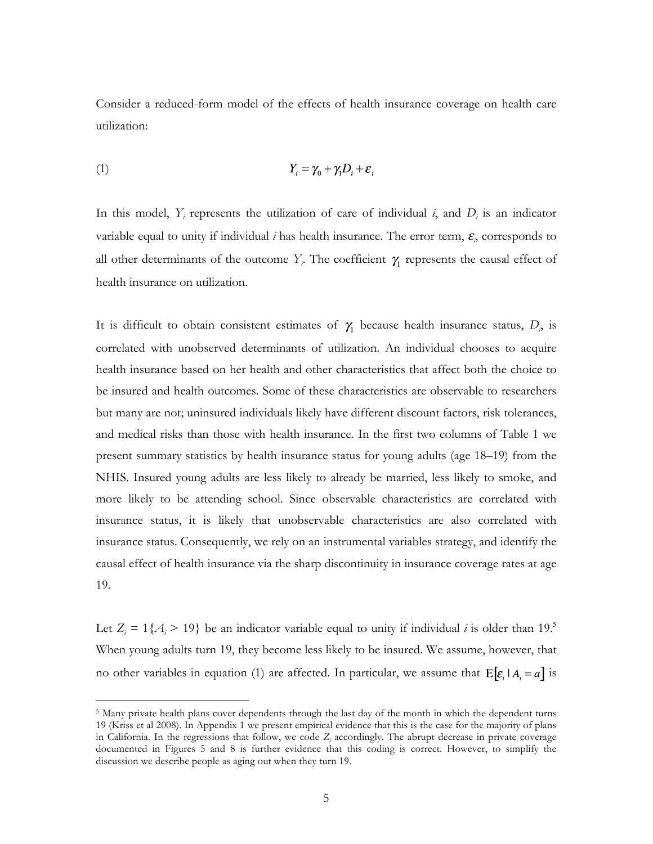Consider a reduced-form model of the effects of health insurance coverage on health care utilization:

$$
(1) \t Y_i = \gamma_0 + \gamma_1 D_i + \varepsilon_i
$$

In this model,  $Y_i$  represents the utilization of care of individual  $i$ , and  $D_i$  is an indicator variable equal to unity if individual  $i$  has health insurance. The error term,  $\varepsilon$ <sub>i</sub>, corresponds to all other determinants of the outcome  $Y_i$ . The coefficient  $\gamma_1$  represents the causal effect of health insurance on utilization.

It is difficult to obtain consistent estimates of  $\gamma_1$  because health insurance status,  $D_i$  is correlated with unobserved determinants of utilization. An individual chooses to acquire health insurance based on her health and other characteristics that affect both the choice to be insured and health outcomes. Some of these characteristics are observable to researchers but many are not; uninsured individuals likely have different discount factors, risk tolerances, and medical risks than those with health insurance. In the first two columns of Table 1 we present summary statistics by health insurance status for young adults (age 18–19) from the NHIS. Insured young adults are less likely to already be married, less likely to smoke, and more likely to be attending school. Since observable characteristics are correlated with insurance status, it is likely that unobservable characteristics are also correlated with insurance status. Consequently, we rely on an instrumental variables strategy, and identify the causal effect of health insurance via the sharp discontinuity in insurance coverage rates at age 19.

Let  $Z_i = 1\{A_i > 19\}$  be an indicator variable equal to unity if individual *i* is older than 19.<sup>5</sup> When young adults turn 19, they become less likely to be insured. We assume, however, that no other variables in equation (1) are affected. In particular, we assume that  $E[\varepsilon_i | A_i = a]$  is

<sup>&</sup>lt;sup>5</sup> Many private health plans cover dependents through the last day of the month in which the dependent turns 19 (Kriss et al 2008). In Appendix 1 we present empirical evidence that this is the case for the majority of plans in California. In the regressions that follow, we code  $Z_i$  accordingly. The abrupt decrease in private coverage documented in Figures 5 and 8 is further evidence that this coding is correct. However, to simplify the discussion we describe people as aging out when they turn 19.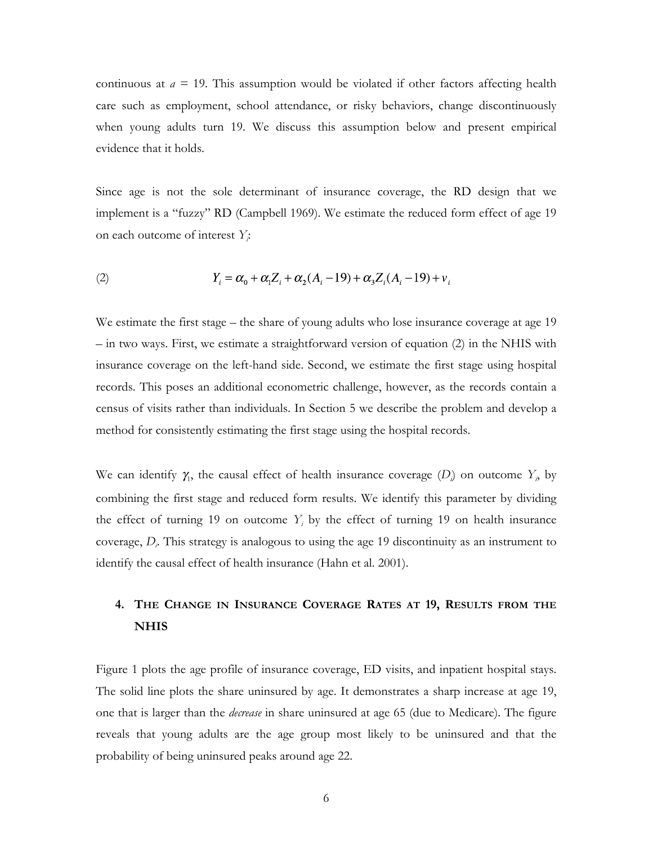continuous at  $a = 19$ . This assumption would be violated if other factors affecting health care such as employment, school attendance, or risky behaviors, change discontinuously when young adults turn 19. We discuss this assumption below and present empirical evidence that it holds.

Since age is not the sole determinant of insurance coverage, the RD design that we implement is a "fuzzy" RD (Campbell 1969). We estimate the reduced form effect of age 19 on each outcome of interest *Yi* :

(2) 
$$
Y_i = \alpha_0 + \alpha_1 Z_i + \alpha_2 (A_i - 19) + \alpha_3 Z_i (A_i - 19) + v_i
$$

We estimate the first stage – the share of young adults who lose insurance coverage at age 19 – in two ways. First, we estimate a straightforward version of equation (2) in the NHIS with insurance coverage on the left-hand side. Second, we estimate the first stage using hospital records. This poses an additional econometric challenge, however, as the records contain a census of visits rather than individuals. In Section 5 we describe the problem and develop a method for consistently estimating the first stage using the hospital records.

We can identify  $\gamma_1$ , the causal effect of health insurance coverage  $(D_i)$  on outcome  $Y_i$ , by combining the first stage and reduced form results. We identify this parameter by dividing the effect of turning 19 on outcome  $Y_i$  by the effect of turning 19 on health insurance coverage, *Di* . This strategy is analogous to using the age 19 discontinuity as an instrument to identify the causal effect of health insurance (Hahn et al. 2001).

# **4. THE CHANGE IN INSURANCE COVERAGE RATES AT 19, RESULTS FROM THE NHIS**

Figure 1 plots the age profile of insurance coverage, ED visits, and inpatient hospital stays. The solid line plots the share uninsured by age. It demonstrates a sharp increase at age 19, one that is larger than the *decrease* in share uninsured at age 65 (due to Medicare). The figure reveals that young adults are the age group most likely to be uninsured and that the probability of being uninsured peaks around age 22.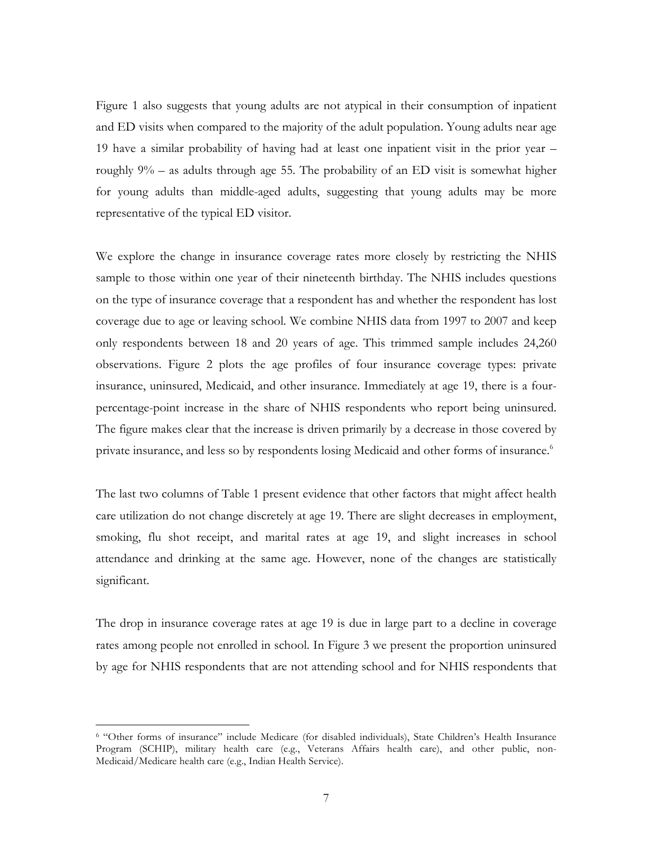Figure 1 also suggests that young adults are not atypical in their consumption of inpatient and ED visits when compared to the majority of the adult population. Young adults near age 19 have a similar probability of having had at least one inpatient visit in the prior year – roughly 9% – as adults through age 55. The probability of an ED visit is somewhat higher for young adults than middle-aged adults, suggesting that young adults may be more representative of the typical ED visitor.

We explore the change in insurance coverage rates more closely by restricting the NHIS sample to those within one year of their nineteenth birthday. The NHIS includes questions on the type of insurance coverage that a respondent has and whether the respondent has lost coverage due to age or leaving school. We combine NHIS data from 1997 to 2007 and keep only respondents between 18 and 20 years of age. This trimmed sample includes 24,260 observations. Figure 2 plots the age profiles of four insurance coverage types: private insurance, uninsured, Medicaid, and other insurance. Immediately at age 19, there is a fourpercentage-point increase in the share of NHIS respondents who report being uninsured. The figure makes clear that the increase is driven primarily by a decrease in those covered by private insurance, and less so by respondents losing Medicaid and other forms of insurance.<sup>6</sup>

The last two columns of Table 1 present evidence that other factors that might affect health care utilization do not change discretely at age 19. There are slight decreases in employment, smoking, flu shot receipt, and marital rates at age 19, and slight increases in school attendance and drinking at the same age. However, none of the changes are statistically significant.

The drop in insurance coverage rates at age 19 is due in large part to a decline in coverage rates among people not enrolled in school. In Figure 3 we present the proportion uninsured by age for NHIS respondents that are not attending school and for NHIS respondents that

 <sup>6 &</sup>quot;Other forms of insurance" include Medicare (for disabled individuals), State Children's Health Insurance Program (SCHIP), military health care (e.g., Veterans Affairs health care), and other public, non-Medicaid/Medicare health care (e.g., Indian Health Service).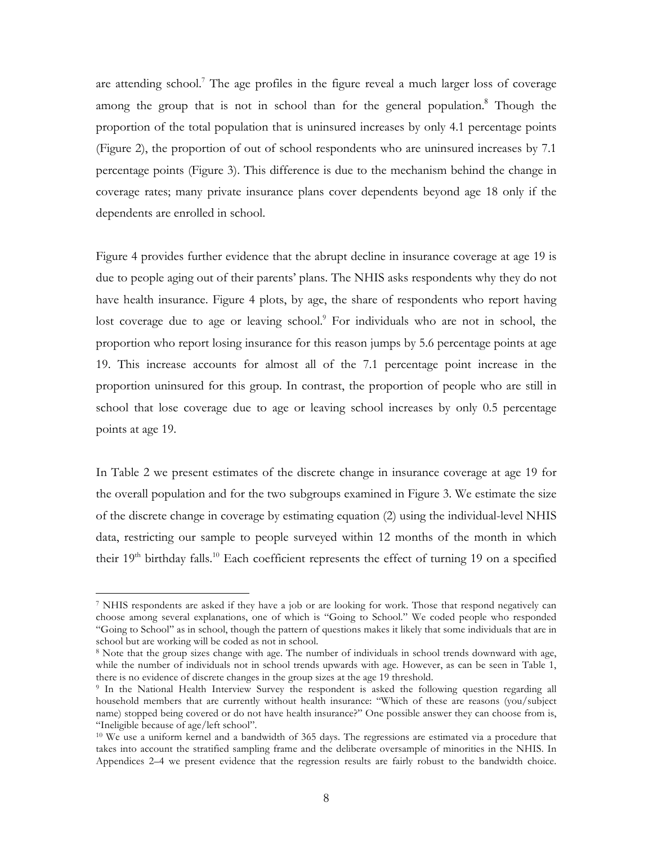are attending school.<sup>7</sup> The age profiles in the figure reveal a much larger loss of coverage among the group that is not in school than for the general population.<sup>8</sup> Though the proportion of the total population that is uninsured increases by only 4.1 percentage points (Figure 2), the proportion of out of school respondents who are uninsured increases by 7.1 percentage points (Figure 3). This difference is due to the mechanism behind the change in coverage rates; many private insurance plans cover dependents beyond age 18 only if the dependents are enrolled in school.

Figure 4 provides further evidence that the abrupt decline in insurance coverage at age 19 is due to people aging out of their parents' plans. The NHIS asks respondents why they do not have health insurance. Figure 4 plots, by age, the share of respondents who report having lost coverage due to age or leaving school.<sup>9</sup> For individuals who are not in school, the proportion who report losing insurance for this reason jumps by 5.6 percentage points at age 19. This increase accounts for almost all of the 7.1 percentage point increase in the proportion uninsured for this group. In contrast, the proportion of people who are still in school that lose coverage due to age or leaving school increases by only 0.5 percentage points at age 19.

In Table 2 we present estimates of the discrete change in insurance coverage at age 19 for the overall population and for the two subgroups examined in Figure 3. We estimate the size of the discrete change in coverage by estimating equation (2) using the individual-level NHIS data, restricting our sample to people surveyed within 12 months of the month in which their 19<sup>th</sup> birthday falls.<sup>10</sup> Each coefficient represents the effect of turning 19 on a specified

 <sup>7</sup> NHIS respondents are asked if they have a job or are looking for work. Those that respond negatively can choose among several explanations, one of which is "Going to School." We coded people who responded "Going to School" as in school, though the pattern of questions makes it likely that some individuals that are in school but are working will be coded as not in school.

<sup>8</sup> Note that the group sizes change with age. The number of individuals in school trends downward with age, while the number of individuals not in school trends upwards with age. However, as can be seen in Table 1, there is no evidence of discrete changes in the group sizes at the age 19 threshold.

<sup>9</sup> In the National Health Interview Survey the respondent is asked the following question regarding all household members that are currently without health insurance: "Which of these are reasons (you/subject name) stopped being covered or do not have health insurance?" One possible answer they can choose from is, "Ineligible because of age/left school".

<sup>10</sup> We use a uniform kernel and a bandwidth of 365 days. The regressions are estimated via a procedure that takes into account the stratified sampling frame and the deliberate oversample of minorities in the NHIS. In Appendices 2–4 we present evidence that the regression results are fairly robust to the bandwidth choice.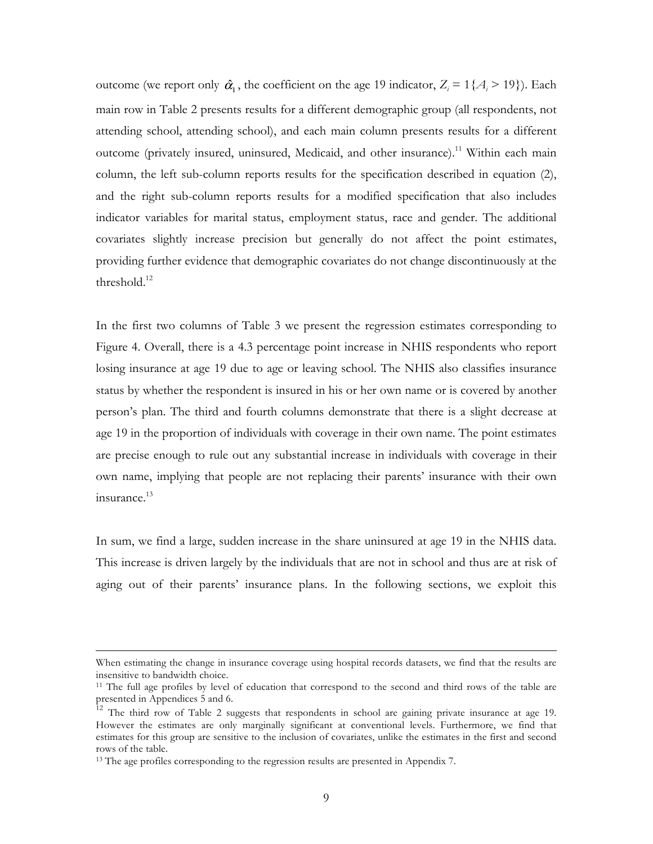outcome (we report only  $\hat{\alpha}_1$ , the coefficient on the age 19 indicator,  $Z_i = 1\{A_i > 19\}$ ). Each main row in Table 2 presents results for a different demographic group (all respondents, not attending school, attending school), and each main column presents results for a different outcome (privately insured, uninsured, Medicaid, and other insurance).<sup>11</sup> Within each main column, the left sub-column reports results for the specification described in equation (2), and the right sub-column reports results for a modified specification that also includes indicator variables for marital status, employment status, race and gender. The additional covariates slightly increase precision but generally do not affect the point estimates, providing further evidence that demographic covariates do not change discontinuously at the threshold.<sup>12</sup>

In the first two columns of Table 3 we present the regression estimates corresponding to Figure 4. Overall, there is a 4.3 percentage point increase in NHIS respondents who report losing insurance at age 19 due to age or leaving school. The NHIS also classifies insurance status by whether the respondent is insured in his or her own name or is covered by another person's plan. The third and fourth columns demonstrate that there is a slight decrease at age 19 in the proportion of individuals with coverage in their own name. The point estimates are precise enough to rule out any substantial increase in individuals with coverage in their own name, implying that people are not replacing their parents' insurance with their own  $in$ surance. $13$ 

In sum, we find a large, sudden increase in the share uninsured at age 19 in the NHIS data. This increase is driven largely by the individuals that are not in school and thus are at risk of aging out of their parents' insurance plans. In the following sections, we exploit this

When estimating the change in insurance coverage using hospital records datasets, we find that the results are insensitive to bandwidth choice.

<sup>&</sup>lt;sup>11</sup> The full age profiles by level of education that correspond to the second and third rows of the table are presented in Appendices 5 and 6.

<sup>&</sup>lt;sup>12</sup> The third row of Table 2 suggests that respondents in school are gaining private insurance at age 19. However the estimates are only marginally significant at conventional levels. Furthermore, we find that estimates for this group are sensitive to the inclusion of covariates, unlike the estimates in the first and second rows of the table.

<sup>&</sup>lt;sup>13</sup> The age profiles corresponding to the regression results are presented in Appendix 7.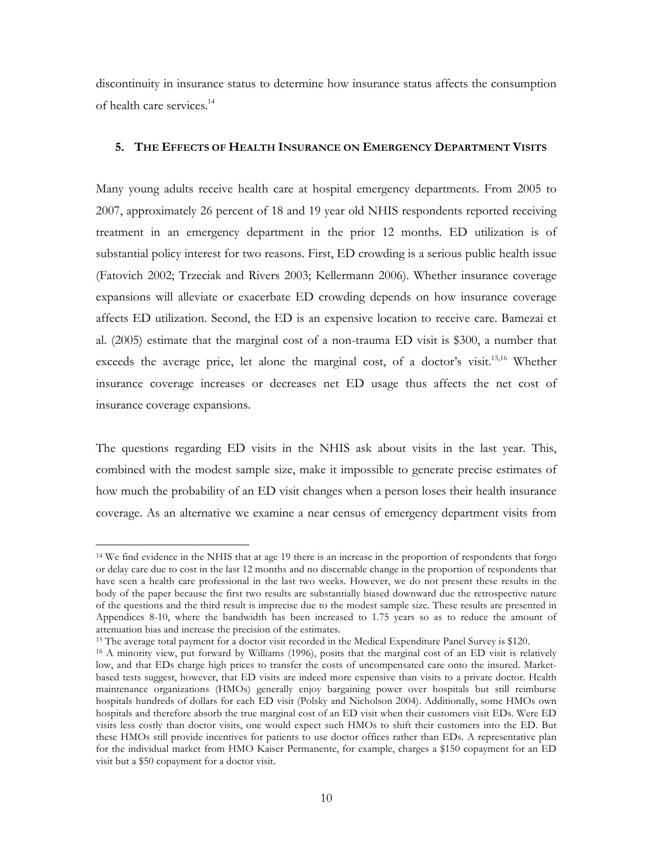discontinuity in insurance status to determine how insurance status affects the consumption of health care services.<sup>14</sup>

### **5. THE EFFECTS OF HEALTH INSURANCE ON EMERGENCY DEPARTMENT VISITS**

Many young adults receive health care at hospital emergency departments. From 2005 to 2007, approximately 26 percent of 18 and 19 year old NHIS respondents reported receiving treatment in an emergency department in the prior 12 months. ED utilization is of substantial policy interest for two reasons. First, ED crowding is a serious public health issue (Fatovich 2002; Trzeciak and Rivers 2003; Kellermann 2006). Whether insurance coverage expansions will alleviate or exacerbate ED crowding depends on how insurance coverage affects ED utilization. Second, the ED is an expensive location to receive care. Bamezai et al. (2005) estimate that the marginal cost of a non-trauma ED visit is \$300, a number that exceeds the average price, let alone the marginal cost, of a doctor's visit.<sup>15,16</sup> Whether insurance coverage increases or decreases net ED usage thus affects the net cost of insurance coverage expansions.

The questions regarding ED visits in the NHIS ask about visits in the last year. This, combined with the modest sample size, make it impossible to generate precise estimates of how much the probability of an ED visit changes when a person loses their health insurance coverage. As an alternative we examine a near census of emergency department visits from

 <sup>14</sup> We find evidence in the NHIS that at age 19 there is an increase in the proportion of respondents that forgo or delay care due to cost in the last 12 months and no discernable change in the proportion of respondents that have seen a health care professional in the last two weeks. However, we do not present these results in the body of the paper because the first two results are substantially biased downward due the retrospective nature of the questions and the third result is imprecise due to the modest sample size. These results are presented in Appendices 8-10, where the bandwidth has been increased to 1.75 years so as to reduce the amount of attenuation bias and increase the precision of the estimates.

<sup>15</sup> The average total payment for a doctor visit recorded in the Medical Expenditure Panel Survey is \$120.

<sup>16</sup> A minority view, put forward by Williams (1996), posits that the marginal cost of an ED visit is relatively low, and that EDs charge high prices to transfer the costs of uncompensated care onto the insured. Marketbased tests suggest, however, that ED visits are indeed more expensive than visits to a private doctor. Health maintenance organizations (HMOs) generally enjoy bargaining power over hospitals but still reimburse hospitals hundreds of dollars for each ED visit (Polsky and Nicholson 2004). Additionally, some HMOs own hospitals and therefore absorb the true marginal cost of an ED visit when their customers visit EDs. Were ED visits less costly than doctor visits, one would expect such HMOs to shift their customers into the ED. But these HMOs still provide incentives for patients to use doctor offices rather than EDs. A representative plan for the individual market from HMO Kaiser Permanente, for example, charges a \$150 copayment for an ED visit but a \$50 copayment for a doctor visit.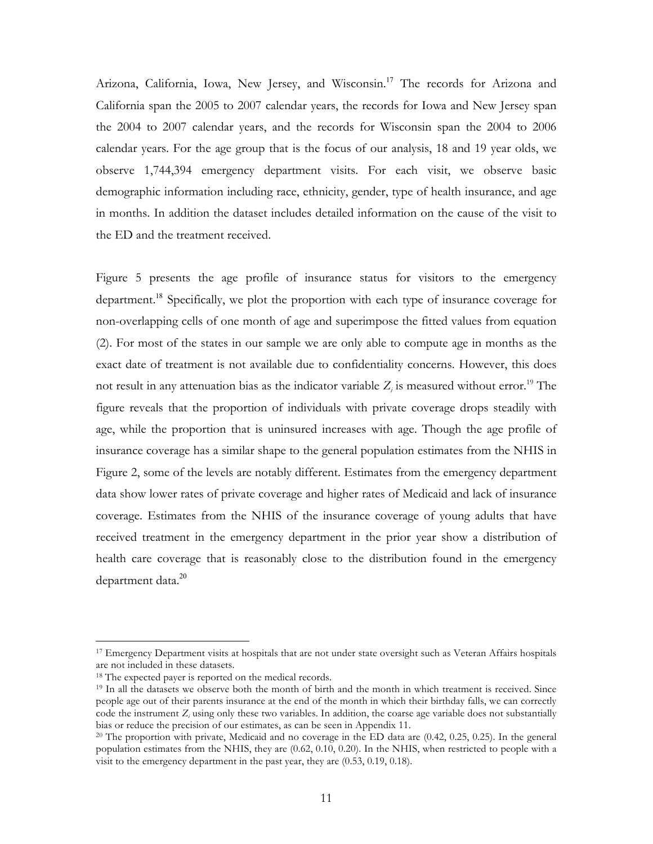Arizona, California, Iowa, New Jersey, and Wisconsin.<sup>17</sup> The records for Arizona and California span the 2005 to 2007 calendar years, the records for Iowa and New Jersey span the 2004 to 2007 calendar years, and the records for Wisconsin span the 2004 to 2006 calendar years. For the age group that is the focus of our analysis, 18 and 19 year olds, we observe 1,744,394 emergency department visits. For each visit, we observe basic demographic information including race, ethnicity, gender, type of health insurance, and age in months. In addition the dataset includes detailed information on the cause of the visit to the ED and the treatment received.

Figure 5 presents the age profile of insurance status for visitors to the emergency department.<sup>18</sup> Specifically, we plot the proportion with each type of insurance coverage for non-overlapping cells of one month of age and superimpose the fitted values from equation (2). For most of the states in our sample we are only able to compute age in months as the exact date of treatment is not available due to confidentiality concerns. However, this does not result in any attenuation bias as the indicator variable  $Z_i$  is measured without error.<sup>19</sup> The figure reveals that the proportion of individuals with private coverage drops steadily with age, while the proportion that is uninsured increases with age. Though the age profile of insurance coverage has a similar shape to the general population estimates from the NHIS in Figure 2, some of the levels are notably different. Estimates from the emergency department data show lower rates of private coverage and higher rates of Medicaid and lack of insurance coverage. Estimates from the NHIS of the insurance coverage of young adults that have received treatment in the emergency department in the prior year show a distribution of health care coverage that is reasonably close to the distribution found in the emergency department data.<sup>20</sup>

 <sup>17</sup> Emergency Department visits at hospitals that are not under state oversight such as Veteran Affairs hospitals are not included in these datasets.

<sup>18</sup> The expected payer is reported on the medical records.

<sup>&</sup>lt;sup>19</sup> In all the datasets we observe both the month of birth and the month in which treatment is received. Since people age out of their parents insurance at the end of the month in which their birthday falls, we can correctly code the instrument  $Z_i$  using only these two variables. In addition, the coarse age variable does not substantially bias or reduce the precision of our estimates, as can be seen in Appendix 11.

<sup>&</sup>lt;sup>20</sup> The proportion with private, Medicaid and no coverage in the ED data are (0.42, 0.25, 0.25). In the general population estimates from the NHIS, they are (0.62, 0.10, 0.20). In the NHIS, when restricted to people with a visit to the emergency department in the past year, they are (0.53, 0.19, 0.18).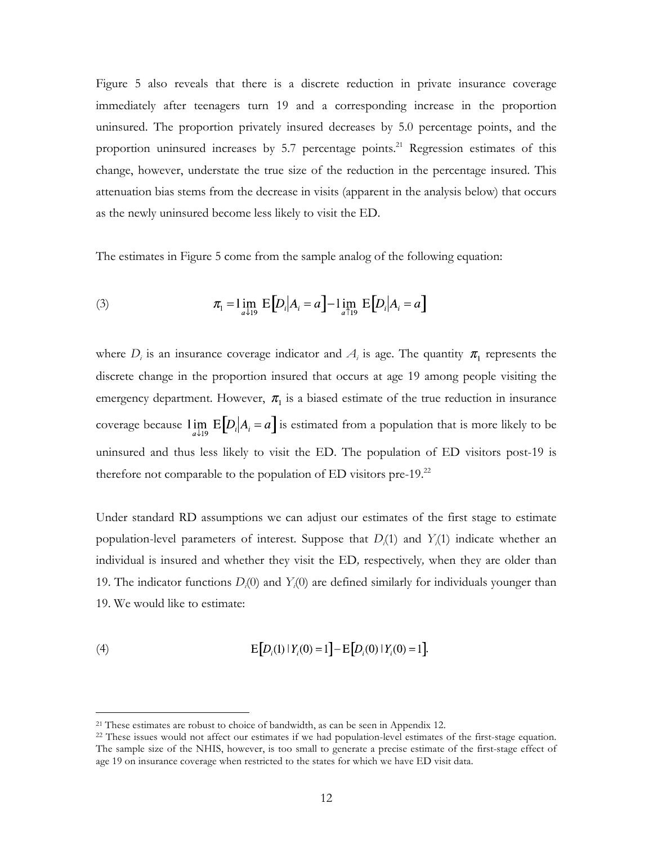Figure 5 also reveals that there is a discrete reduction in private insurance coverage immediately after teenagers turn 19 and a corresponding increase in the proportion uninsured. The proportion privately insured decreases by 5.0 percentage points, and the proportion uninsured increases by 5.7 percentage points.<sup>21</sup> Regression estimates of this change, however, understate the true size of the reduction in the percentage insured. This attenuation bias stems from the decrease in visits (apparent in the analysis below) that occurs as the newly uninsured become less likely to visit the ED.

The estimates in Figure 5 come from the sample analog of the following equation:

(3) 
$$
\pi_1 = \lim_{a \downarrow 19} E[D_i | A_i = a] - \lim_{a \uparrow 19} E[D_i | A_i = a]
$$

where  $D_i$  is an insurance coverage indicator and  $A_i$  is age. The quantity  $\pi_1$  represents the discrete change in the proportion insured that occurs at age 19 among people visiting the emergency department. However,  $\pi_1$  is a biased estimate of the true reduction in insurance coverage because  $\lim_{a \downarrow 19} E[D_i|A_i = a]$  is estimated from a population that is more likely to be uninsured and thus less likely to visit the ED. The population of ED visitors post-19 is therefore not comparable to the population of ED visitors pre-19. $^{22}$ 

Under standard RD assumptions we can adjust our estimates of the first stage to estimate population-level parameters of interest. Suppose that *Di* (1) and *Yi* (1) indicate whether an individual is insured and whether they visit the ED*,* respectively*,* when they are older than 19. The indicator functions  $D_i(0)$  and  $Y_i(0)$  are defined similarly for individuals younger than 19. We would like to estimate:

(4) 
$$
E[D_i(1) | Y_i(0) = 1] - E[D_i(0) | Y_i(0) = 1].
$$

<sup>&</sup>lt;sup>21</sup> These estimates are robust to choice of bandwidth, as can be seen in Appendix 12.

<sup>&</sup>lt;sup>22</sup> These issues would not affect our estimates if we had population-level estimates of the first-stage equation. The sample size of the NHIS, however, is too small to generate a precise estimate of the first-stage effect of age 19 on insurance coverage when restricted to the states for which we have ED visit data.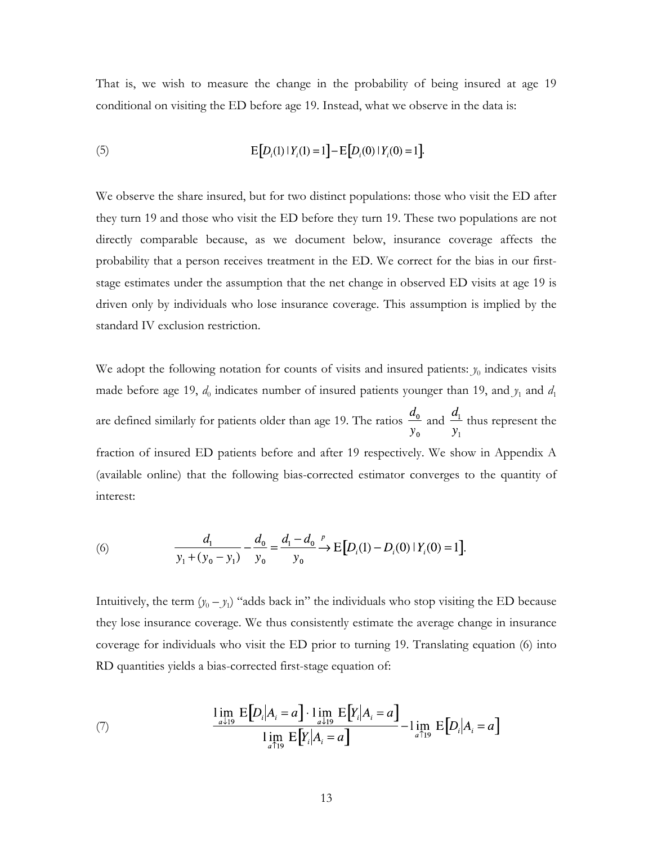That is, we wish to measure the change in the probability of being insured at age 19 conditional on visiting the ED before age 19. Instead, what we observe in the data is:

(5) 
$$
E[D_i(1) | Y_i(1) = 1] - E[D_i(0) | Y_i(0) = 1].
$$

We observe the share insured, but for two distinct populations: those who visit the ED after they turn 19 and those who visit the ED before they turn 19. These two populations are not directly comparable because, as we document below, insurance coverage affects the probability that a person receives treatment in the ED. We correct for the bias in our firststage estimates under the assumption that the net change in observed ED visits at age 19 is driven only by individuals who lose insurance coverage. This assumption is implied by the standard IV exclusion restriction.

We adopt the following notation for counts of visits and insured patients:  $y_0$  indicates visits made before age 19,  $d_0$  indicates number of insured patients younger than 19, and  $y_1$  and  $d_1$ are defined similarly for patients older than age 19. The ratios  $\frac{d_0}{y_0}$  and  $\frac{d_1}{y_1}$  thus represent the fraction of insured ED patients before and after 19 respectively. We show in Appendix A (available online) that the following bias-corrected estimator converges to the quantity of interest:

(6) 
$$
\frac{d_1}{y_1 + (y_0 - y_1)} - \frac{d_0}{y_0} = \frac{d_1 - d_0}{y_0} \xrightarrow{p} E[D_i(1) - D_i(0) | Y_i(0) = 1].
$$

Intuitively, the term  $(y_0 - y_1)$  "adds back in" the individuals who stop visiting the ED because they lose insurance coverage. We thus consistently estimate the average change in insurance coverage for individuals who visit the ED prior to turning 19. Translating equation (6) into RD quantities yields a bias-corrected first-stage equation of:

(7) 
$$
\frac{\lim_{a \downarrow 19} E[D_i|A_i = a] \cdot \lim_{a \downarrow 19} E[Y_i|A_i = a]}{\lim_{a \uparrow 19} E[Y_i|A_i = a]} - \lim_{a \uparrow 19} E[D_i|A_i = a]
$$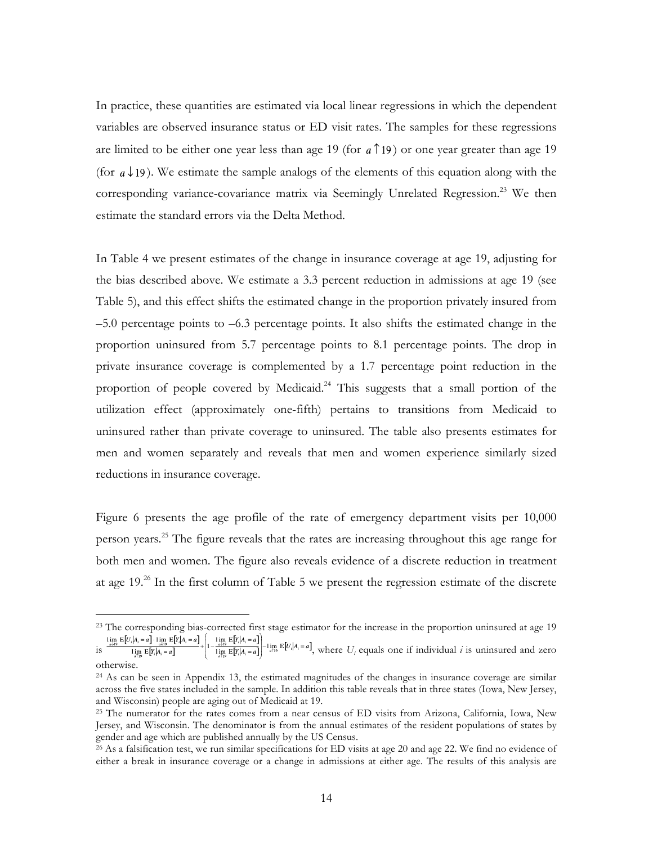In practice, these quantities are estimated via local linear regressions in which the dependent variables are observed insurance status or ED visit rates. The samples for these regressions are limited to be either one year less than age 19 (for  $a \uparrow 19$ ) or one year greater than age 19 (for  $a \downarrow 19$ ). We estimate the sample analogs of the elements of this equation along with the corresponding variance-covariance matrix via Seemingly Unrelated Regression.<sup>23</sup> We then estimate the standard errors via the Delta Method.

In Table 4 we present estimates of the change in insurance coverage at age 19, adjusting for the bias described above. We estimate a 3.3 percent reduction in admissions at age 19 (see Table 5), and this effect shifts the estimated change in the proportion privately insured from –5.0 percentage points to –6.3 percentage points. It also shifts the estimated change in the proportion uninsured from 5.7 percentage points to 8.1 percentage points. The drop in private insurance coverage is complemented by a 1.7 percentage point reduction in the proportion of people covered by Medicaid.<sup>24</sup> This suggests that a small portion of the utilization effect (approximately one-fifth) pertains to transitions from Medicaid to uninsured rather than private coverage to uninsured. The table also presents estimates for men and women separately and reveals that men and women experience similarly sized reductions in insurance coverage.

Figure 6 presents the age profile of the rate of emergency department visits per 10,000 person years.25 The figure reveals that the rates are increasing throughout this age range for both men and women. The figure also reveals evidence of a discrete reduction in treatment at age 19.26 In the first column of Table 5 we present the regression estimate of the discrete

<sup>&</sup>lt;sup>23</sup> The corresponding bias-corrected first stage estimator for the increase in the proportion uninsured at age 19

is  $\frac{1}{\lim_{n \to \infty} E[Y_i|A_i=a]}$   $+ \left[1 - \frac{1}{\lim_{n \to \infty} E[Y_i|A_i=a]} \right]^{-1} \lim_{a \to \infty} E[U_i|A_i=a]$ , where  $U_i$  equals one if individual *i* is uninsured and zero otherwise.

<sup>&</sup>lt;sup>24</sup> As can be seen in Appendix 13, the estimated magnitudes of the changes in insurance coverage are similar across the five states included in the sample. In addition this table reveals that in three states (Iowa, New Jersey, and Wisconsin) people are aging out of Medicaid at 19.

<sup>25</sup> The numerator for the rates comes from a near census of ED visits from Arizona, California, Iowa, New Jersey, and Wisconsin. The denominator is from the annual estimates of the resident populations of states by gender and age which are published annually by the US Census.

<sup>26</sup> As a falsification test, we run similar specifications for ED visits at age 20 and age 22. We find no evidence of either a break in insurance coverage or a change in admissions at either age. The results of this analysis are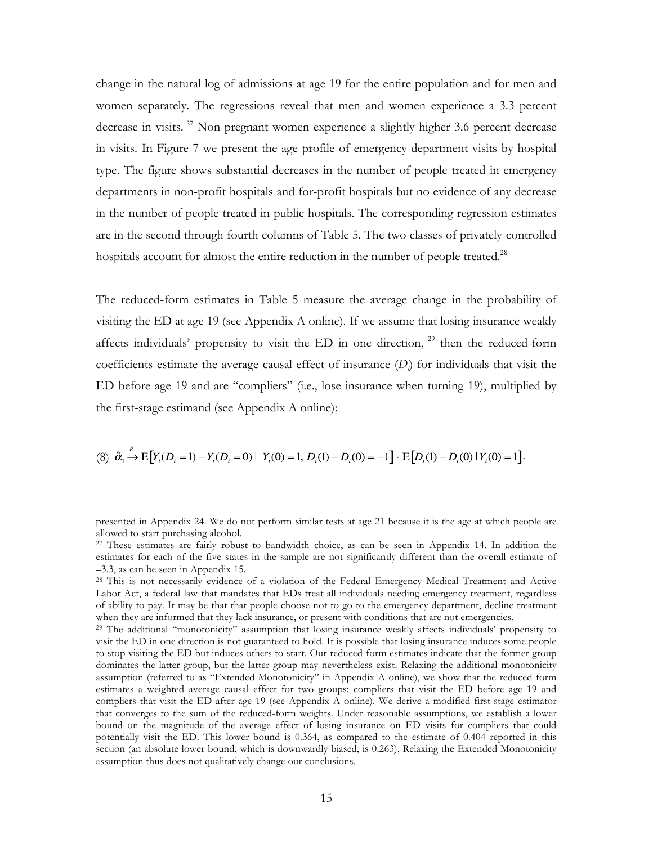change in the natural log of admissions at age 19 for the entire population and for men and women separately. The regressions reveal that men and women experience a 3.3 percent decrease in visits.<sup>27</sup> Non-pregnant women experience a slightly higher 3.6 percent decrease in visits. In Figure 7 we present the age profile of emergency department visits by hospital type. The figure shows substantial decreases in the number of people treated in emergency departments in non-profit hospitals and for-profit hospitals but no evidence of any decrease in the number of people treated in public hospitals. The corresponding regression estimates are in the second through fourth columns of Table 5. The two classes of privately-controlled hospitals account for almost the entire reduction in the number of people treated.<sup>28</sup>

The reduced-form estimates in Table 5 measure the average change in the probability of visiting the ED at age 19 (see Appendix A online). If we assume that losing insurance weakly affects individuals' propensity to visit the ED in one direction,  $29$  then the reduced-form coefficients estimate the average causal effect of insurance (*Di* ) for individuals that visit the ED before age 19 and are "compliers" (i.e., lose insurance when turning 19), multiplied by the first-stage estimand (see Appendix A online):

$$
(8) \hat{\alpha}_1 \stackrel{\nu}{\rightarrow} E\big[ Y_i(D_i = 1) - Y_i(D_i = 0) \mid Y_i(0) = 1, D_i(1) - D_i(0) = -1 \big] \cdot E\big[ D_i(1) - D_i(0) \mid Y_i(0) = 1 \big].
$$

presented in Appendix 24. We do not perform similar tests at age 21 because it is the age at which people are allowed to start purchasing alcohol.

<sup>27</sup> These estimates are fairly robust to bandwidth choice, as can be seen in Appendix 14. In addition the estimates for each of the five states in the sample are not significantly different than the overall estimate of –3.3, as can be seen in Appendix 15.

<sup>&</sup>lt;sup>28</sup> This is not necessarily evidence of a violation of the Federal Emergency Medical Treatment and Active Labor Act, a federal law that mandates that EDs treat all individuals needing emergency treatment, regardless of ability to pay. It may be that that people choose not to go to the emergency department, decline treatment when they are informed that they lack insurance, or present with conditions that are not emergencies.

<sup>&</sup>lt;sup>29</sup> The additional "monotonicity" assumption that losing insurance weakly affects individuals' propensity to visit the ED in one direction is not guaranteed to hold. It is possible that losing insurance induces some people to stop visiting the ED but induces others to start. Our reduced-form estimates indicate that the former group dominates the latter group, but the latter group may nevertheless exist. Relaxing the additional monotonicity assumption (referred to as "Extended Monotonicity" in Appendix A online), we show that the reduced form estimates a weighted average causal effect for two groups: compliers that visit the ED before age 19 and compliers that visit the ED after age 19 (see Appendix A online). We derive a modified first-stage estimator that converges to the sum of the reduced-form weights. Under reasonable assumptions, we establish a lower bound on the magnitude of the average effect of losing insurance on ED visits for compliers that could potentially visit the ED. This lower bound is 0.364, as compared to the estimate of 0.404 reported in this section (an absolute lower bound, which is downwardly biased, is 0.263). Relaxing the Extended Monotonicity assumption thus does not qualitatively change our conclusions.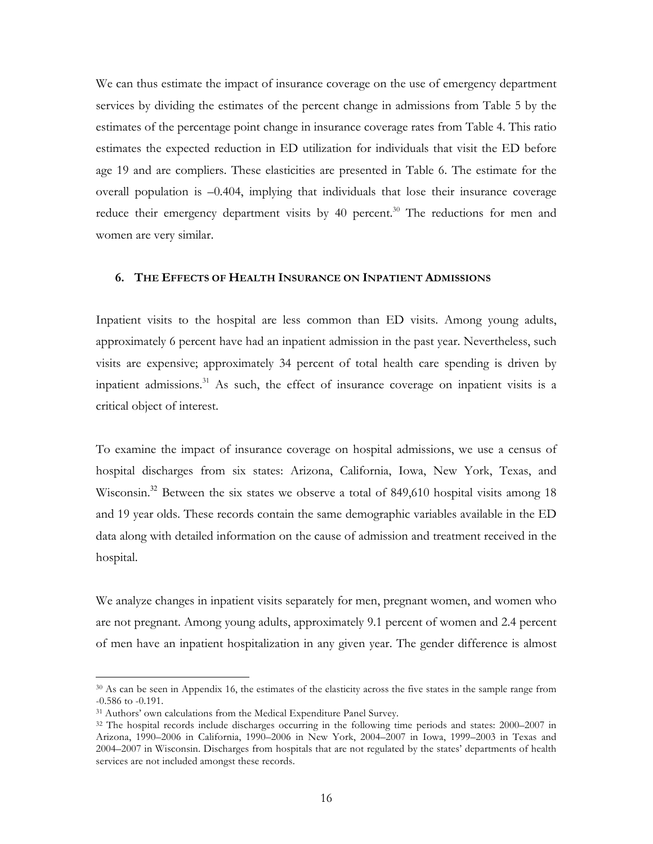We can thus estimate the impact of insurance coverage on the use of emergency department services by dividing the estimates of the percent change in admissions from Table 5 by the estimates of the percentage point change in insurance coverage rates from Table 4. This ratio estimates the expected reduction in ED utilization for individuals that visit the ED before age 19 and are compliers. These elasticities are presented in Table 6. The estimate for the overall population is –0.404, implying that individuals that lose their insurance coverage reduce their emergency department visits by 40 percent.<sup>30</sup> The reductions for men and women are very similar.

## **6. THE EFFECTS OF HEALTH INSURANCE ON INPATIENT ADMISSIONS**

Inpatient visits to the hospital are less common than ED visits. Among young adults, approximately 6 percent have had an inpatient admission in the past year. Nevertheless, such visits are expensive; approximately 34 percent of total health care spending is driven by inpatient admissions.31 As such, the effect of insurance coverage on inpatient visits is a critical object of interest.

To examine the impact of insurance coverage on hospital admissions, we use a census of hospital discharges from six states: Arizona, California, Iowa, New York, Texas, and Wisconsin.<sup>32</sup> Between the six states we observe a total of 849,610 hospital visits among 18 and 19 year olds. These records contain the same demographic variables available in the ED data along with detailed information on the cause of admission and treatment received in the hospital.

We analyze changes in inpatient visits separately for men, pregnant women, and women who are not pregnant. Among young adults, approximately 9.1 percent of women and 2.4 percent of men have an inpatient hospitalization in any given year. The gender difference is almost

 <sup>30</sup> As can be seen in Appendix 16, the estimates of the elasticity across the five states in the sample range from -0.586 to -0.191.

<sup>&</sup>lt;sup>31</sup> Authors' own calculations from the Medical Expenditure Panel Survey.

<sup>&</sup>lt;sup>32</sup> The hospital records include discharges occurring in the following time periods and states: 2000–2007 in Arizona, 1990–2006 in California, 1990–2006 in New York, 2004–2007 in Iowa, 1999–2003 in Texas and 2004–2007 in Wisconsin. Discharges from hospitals that are not regulated by the states' departments of health services are not included amongst these records.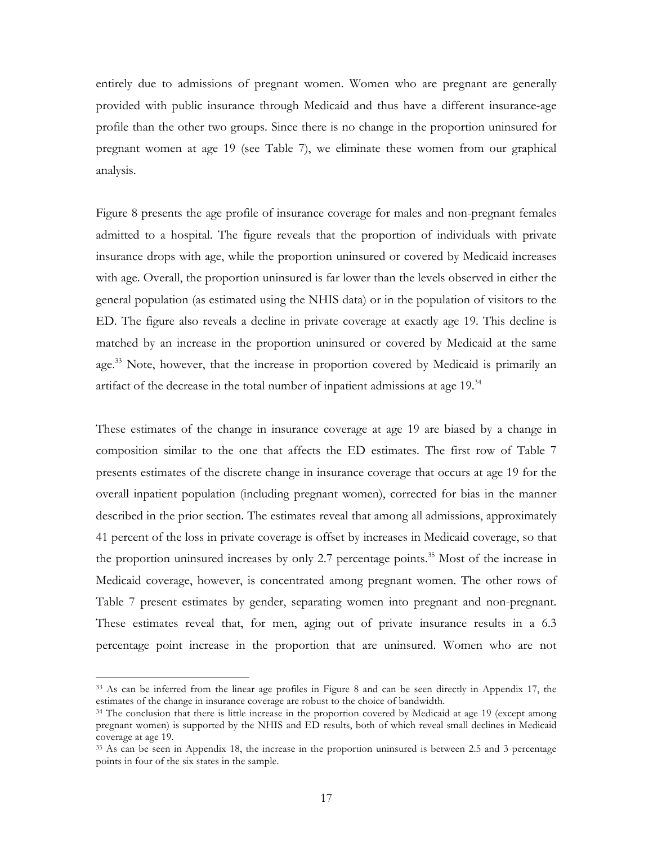entirely due to admissions of pregnant women. Women who are pregnant are generally provided with public insurance through Medicaid and thus have a different insurance-age profile than the other two groups. Since there is no change in the proportion uninsured for pregnant women at age 19 (see Table 7), we eliminate these women from our graphical analysis.

Figure 8 presents the age profile of insurance coverage for males and non-pregnant females admitted to a hospital. The figure reveals that the proportion of individuals with private insurance drops with age, while the proportion uninsured or covered by Medicaid increases with age. Overall, the proportion uninsured is far lower than the levels observed in either the general population (as estimated using the NHIS data) or in the population of visitors to the ED. The figure also reveals a decline in private coverage at exactly age 19. This decline is matched by an increase in the proportion uninsured or covered by Medicaid at the same age.<sup>33</sup> Note, however, that the increase in proportion covered by Medicaid is primarily an artifact of the decrease in the total number of inpatient admissions at age 19.<sup>34</sup>

These estimates of the change in insurance coverage at age 19 are biased by a change in composition similar to the one that affects the ED estimates. The first row of Table 7 presents estimates of the discrete change in insurance coverage that occurs at age 19 for the overall inpatient population (including pregnant women), corrected for bias in the manner described in the prior section. The estimates reveal that among all admissions, approximately 41 percent of the loss in private coverage is offset by increases in Medicaid coverage, so that the proportion uninsured increases by only 2.7 percentage points.<sup>35</sup> Most of the increase in Medicaid coverage, however, is concentrated among pregnant women. The other rows of Table 7 present estimates by gender, separating women into pregnant and non-pregnant. These estimates reveal that, for men, aging out of private insurance results in a 6.3 percentage point increase in the proportion that are uninsured. Women who are not

 <sup>33</sup> As can be inferred from the linear age profiles in Figure 8 and can be seen directly in Appendix 17, the estimates of the change in insurance coverage are robust to the choice of bandwidth.

<sup>&</sup>lt;sup>34</sup> The conclusion that there is little increase in the proportion covered by Medicaid at age 19 (except among pregnant women) is supported by the NHIS and ED results, both of which reveal small declines in Medicaid coverage at age 19.

<sup>35</sup> As can be seen in Appendix 18, the increase in the proportion uninsured is between 2.5 and 3 percentage points in four of the six states in the sample.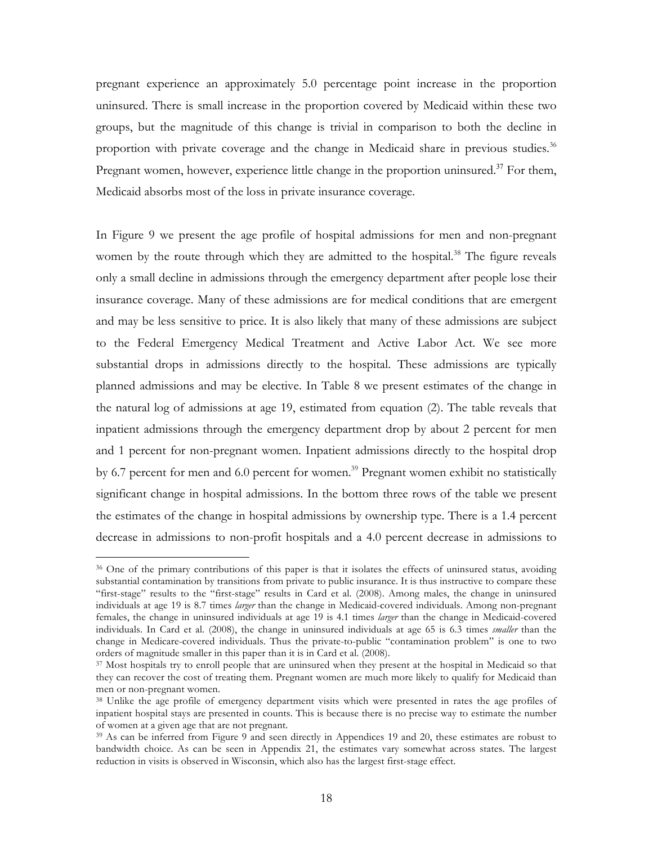pregnant experience an approximately 5.0 percentage point increase in the proportion uninsured. There is small increase in the proportion covered by Medicaid within these two groups, but the magnitude of this change is trivial in comparison to both the decline in proportion with private coverage and the change in Medicaid share in previous studies.<sup>36</sup> Pregnant women, however, experience little change in the proportion uninsured.<sup>37</sup> For them, Medicaid absorbs most of the loss in private insurance coverage.

In Figure 9 we present the age profile of hospital admissions for men and non-pregnant women by the route through which they are admitted to the hospital.<sup>38</sup> The figure reveals only a small decline in admissions through the emergency department after people lose their insurance coverage. Many of these admissions are for medical conditions that are emergent and may be less sensitive to price. It is also likely that many of these admissions are subject to the Federal Emergency Medical Treatment and Active Labor Act. We see more substantial drops in admissions directly to the hospital. These admissions are typically planned admissions and may be elective. In Table 8 we present estimates of the change in the natural log of admissions at age 19, estimated from equation (2). The table reveals that inpatient admissions through the emergency department drop by about 2 percent for men and 1 percent for non-pregnant women. Inpatient admissions directly to the hospital drop by 6.7 percent for men and 6.0 percent for women.<sup>39</sup> Pregnant women exhibit no statistically significant change in hospital admissions. In the bottom three rows of the table we present the estimates of the change in hospital admissions by ownership type. There is a 1.4 percent decrease in admissions to non-profit hospitals and a 4.0 percent decrease in admissions to

 <sup>36</sup> One of the primary contributions of this paper is that it isolates the effects of uninsured status, avoiding substantial contamination by transitions from private to public insurance. It is thus instructive to compare these "first-stage" results to the "first-stage" results in Card et al. (2008). Among males, the change in uninsured individuals at age 19 is 8.7 times *larger* than the change in Medicaid-covered individuals. Among non-pregnant females, the change in uninsured individuals at age 19 is 4.1 times *larger* than the change in Medicaid-covered individuals. In Card et al. (2008), the change in uninsured individuals at age 65 is 6.3 times *smaller* than the change in Medicare-covered individuals. Thus the private-to-public "contamination problem" is one to two orders of magnitude smaller in this paper than it is in Card et al. (2008).

<sup>&</sup>lt;sup>37</sup> Most hospitals try to enroll people that are uninsured when they present at the hospital in Medicaid so that they can recover the cost of treating them. Pregnant women are much more likely to qualify for Medicaid than men or non-pregnant women.

<sup>38</sup> Unlike the age profile of emergency department visits which were presented in rates the age profiles of inpatient hospital stays are presented in counts. This is because there is no precise way to estimate the number of women at a given age that are not pregnant.

<sup>&</sup>lt;sup>39</sup> As can be inferred from Figure 9 and seen directly in Appendices 19 and 20, these estimates are robust to bandwidth choice. As can be seen in Appendix 21, the estimates vary somewhat across states. The largest reduction in visits is observed in Wisconsin, which also has the largest first-stage effect.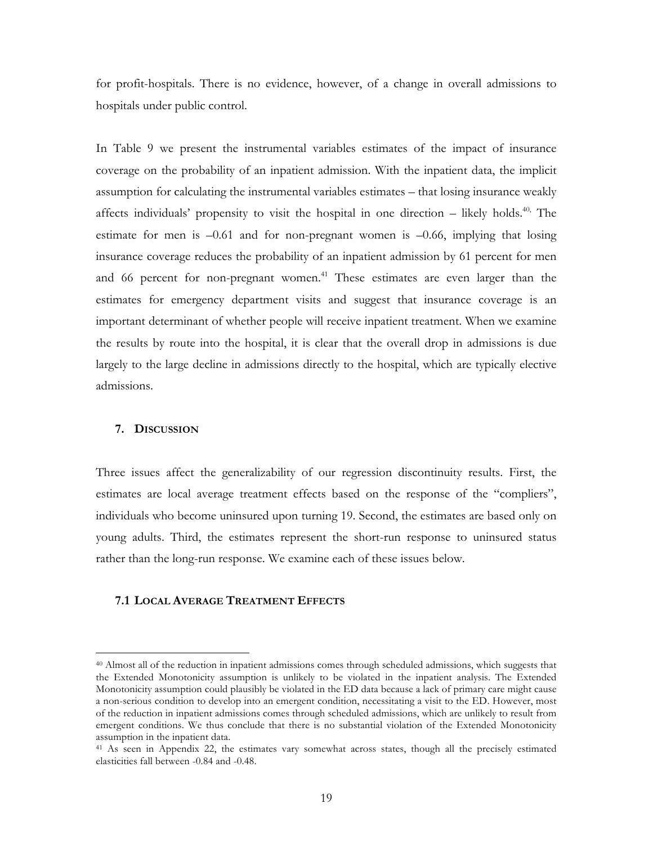for profit-hospitals. There is no evidence, however, of a change in overall admissions to hospitals under public control.

In Table 9 we present the instrumental variables estimates of the impact of insurance coverage on the probability of an inpatient admission. With the inpatient data, the implicit assumption for calculating the instrumental variables estimates – that losing insurance weakly affects individuals' propensity to visit the hospital in one direction  $-$  likely holds.<sup>40,</sup> The estimate for men is  $-0.61$  and for non-pregnant women is  $-0.66$ , implying that losing insurance coverage reduces the probability of an inpatient admission by 61 percent for men and 66 percent for non-pregnant women. 41 These estimates are even larger than the estimates for emergency department visits and suggest that insurance coverage is an important determinant of whether people will receive inpatient treatment. When we examine the results by route into the hospital, it is clear that the overall drop in admissions is due largely to the large decline in admissions directly to the hospital, which are typically elective admissions.

#### **7. DISCUSSION**

Three issues affect the generalizability of our regression discontinuity results. First, the estimates are local average treatment effects based on the response of the "compliers", individuals who become uninsured upon turning 19. Second, the estimates are based only on young adults. Third, the estimates represent the short-run response to uninsured status rather than the long-run response. We examine each of these issues below.

## **7.1 LOCAL AVERAGE TREATMENT EFFECTS**

 <sup>40</sup> Almost all of the reduction in inpatient admissions comes through scheduled admissions, which suggests that the Extended Monotonicity assumption is unlikely to be violated in the inpatient analysis. The Extended Monotonicity assumption could plausibly be violated in the ED data because a lack of primary care might cause a non-serious condition to develop into an emergent condition, necessitating a visit to the ED. However, most of the reduction in inpatient admissions comes through scheduled admissions, which are unlikely to result from emergent conditions. We thus conclude that there is no substantial violation of the Extended Monotonicity assumption in the inpatient data.

<sup>41</sup> As seen in Appendix 22, the estimates vary somewhat across states, though all the precisely estimated elasticities fall between -0.84 and -0.48.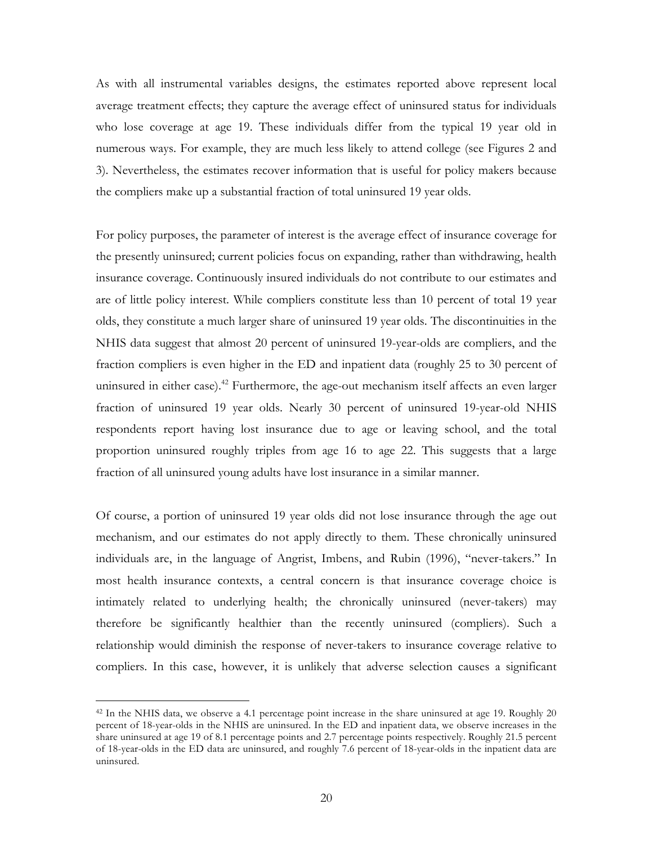As with all instrumental variables designs, the estimates reported above represent local average treatment effects; they capture the average effect of uninsured status for individuals who lose coverage at age 19. These individuals differ from the typical 19 year old in numerous ways. For example, they are much less likely to attend college (see Figures 2 and 3). Nevertheless, the estimates recover information that is useful for policy makers because the compliers make up a substantial fraction of total uninsured 19 year olds.

For policy purposes, the parameter of interest is the average effect of insurance coverage for the presently uninsured; current policies focus on expanding, rather than withdrawing, health insurance coverage. Continuously insured individuals do not contribute to our estimates and are of little policy interest. While compliers constitute less than 10 percent of total 19 year olds, they constitute a much larger share of uninsured 19 year olds. The discontinuities in the NHIS data suggest that almost 20 percent of uninsured 19-year-olds are compliers, and the fraction compliers is even higher in the ED and inpatient data (roughly 25 to 30 percent of uninsured in either case).<sup>42</sup> Furthermore, the age-out mechanism itself affects an even larger fraction of uninsured 19 year olds. Nearly 30 percent of uninsured 19-year-old NHIS respondents report having lost insurance due to age or leaving school, and the total proportion uninsured roughly triples from age 16 to age 22. This suggests that a large fraction of all uninsured young adults have lost insurance in a similar manner.

Of course, a portion of uninsured 19 year olds did not lose insurance through the age out mechanism, and our estimates do not apply directly to them. These chronically uninsured individuals are, in the language of Angrist, Imbens, and Rubin (1996), "never-takers." In most health insurance contexts, a central concern is that insurance coverage choice is intimately related to underlying health; the chronically uninsured (never-takers) may therefore be significantly healthier than the recently uninsured (compliers). Such a relationship would diminish the response of never-takers to insurance coverage relative to compliers. In this case, however, it is unlikely that adverse selection causes a significant

<sup>&</sup>lt;sup>42</sup> In the NHIS data, we observe a 4.1 percentage point increase in the share uninsured at age 19. Roughly 20 percent of 18-year-olds in the NHIS are uninsured. In the ED and inpatient data, we observe increases in the share uninsured at age 19 of 8.1 percentage points and 2.7 percentage points respectively. Roughly 21.5 percent of 18-year-olds in the ED data are uninsured, and roughly 7.6 percent of 18-year-olds in the inpatient data are uninsured.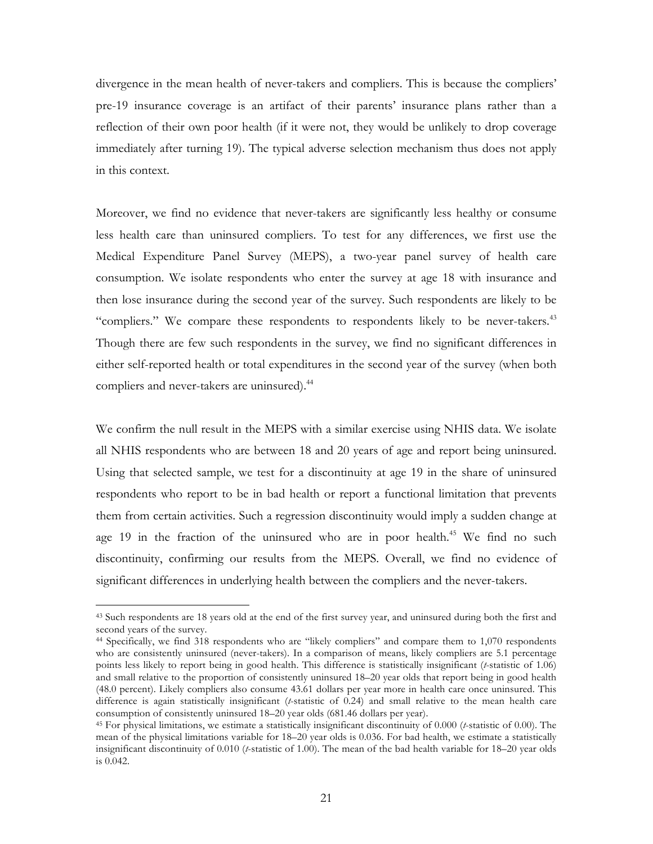divergence in the mean health of never-takers and compliers. This is because the compliers' pre-19 insurance coverage is an artifact of their parents' insurance plans rather than a reflection of their own poor health (if it were not, they would be unlikely to drop coverage immediately after turning 19). The typical adverse selection mechanism thus does not apply in this context.

Moreover, we find no evidence that never-takers are significantly less healthy or consume less health care than uninsured compliers. To test for any differences, we first use the Medical Expenditure Panel Survey (MEPS), a two-year panel survey of health care consumption. We isolate respondents who enter the survey at age 18 with insurance and then lose insurance during the second year of the survey. Such respondents are likely to be "compliers." We compare these respondents to respondents likely to be never-takers.<sup>43</sup> Though there are few such respondents in the survey, we find no significant differences in either self-reported health or total expenditures in the second year of the survey (when both compliers and never-takers are uninsured).<sup>44</sup>

We confirm the null result in the MEPS with a similar exercise using NHIS data. We isolate all NHIS respondents who are between 18 and 20 years of age and report being uninsured. Using that selected sample, we test for a discontinuity at age 19 in the share of uninsured respondents who report to be in bad health or report a functional limitation that prevents them from certain activities. Such a regression discontinuity would imply a sudden change at age 19 in the fraction of the uninsured who are in poor health.<sup>45</sup> We find no such discontinuity, confirming our results from the MEPS. Overall, we find no evidence of significant differences in underlying health between the compliers and the never-takers.

<sup>&</sup>lt;sup>43</sup> Such respondents are 18 years old at the end of the first survey year, and uninsured during both the first and second years of the survey.

<sup>44</sup> Specifically, we find 318 respondents who are "likely compliers" and compare them to 1,070 respondents who are consistently uninsured (never-takers). In a comparison of means, likely compliers are 5.1 percentage points less likely to report being in good health. This difference is statistically insignificant (*t*-statistic of 1.06) and small relative to the proportion of consistently uninsured 18–20 year olds that report being in good health (48.0 percent). Likely compliers also consume 43.61 dollars per year more in health care once uninsured. This difference is again statistically insignificant (*t*-statistic of 0.24) and small relative to the mean health care consumption of consistently uninsured 18–20 year olds (681.46 dollars per year).

<sup>45</sup> For physical limitations, we estimate a statistically insignificant discontinuity of 0.000 (*t*-statistic of 0.00). The mean of the physical limitations variable for 18–20 year olds is 0.036. For bad health, we estimate a statistically insignificant discontinuity of 0.010 (*t*-statistic of 1.00). The mean of the bad health variable for 18–20 year olds is 0.042.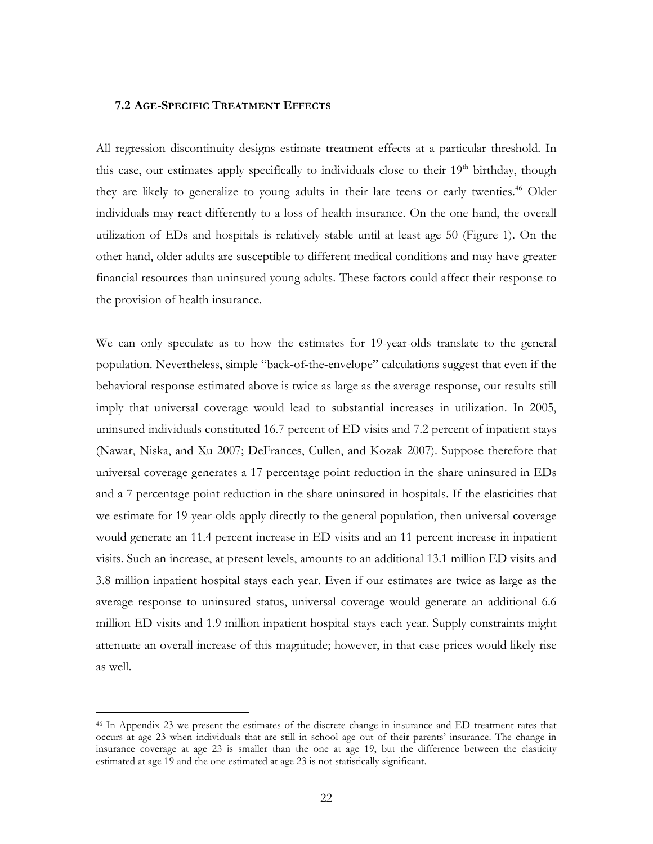## **7.2 AGE-SPECIFIC TREATMENT EFFECTS**

All regression discontinuity designs estimate treatment effects at a particular threshold. In this case, our estimates apply specifically to individuals close to their  $19<sup>th</sup>$  birthday, though they are likely to generalize to young adults in their late teens or early twenties.<sup>46</sup> Older individuals may react differently to a loss of health insurance. On the one hand, the overall utilization of EDs and hospitals is relatively stable until at least age 50 (Figure 1). On the other hand, older adults are susceptible to different medical conditions and may have greater financial resources than uninsured young adults. These factors could affect their response to the provision of health insurance.

We can only speculate as to how the estimates for 19-year-olds translate to the general population. Nevertheless, simple "back-of-the-envelope" calculations suggest that even if the behavioral response estimated above is twice as large as the average response, our results still imply that universal coverage would lead to substantial increases in utilization. In 2005, uninsured individuals constituted 16.7 percent of ED visits and 7.2 percent of inpatient stays (Nawar, Niska, and Xu 2007; DeFrances, Cullen, and Kozak 2007). Suppose therefore that universal coverage generates a 17 percentage point reduction in the share uninsured in EDs and a 7 percentage point reduction in the share uninsured in hospitals. If the elasticities that we estimate for 19-year-olds apply directly to the general population, then universal coverage would generate an 11.4 percent increase in ED visits and an 11 percent increase in inpatient visits. Such an increase, at present levels, amounts to an additional 13.1 million ED visits and 3.8 million inpatient hospital stays each year. Even if our estimates are twice as large as the average response to uninsured status, universal coverage would generate an additional 6.6 million ED visits and 1.9 million inpatient hospital stays each year. Supply constraints might attenuate an overall increase of this magnitude; however, in that case prices would likely rise as well.

 <sup>46</sup> In Appendix 23 we present the estimates of the discrete change in insurance and ED treatment rates that occurs at age 23 when individuals that are still in school age out of their parents' insurance. The change in insurance coverage at age 23 is smaller than the one at age 19, but the difference between the elasticity estimated at age 19 and the one estimated at age 23 is not statistically significant.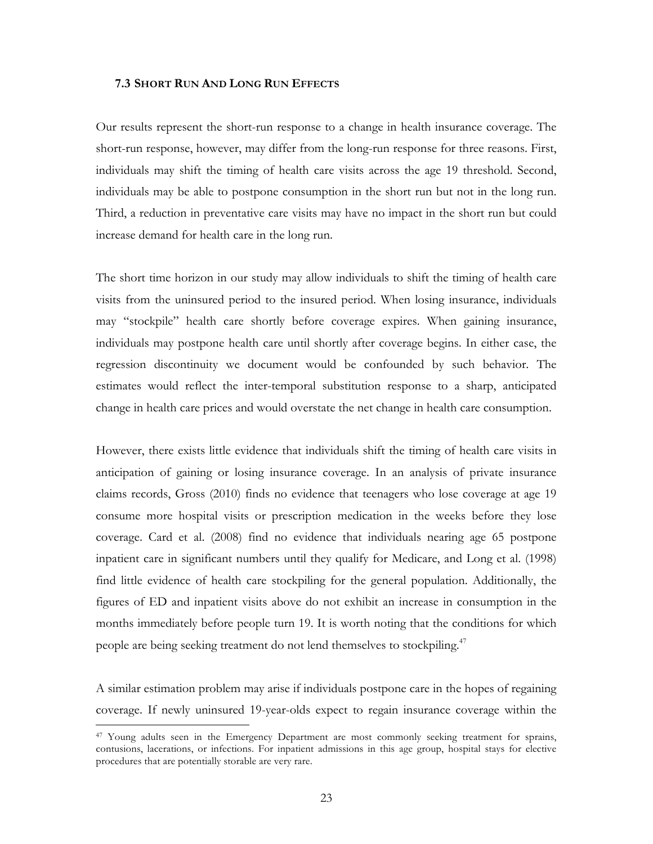#### **7.3 SHORT RUN AND LONG RUN EFFECTS**

Our results represent the short-run response to a change in health insurance coverage. The short-run response, however, may differ from the long-run response for three reasons. First, individuals may shift the timing of health care visits across the age 19 threshold. Second, individuals may be able to postpone consumption in the short run but not in the long run. Third, a reduction in preventative care visits may have no impact in the short run but could increase demand for health care in the long run.

The short time horizon in our study may allow individuals to shift the timing of health care visits from the uninsured period to the insured period. When losing insurance, individuals may "stockpile" health care shortly before coverage expires. When gaining insurance, individuals may postpone health care until shortly after coverage begins. In either case, the regression discontinuity we document would be confounded by such behavior. The estimates would reflect the inter-temporal substitution response to a sharp, anticipated change in health care prices and would overstate the net change in health care consumption.

However, there exists little evidence that individuals shift the timing of health care visits in anticipation of gaining or losing insurance coverage. In an analysis of private insurance claims records, Gross (2010) finds no evidence that teenagers who lose coverage at age 19 consume more hospital visits or prescription medication in the weeks before they lose coverage. Card et al. (2008) find no evidence that individuals nearing age 65 postpone inpatient care in significant numbers until they qualify for Medicare, and Long et al. (1998) find little evidence of health care stockpiling for the general population. Additionally, the figures of ED and inpatient visits above do not exhibit an increase in consumption in the months immediately before people turn 19. It is worth noting that the conditions for which people are being seeking treatment do not lend themselves to stockpiling.<sup>47</sup>

A similar estimation problem may arise if individuals postpone care in the hopes of regaining coverage. If newly uninsured 19-year-olds expect to regain insurance coverage within the

 <sup>47</sup> Young adults seen in the Emergency Department are most commonly seeking treatment for sprains, contusions, lacerations, or infections. For inpatient admissions in this age group, hospital stays for elective procedures that are potentially storable are very rare.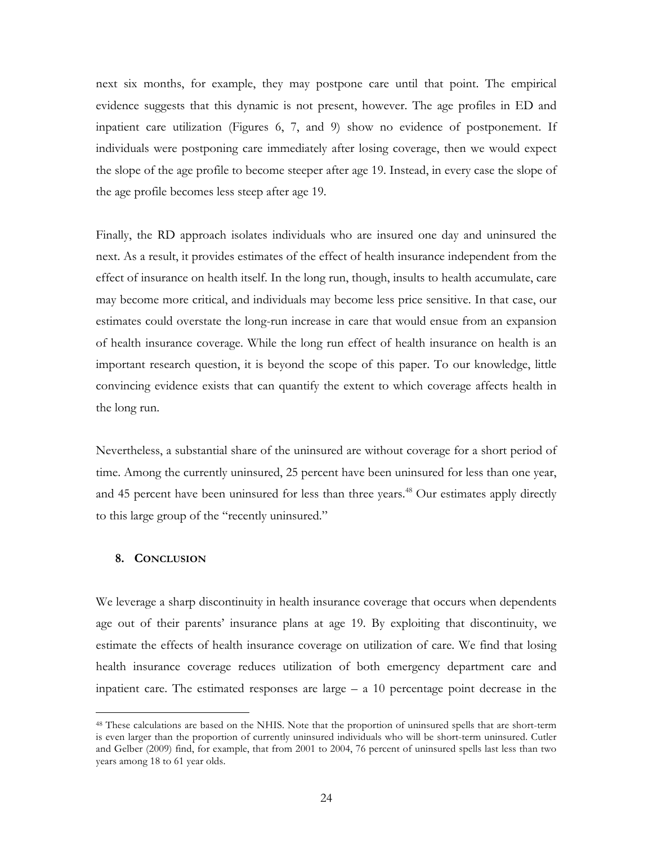next six months, for example, they may postpone care until that point. The empirical evidence suggests that this dynamic is not present, however. The age profiles in ED and inpatient care utilization (Figures 6, 7, and 9) show no evidence of postponement. If individuals were postponing care immediately after losing coverage, then we would expect the slope of the age profile to become steeper after age 19. Instead, in every case the slope of the age profile becomes less steep after age 19.

Finally, the RD approach isolates individuals who are insured one day and uninsured the next. As a result, it provides estimates of the effect of health insurance independent from the effect of insurance on health itself. In the long run, though, insults to health accumulate, care may become more critical, and individuals may become less price sensitive. In that case, our estimates could overstate the long-run increase in care that would ensue from an expansion of health insurance coverage. While the long run effect of health insurance on health is an important research question, it is beyond the scope of this paper. To our knowledge, little convincing evidence exists that can quantify the extent to which coverage affects health in the long run.

Nevertheless, a substantial share of the uninsured are without coverage for a short period of time. Among the currently uninsured, 25 percent have been uninsured for less than one year, and 45 percent have been uninsured for less than three years.<sup>48</sup> Our estimates apply directly to this large group of the "recently uninsured."

#### **8. CONCLUSION**

We leverage a sharp discontinuity in health insurance coverage that occurs when dependents age out of their parents' insurance plans at age 19. By exploiting that discontinuity, we estimate the effects of health insurance coverage on utilization of care. We find that losing health insurance coverage reduces utilization of both emergency department care and inpatient care. The estimated responses are large  $- a 10$  percentage point decrease in the

<sup>&</sup>lt;sup>48</sup> These calculations are based on the NHIS. Note that the proportion of uninsured spells that are short-term is even larger than the proportion of currently uninsured individuals who will be short-term uninsured. Cutler and Gelber (2009) find, for example, that from 2001 to 2004, 76 percent of uninsured spells last less than two years among 18 to 61 year olds.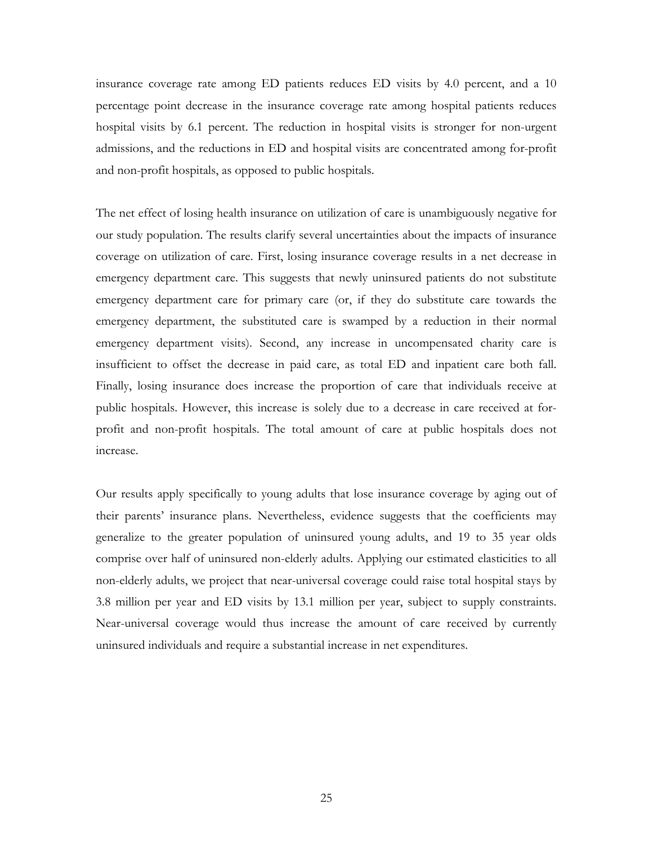insurance coverage rate among ED patients reduces ED visits by 4.0 percent, and a 10 percentage point decrease in the insurance coverage rate among hospital patients reduces hospital visits by 6.1 percent. The reduction in hospital visits is stronger for non-urgent admissions, and the reductions in ED and hospital visits are concentrated among for-profit and non-profit hospitals, as opposed to public hospitals.

The net effect of losing health insurance on utilization of care is unambiguously negative for our study population. The results clarify several uncertainties about the impacts of insurance coverage on utilization of care. First, losing insurance coverage results in a net decrease in emergency department care. This suggests that newly uninsured patients do not substitute emergency department care for primary care (or, if they do substitute care towards the emergency department, the substituted care is swamped by a reduction in their normal emergency department visits). Second, any increase in uncompensated charity care is insufficient to offset the decrease in paid care, as total ED and inpatient care both fall. Finally, losing insurance does increase the proportion of care that individuals receive at public hospitals. However, this increase is solely due to a decrease in care received at forprofit and non-profit hospitals. The total amount of care at public hospitals does not increase.

Our results apply specifically to young adults that lose insurance coverage by aging out of their parents' insurance plans. Nevertheless, evidence suggests that the coefficients may generalize to the greater population of uninsured young adults, and 19 to 35 year olds comprise over half of uninsured non-elderly adults. Applying our estimated elasticities to all non-elderly adults, we project that near-universal coverage could raise total hospital stays by 3.8 million per year and ED visits by 13.1 million per year, subject to supply constraints. Near-universal coverage would thus increase the amount of care received by currently uninsured individuals and require a substantial increase in net expenditures.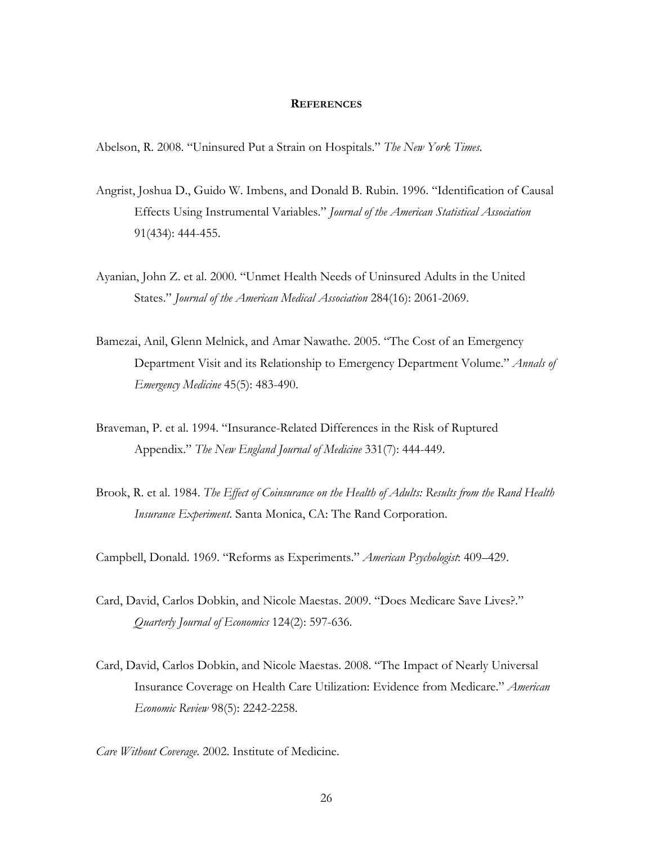#### **REFERENCES**

Abelson, R. 2008. "Uninsured Put a Strain on Hospitals." *The New York Times*.

- Angrist, Joshua D., Guido W. Imbens, and Donald B. Rubin. 1996. "Identification of Causal Effects Using Instrumental Variables." *Journal of the American Statistical Association* 91(434): 444-455.
- Ayanian, John Z. et al. 2000. "Unmet Health Needs of Uninsured Adults in the United States." *Journal of the American Medical Association* 284(16): 2061-2069.
- Bamezai, Anil, Glenn Melnick, and Amar Nawathe. 2005. "The Cost of an Emergency Department Visit and its Relationship to Emergency Department Volume." *Annals of Emergency Medicine* 45(5): 483-490.
- Braveman, P. et al. 1994. "Insurance-Related Differences in the Risk of Ruptured Appendix." *The New England Journal of Medicine* 331(7): 444-449.
- Brook, R. et al. 1984. *The Effect of Coinsurance on the Health of Adults: Results from the Rand Health Insurance Experiment*. Santa Monica, CA: The Rand Corporation.

Campbell, Donald. 1969. "Reforms as Experiments." *American Psychologist*: 409–429.

- Card, David, Carlos Dobkin, and Nicole Maestas. 2009. "Does Medicare Save Lives?." *Quarterly Journal of Economics* 124(2): 597-636.
- Card, David, Carlos Dobkin, and Nicole Maestas. 2008. "The Impact of Nearly Universal Insurance Coverage on Health Care Utilization: Evidence from Medicare." *American Economic Review* 98(5): 2242-2258.

*Care Without Coverage*. 2002. Institute of Medicine.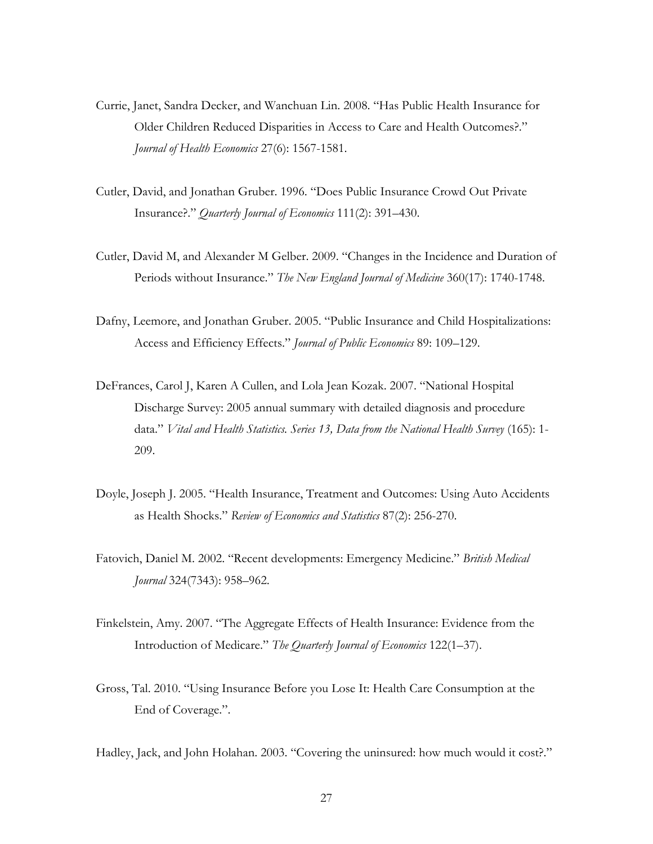- Currie, Janet, Sandra Decker, and Wanchuan Lin. 2008. "Has Public Health Insurance for Older Children Reduced Disparities in Access to Care and Health Outcomes?." *Journal of Health Economics* 27(6): 1567-1581.
- Cutler, David, and Jonathan Gruber. 1996. "Does Public Insurance Crowd Out Private Insurance?." *Quarterly Journal of Economics* 111(2): 391–430.
- Cutler, David M, and Alexander M Gelber. 2009. "Changes in the Incidence and Duration of Periods without Insurance." *The New England Journal of Medicine* 360(17): 1740-1748.
- Dafny, Leemore, and Jonathan Gruber. 2005. "Public Insurance and Child Hospitalizations: Access and Efficiency Effects." *Journal of Public Economics* 89: 109–129.
- DeFrances, Carol J, Karen A Cullen, and Lola Jean Kozak. 2007. "National Hospital Discharge Survey: 2005 annual summary with detailed diagnosis and procedure data." *Vital and Health Statistics. Series 13, Data from the National Health Survey* (165): 1- 209.
- Doyle, Joseph J. 2005. "Health Insurance, Treatment and Outcomes: Using Auto Accidents as Health Shocks." *Review of Economics and Statistics* 87(2): 256-270.
- Fatovich, Daniel M. 2002. "Recent developments: Emergency Medicine." *British Medical Journal* 324(7343): 958–962.
- Finkelstein, Amy. 2007. "The Aggregate Effects of Health Insurance: Evidence from the Introduction of Medicare." *The Quarterly Journal of Economics* 122(1–37).
- Gross, Tal. 2010. "Using Insurance Before you Lose It: Health Care Consumption at the End of Coverage.".
- Hadley, Jack, and John Holahan. 2003. "Covering the uninsured: how much would it cost?."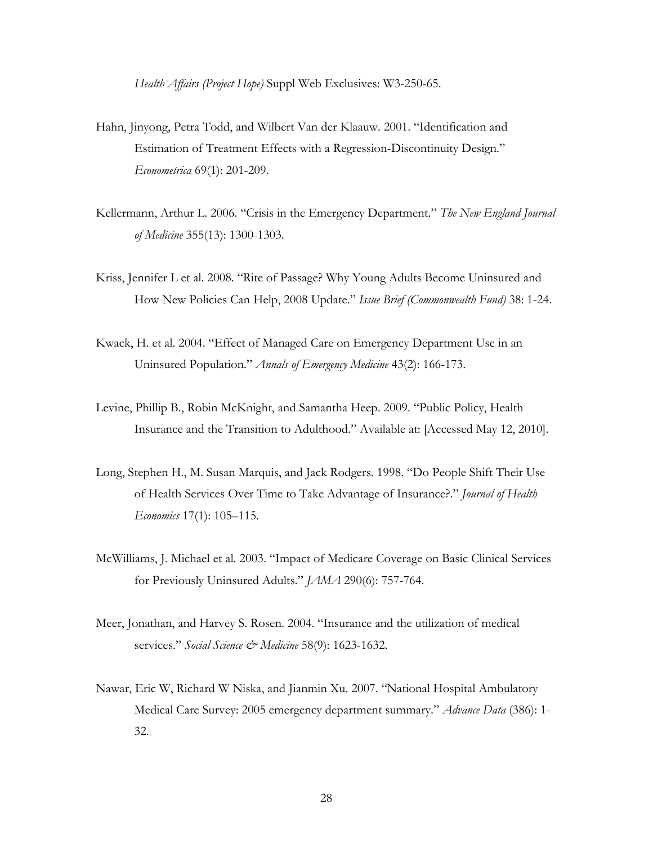*Health Affairs (Project Hope)* Suppl Web Exclusives: W3-250-65.

- Hahn, Jinyong, Petra Todd, and Wilbert Van der Klaauw. 2001. "Identification and Estimation of Treatment Effects with a Regression-Discontinuity Design." *Econometrica* 69(1): 201-209.
- Kellermann, Arthur L. 2006. "Crisis in the Emergency Department." *The New England Journal of Medicine* 355(13): 1300-1303.
- Kriss, Jennifer L et al. 2008. "Rite of Passage? Why Young Adults Become Uninsured and How New Policies Can Help, 2008 Update." *Issue Brief (Commonwealth Fund)* 38: 1-24.
- Kwack, H. et al. 2004. "Effect of Managed Care on Emergency Department Use in an Uninsured Population." *Annals of Emergency Medicine* 43(2): 166-173.
- Levine, Phillip B., Robin McKnight, and Samantha Heep. 2009. "Public Policy, Health Insurance and the Transition to Adulthood." Available at: [Accessed May 12, 2010].
- Long, Stephen H., M. Susan Marquis, and Jack Rodgers. 1998. "Do People Shift Their Use of Health Services Over Time to Take Advantage of Insurance?." *Journal of Health Economics* 17(1): 105–115.
- McWilliams, J. Michael et al. 2003. "Impact of Medicare Coverage on Basic Clinical Services for Previously Uninsured Adults." *JAMA* 290(6): 757-764.
- Meer, Jonathan, and Harvey S. Rosen. 2004. "Insurance and the utilization of medical services." *Social Science & Medicine* 58(9): 1623-1632.
- Nawar, Eric W, Richard W Niska, and Jianmin Xu. 2007. "National Hospital Ambulatory Medical Care Survey: 2005 emergency department summary." *Advance Data* (386): 1- 32.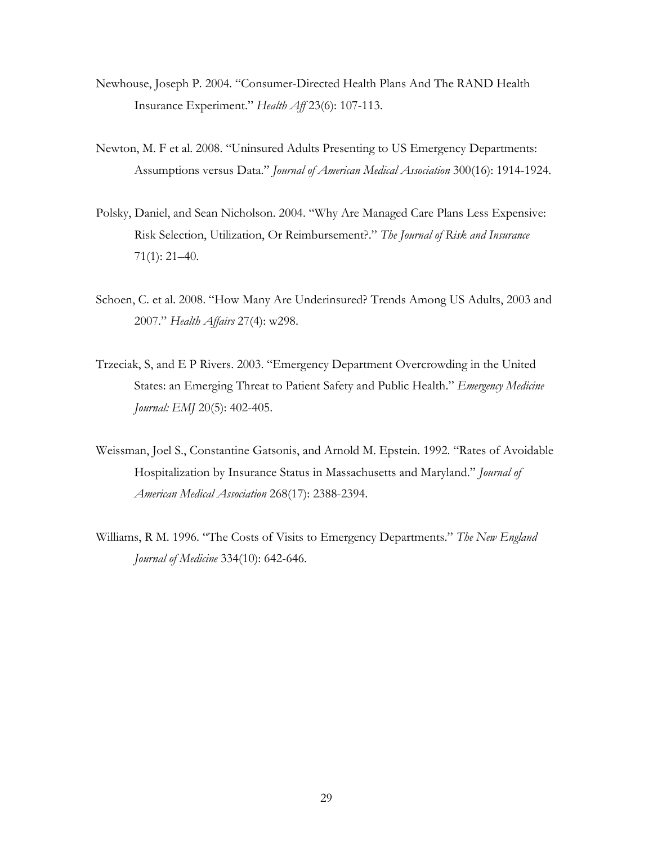- Newhouse, Joseph P. 2004. "Consumer-Directed Health Plans And The RAND Health Insurance Experiment." *Health Aff* 23(6): 107-113.
- Newton, M. F et al. 2008. "Uninsured Adults Presenting to US Emergency Departments: Assumptions versus Data." *Journal of American Medical Association* 300(16): 1914-1924.
- Polsky, Daniel, and Sean Nicholson. 2004. "Why Are Managed Care Plans Less Expensive: Risk Selection, Utilization, Or Reimbursement?." *The Journal of Risk and Insurance* 71(1): 21–40.
- Schoen, C. et al. 2008. "How Many Are Underinsured? Trends Among US Adults, 2003 and 2007." *Health Affairs* 27(4): w298.
- Trzeciak, S, and E P Rivers. 2003. "Emergency Department Overcrowding in the United States: an Emerging Threat to Patient Safety and Public Health." *Emergency Medicine Journal: EMJ* 20(5): 402-405.
- Weissman, Joel S., Constantine Gatsonis, and Arnold M. Epstein. 1992. "Rates of Avoidable Hospitalization by Insurance Status in Massachusetts and Maryland." *Journal of American Medical Association* 268(17): 2388-2394.
- Williams, R M. 1996. "The Costs of Visits to Emergency Departments." *The New England Journal of Medicine* 334(10): 642-646.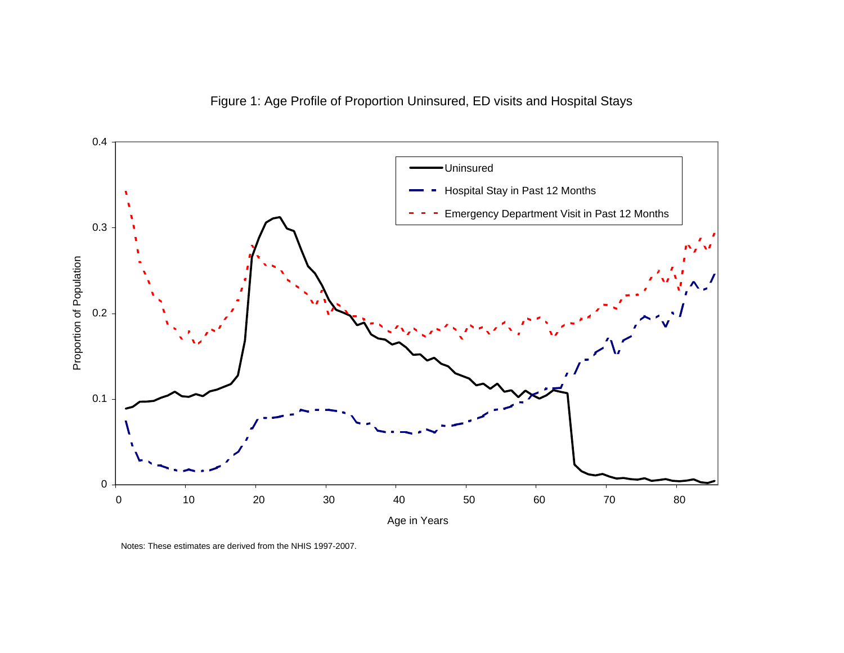



Notes: These estimates are derived from the NHIS 1997-2007.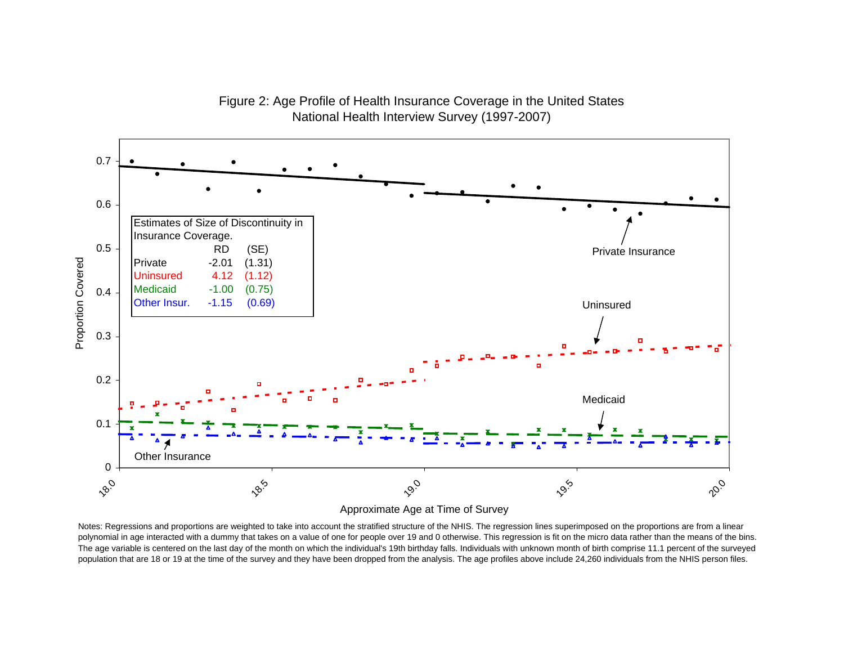

Figure 2: Age Profile of Health Insurance Coverage in the United States National Health Interview Survey (1997-2007)

Approximate Age at Time of Survey

Notes: Regressions and proportions are weighted to take into account the stratified structure of the NHIS. The regression lines superimposed on the proportions are from a linear polynomial in age interacted with a dummy that takes on a value of one for people over 19 and 0 otherwise. This regression is fit on the micro data rather than the means of the bins. The age variable is centered on the last day of the month on which the individual's 19th birthday falls. Individuals with unknown month of birth comprise 11.1 percent of the surveyed population that are 18 or 19 at the time of the survey and they have been dropped from the analysis. The age profiles above include 24,260 individuals from the NHIS person files.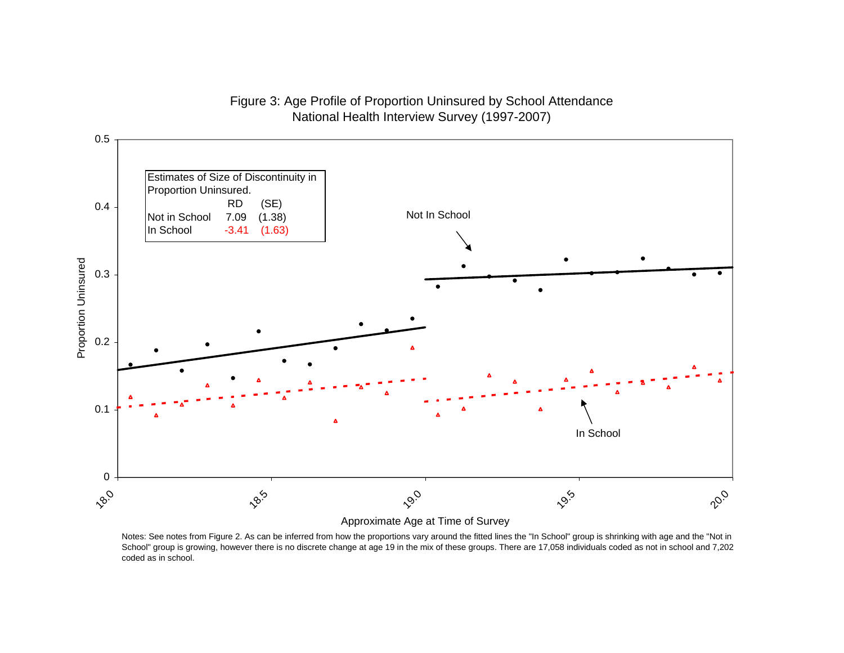## Figure 3: Age Profile of Proportion Uninsured by School Attendance National Health Interview Survey (1997-2007)



Approximate Age at Time of Survey

Notes: See notes from Figure 2. As can be inferred from how the proportions vary around the fitted lines the "In School" group is shrinking with age and the "Not in School" group is growing, however there is no discrete change at age 19 in the mix of these groups. There are 17,058 individuals coded as not in school and 7,202 coded as in school.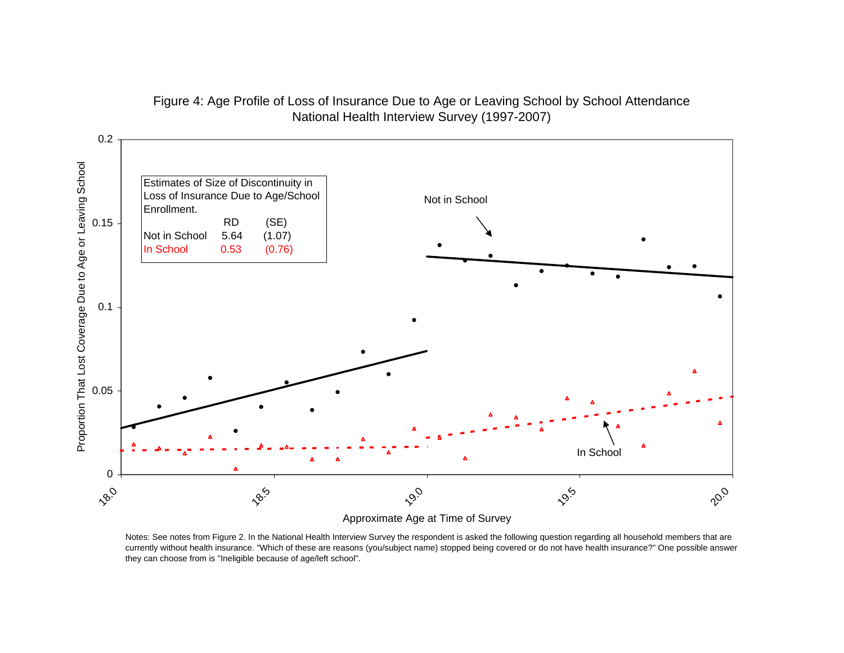

## Figure 4: Age Profile of Loss of Insurance Due to Age or Leaving School by School Attendance National Health Interview Survey (1997-2007)

Approximate Age at Time of Survey

Notes: See notes from Figure 2. In the National Health Interview Survey the respondent is asked the following question regarding all household members that are currently without health insurance. "Which of these are reasons (you/subject name) stopped being covered or do not have health insurance?" One possible answer they can choose from is "Ineligible because of age/left school".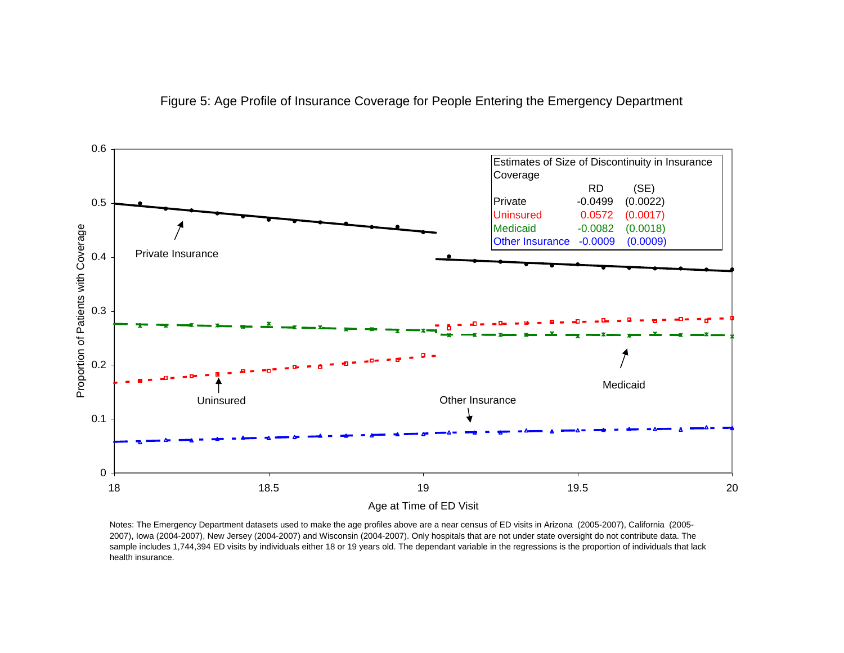



Notes: The Emergency Department datasets used to make the age profiles above are a near census of ED visits in Arizona (2005-2007), California (2005- 2007), Iowa (2004-2007), New Jersey (2004-2007) and Wisconsin (2004-2007). Only hospitals that are not under state oversight do not contribute data. The sample includes 1,744,394 ED visits by individuals either 18 or 19 years old. The dependant variable in the regressions is the proportion of individuals that lack health insurance.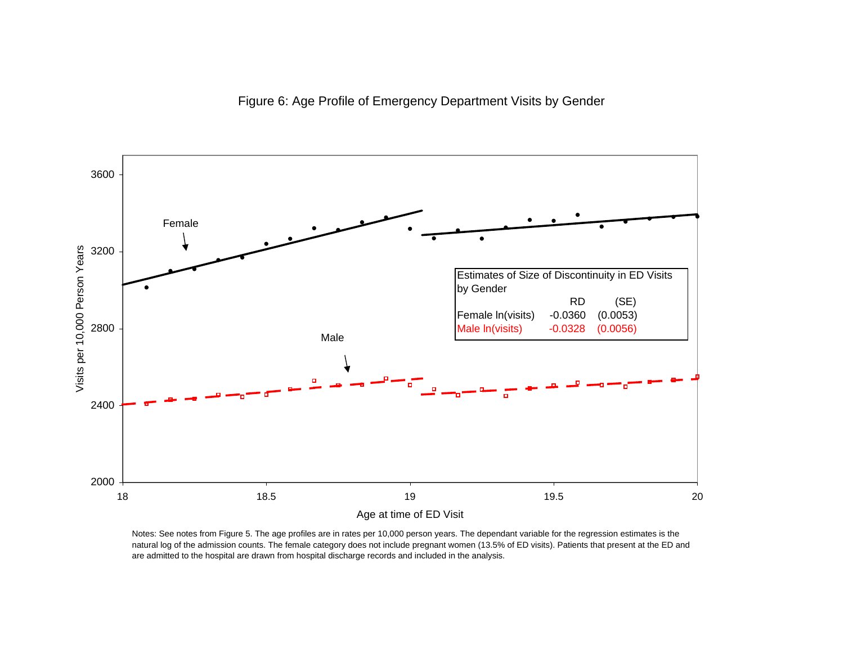

Notes: See notes from Figure 5. The age profiles are in rates per 10,000 person years. The dependant variable for the regression estimates is the natural log of the admission counts. The female category does not include pregnant women (13.5% of ED visits). Patients that present at the ED and are admitted to the hospital are drawn from hospital discharge records and included in the analysis.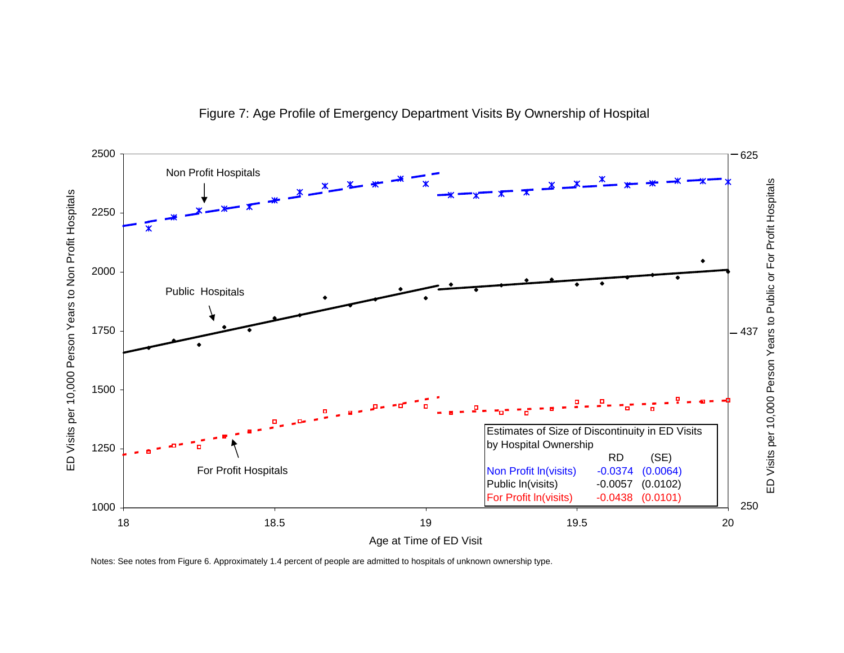

Figure 7: Age Profile of Emergency Department Visits By Ownership of Hospital

Notes: See notes from Figure 6. Approximately 1.4 percent of people are admitted to hospitals of unknown ownership type.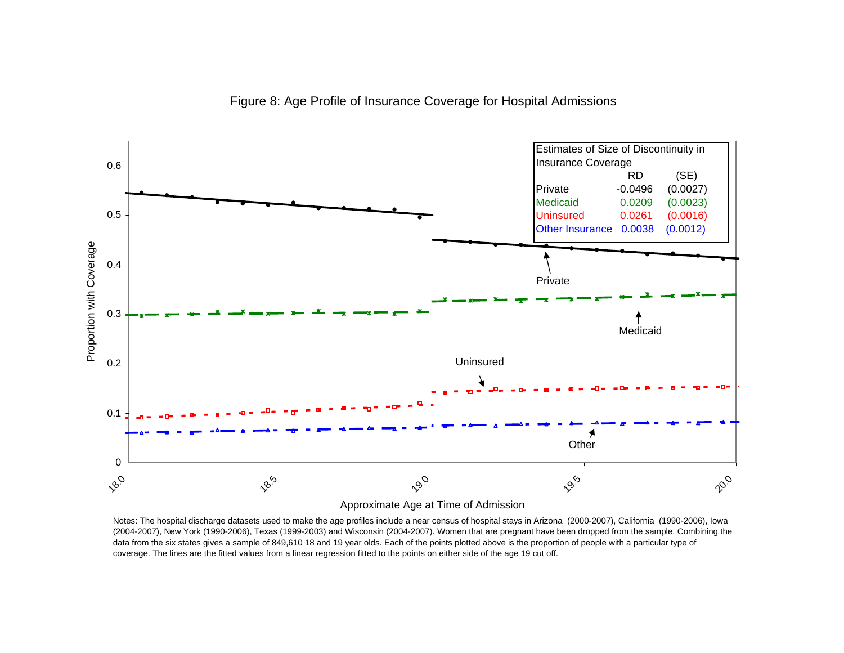



Approximate Age at Time of Admission

Notes: The hospital discharge datasets used to make the age profiles include a near census of hospital stays in Arizona (2000-2007), California (1990-2006), Iowa (2004-2007), New York (1990-2006), Texas (1999-2003) and Wisconsin (2004-2007). Women that are pregnant have been dropped from the sample. Combining the data from the six states gives a sample of 849,610 18 and 19 year olds. Each of the points plotted above is the proportion of people with a particular type of coverage. The lines are the fitted values from a linear regression fitted to the points on either side of the age 19 cut off.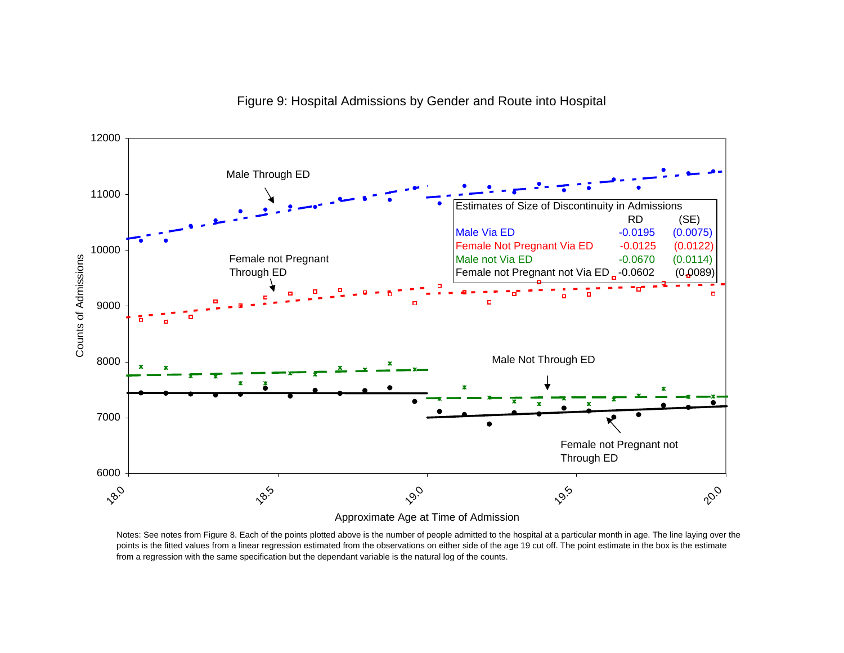



Approximate Age at Time of Admission

Notes: See notes from Figure 8. Each of the points plotted above is the number of people admitted to the hospital at a particular month in age. The line laying over the points is the fitted values from a linear regression estimated from the observations on either side of the age 19 cut off. The point estimate in the box is the estimate from a regression with the same specification but the dependant variable is the natural log of the counts.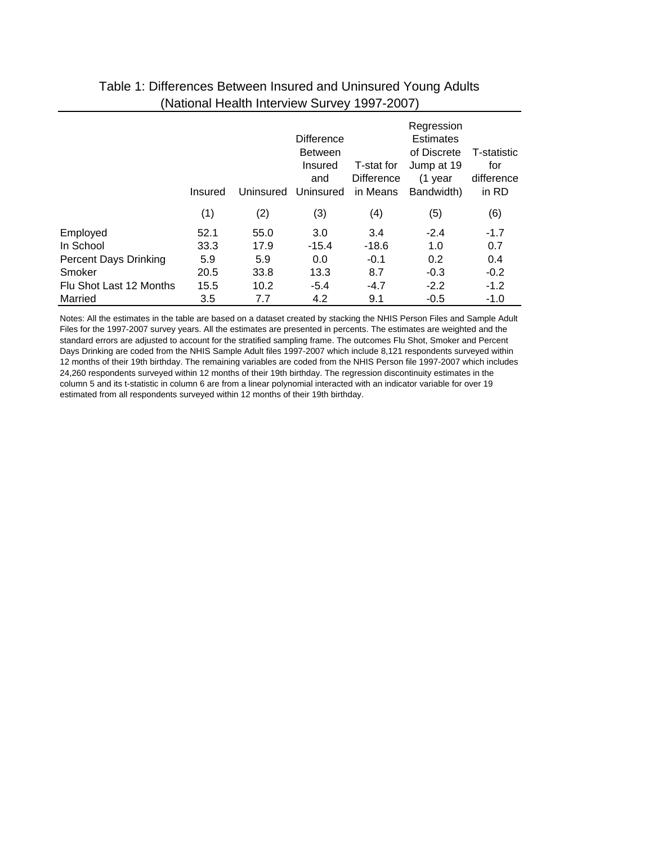|                              | Insured | Uninsured | <b>Difference</b><br><b>Between</b><br>Insured<br>and<br>Uninsured | T-stat for<br><b>Difference</b><br>in Means | Regression<br><b>Estimates</b><br>of Discrete<br>Jump at 19<br>(1 year<br>Bandwidth) | T-statistic<br>for<br>difference<br>in RD |
|------------------------------|---------|-----------|--------------------------------------------------------------------|---------------------------------------------|--------------------------------------------------------------------------------------|-------------------------------------------|
|                              | (1)     | (2)       | (3)                                                                | (4)                                         | (5)                                                                                  | (6)                                       |
| Employed                     | 52.1    | 55.0      | 3.0                                                                | 3.4                                         | $-2.4$                                                                               | $-1.7$                                    |
| In School                    | 33.3    | 17.9      | $-15.4$                                                            | $-18.6$                                     | 1.0                                                                                  | 0.7                                       |
| <b>Percent Days Drinking</b> | 5.9     | 5.9       | 0.0                                                                | $-0.1$                                      | 0.2                                                                                  | 0.4                                       |
| Smoker                       | 20.5    | 33.8      | 13.3                                                               | 8.7                                         | $-0.3$                                                                               | $-0.2$                                    |
| Flu Shot Last 12 Months      | 15.5    | 10.2      | $-5.4$                                                             | $-4.7$                                      | $-2.2$                                                                               | $-1.2$                                    |
| Married                      | 3.5     | 7.7       | 4.2                                                                | 9.1                                         | $-0.5$                                                                               | $-1.0$                                    |

## Table 1: Differences Between Insured and Uninsured Young Adults (National Health Interview Survey 1997-2007)

Notes: All the estimates in the table are based on a dataset created by stacking the NHIS Person Files and Sample Adult Files for the 1997-2007 survey years. All the estimates are presented in percents. The estimates are weighted and the standard errors are adjusted to account for the stratified sampling frame. The outcomes Flu Shot, Smoker and Percent Days Drinking are coded from the NHIS Sample Adult files 1997-2007 which include 8,121 respondents surveyed within 12 months of their 19th birthday. The remaining variables are coded from the NHIS Person file 1997-2007 which includes 24,260 respondents surveyed within 12 months of their 19th birthday. The regression discontinuity estimates in the column 5 and its t-statistic in column 6 are from a linear polynomial interacted with an indicator variable for over 19 estimated from all respondents surveyed within 12 months of their 19th birthday.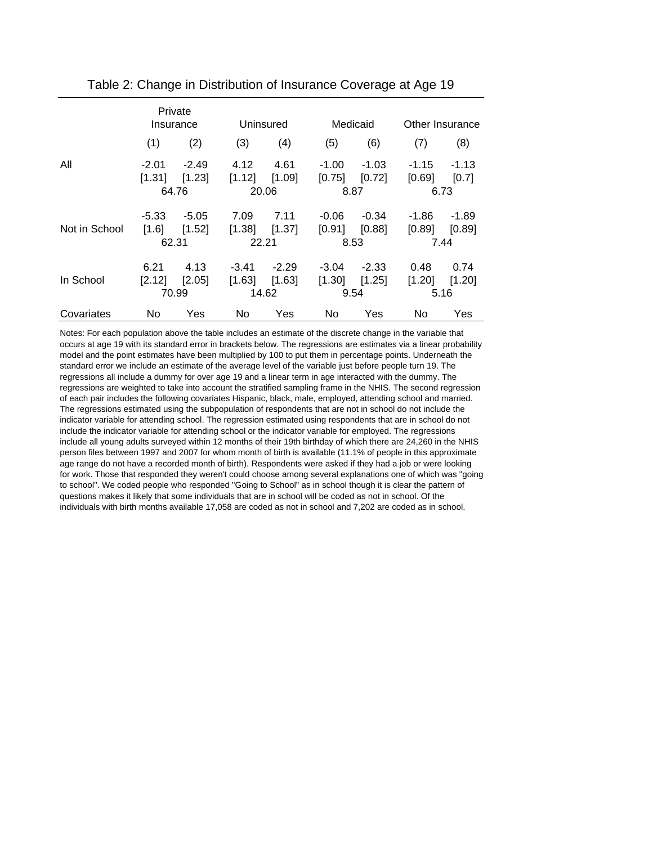|               |                         | Private<br>Insurance       |                         | Uninsured                  |                   | Medicaid                  | Other Insurance          |                 |
|---------------|-------------------------|----------------------------|-------------------------|----------------------------|-------------------|---------------------------|--------------------------|-----------------|
|               | (1)                     | (2)                        | (3)                     | (4)                        | (5)               | (6)                       | (7)                      | (8)             |
| All           | $-2.01$<br>[1.31]       | $-2.49$<br>[1.23]<br>64.76 | 4.12<br>[1.12]          | 4.61<br>[1.09]<br>20.06    | -1.00<br>[0.75]   | $-1.03$<br>[0.72]<br>8.87 | -1.15<br>[0.69]<br>6.73  | -1.13<br>[0.7]  |
| Not in School | -5.33<br>[1.6]<br>62.31 | $-5.05$<br>[1.52]          | 7.09<br>[1.38]<br>22.21 | 7.11<br>[1.37]             | $-0.06$<br>[0.91] | $-0.34$<br>[0.88]<br>8.53 | -1.86<br>[0.89]<br>7.44  | -1.89<br>[0.89] |
| In School     | 6.21<br>[2.12]          | 4.13<br>[2.05]<br>70.99    | $-3.41$<br>[1.63]       | $-2.29$<br>[1.63]<br>14.62 | -3.04<br>[1.30]   | $-2.33$<br>[1.25]<br>9.54 | 0.48<br>$[1.20]$<br>5.16 | 0.74<br>[1.20]  |
| Covariates    | No                      | Yes                        | No                      | Yes                        | No.               | Yes                       | No                       | Yes             |

Table 2: Change in Distribution of Insurance Coverage at Age 19

Notes: For each population above the table includes an estimate of the discrete change in the variable that occurs at age 19 with its standard error in brackets below. The regressions are estimates via a linear probability model and the point estimates have been multiplied by 100 to put them in percentage points. Underneath the standard error we include an estimate of the average level of the variable just before people turn 19. The regressions all include a dummy for over age 19 and a linear term in age interacted with the dummy. The regressions are weighted to take into account the stratified sampling frame in the NHIS. The second regression of each pair includes the following covariates Hispanic, black, male, employed, attending school and married. The regressions estimated using the subpopulation of respondents that are not in school do not include the indicator variable for attending school. The regression estimated using respondents that are in school do not include the indicator variable for attending school or the indicator variable for employed. The regressions include all young adults surveyed within 12 months of their 19th birthday of which there are 24,260 in the NHIS person files between 1997 and 2007 for whom month of birth is available (11.1% of people in this approximate age range do not have a recorded month of birth). Respondents were asked if they had a job or were looking for work. Those that responded they weren't could choose among several explanations one of which was "going to school". We coded people who responded "Going to School" as in school though it is clear the pattern of questions makes it likely that some individuals that are in school will be coded as not in school. Of the individuals with birth months available 17,058 are coded as not in school and 7,202 are coded as in school.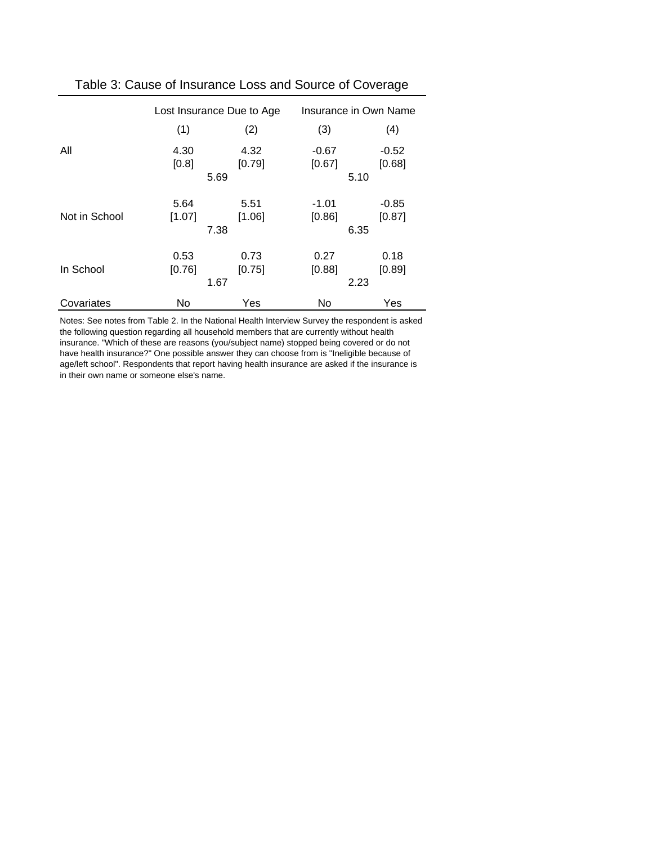|               | Lost Insurance Due to Age |                        | Insurance in Own Name |                           |
|---------------|---------------------------|------------------------|-----------------------|---------------------------|
|               | (1)                       | (2)                    | (3)                   | (4)                       |
| All           | 4.30<br>[0.8]             | 4.32<br>[0.79]<br>5.69 | $-0.67$<br>[0.67]     | $-0.52$<br>[0.68]<br>5.10 |
| Not in School | 5.64<br>[1.07]            | 5.51<br>[1.06]<br>7.38 | $-1.01$<br>[0.86]     | $-0.85$<br>[0.87]<br>6.35 |
| In School     | 0.53<br>[0.76]            | 0.73<br>[0.75]<br>1.67 | 0.27<br>[0.88]        | 0.18<br>[0.89]<br>2.23    |
| Covariates    | No.                       | Yes                    | No.                   | Yes                       |

#### Table 3: Cause of Insurance Loss and Source of Coverage

Notes: See notes from Table 2. In the National Health Interview Survey the respondent is asked the following question regarding all household members that are currently without health insurance. "Which of these are reasons (you/subject name) stopped being covered or do not have health insurance?" One possible answer they can choose from is "Ineligible because of age/left school". Respondents that report having health insurance are asked if the insurance is in their own name or someone else's name.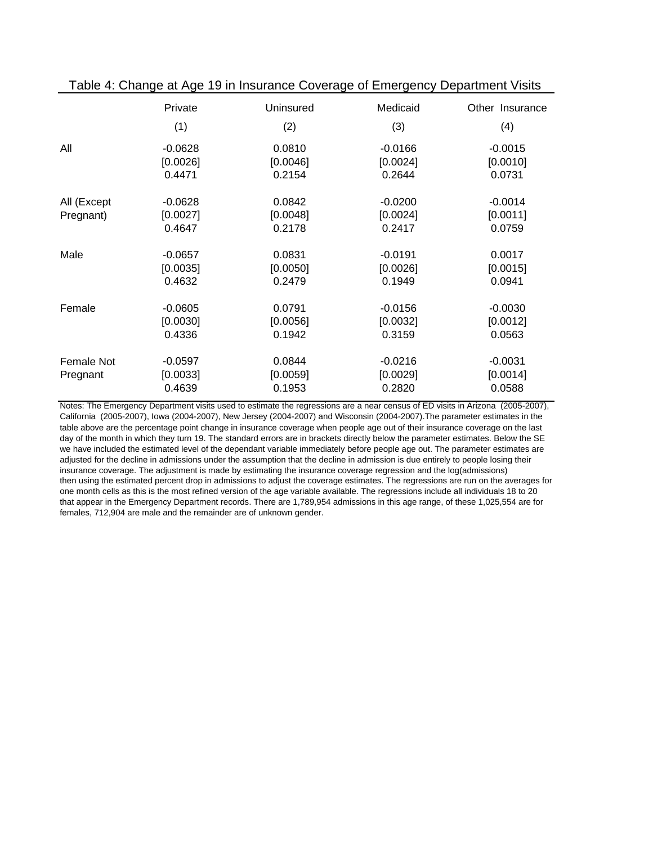|                          | Private                         | Uninsured                    | Medicaid                        | Other Insurance                 |
|--------------------------|---------------------------------|------------------------------|---------------------------------|---------------------------------|
|                          | (1)                             | (2)                          | (3)                             | (4)                             |
| All                      | $-0.0628$                       | 0.0810                       | $-0.0166$                       | $-0.0015$                       |
|                          | [0.0026]                        | [0.0046]                     | [0.0024]                        | [0.0010]                        |
|                          | 0.4471                          | 0.2154                       | 0.2644                          | 0.0731                          |
| All (Except<br>Pregnant) | $-0.0628$<br>[0.0027]<br>0.4647 | 0.0842<br>[0.0048]<br>0.2178 | $-0.0200$<br>[0.0024]<br>0.2417 | $-0.0014$<br>[0.0011]<br>0.0759 |
| Male                     | $-0.0657$                       | 0.0831                       | $-0.0191$                       | 0.0017                          |
|                          | [0.0035]                        | [0.0050]                     | [0.0026]                        | [0.0015]                        |
|                          | 0.4632                          | 0.2479                       | 0.1949                          | 0.0941                          |
| Female                   | $-0.0605$                       | 0.0791                       | $-0.0156$                       | $-0.0030$                       |
|                          | [0.0030]                        | [0.0056]                     | [0.0032]                        | [0.0012]                        |
|                          | 0.4336                          | 0.1942                       | 0.3159                          | 0.0563                          |
| Female Not<br>Pregnant   | $-0.0597$<br>[0.0033]<br>0.4639 | 0.0844<br>[0.0059]<br>0.1953 | $-0.0216$<br>[0.0029]<br>0.2820 | $-0.0031$<br>[0.0014]<br>0.0588 |

Table 4: Change at Age 19 in Insurance Coverage of Emergency Department Visits

then using the estimated percent drop in admissions to adjust the coverage estimates. The regressions are run on the averages for one month cells as this is the most refined version of the age variable available. The regressions include all individuals 18 to 20 that appear in the Emergency Department records. There are 1,789,954 admissions in this age range, of these 1,025,554 are for females, 712,904 are male and the remainder are of unknown gender. Notes: The Emergency Department visits used to estimate the regressions are a near census of ED visits in Arizona (2005-2007), California (2005-2007), Iowa (2004-2007), New Jersey (2004-2007) and Wisconsin (2004-2007).The parameter estimates in the table above are the percentage point change in insurance coverage when people age out of their insurance coverage on the last day of the month in which they turn 19. The standard errors are in brackets directly below the parameter estimates. Below the SE we have included the estimated level of the dependant variable immediately before people age out. The parameter estimates are adjusted for the decline in admissions under the assumption that the decline in admission is due entirely to people losing their insurance coverage. The adjustment is made by estimating the insurance coverage regression and the log(admissions)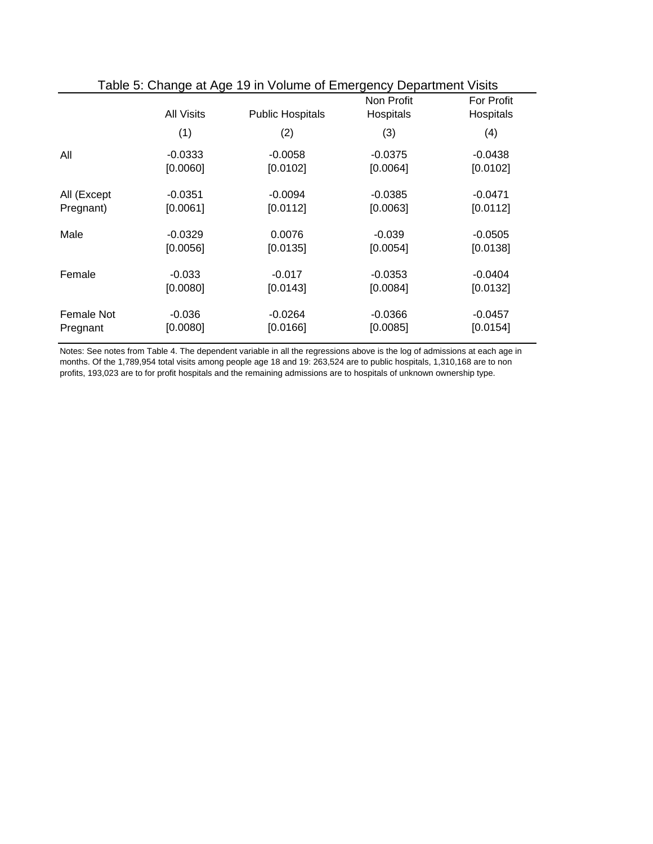| Table 5: Change at Age 19 in Volume of Emergency Department Visits |                   |                         |                         |                                |
|--------------------------------------------------------------------|-------------------|-------------------------|-------------------------|--------------------------------|
|                                                                    | <b>All Visits</b> | <b>Public Hospitals</b> | Non Profit<br>Hospitals | <b>For Profit</b><br>Hospitals |
|                                                                    | (1)               | (2)                     | (3)                     | (4)                            |
| All                                                                | $-0.0333$         | $-0.0058$               | $-0.0375$               | $-0.0438$                      |
|                                                                    | [0.0060]          | [0.0102]                | [0.0064]                | [0.0102]                       |
| All (Except                                                        | $-0.0351$         | $-0.0094$               | $-0.0385$               | $-0.0471$                      |
| Pregnant)                                                          | [0.0061]          | [0.0112]                | [0.0063]                | [0.0112]                       |
| Male                                                               | $-0.0329$         | 0.0076                  | $-0.039$                | $-0.0505$                      |
|                                                                    | [0.0056]          | [0.0135]                | [0.0054]                | [0.0138]                       |
| Female                                                             | $-0.033$          | $-0.017$                | $-0.0353$               | $-0.0404$                      |
|                                                                    | [0.0080]          | [0.0143]                | [0.0084]                | [0.0132]                       |
| Female Not                                                         | $-0.036$          | $-0.0264$               | $-0.0366$               | $-0.0457$                      |
| Pregnant                                                           | [0.0080]          | [0.0166]                | [0.0085]                | [0.0154]                       |

Notes: See notes from Table 4. The dependent variable in all the regressions above is the log of admissions at each age in months. Of the 1,789,954 total visits among people age 18 and 19: 263,524 are to public hospitals, 1,310,168 are to non profits, 193,023 are to for profit hospitals and the remaining admissions are to hospitals of unknown ownership type.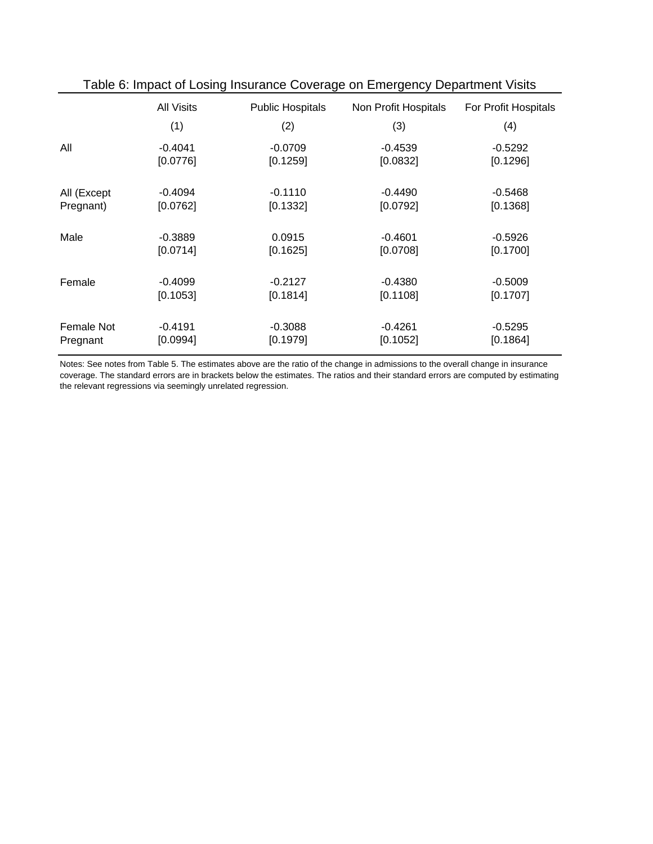| rable 6. impact of Losing msurance Coverage on Emergency Department visits |                   |                         |                      |                      |
|----------------------------------------------------------------------------|-------------------|-------------------------|----------------------|----------------------|
|                                                                            | <b>All Visits</b> | <b>Public Hospitals</b> | Non Profit Hospitals | For Profit Hospitals |
|                                                                            | (1)               | (2)                     | (3)                  | (4)                  |
| All                                                                        | $-0.4041$         | $-0.0709$               | $-0.4539$            | $-0.5292$            |
|                                                                            | [0.0776]          | [0.1259]                | [0.0832]             | [0.1296]             |
|                                                                            |                   |                         |                      |                      |
| All (Except                                                                | $-0.4094$         | $-0.1110$               | $-0.4490$            | $-0.5468$            |
| Pregnant)                                                                  | [0.0762]          | [0.1332]                | [0.0792]             | [0.1368]             |
|                                                                            |                   |                         |                      |                      |
| Male                                                                       | $-0.3889$         | 0.0915                  | $-0.4601$            | $-0.5926$            |
|                                                                            | [0.0714]          | [0.1625]                | [0.0708]             | [0.1700]             |
|                                                                            |                   |                         |                      |                      |
| Female                                                                     | $-0.4099$         | $-0.2127$               | $-0.4380$            | $-0.5009$            |
|                                                                            | [0.1053]          | [0.1814]                | [0.1108]             | [0.1707]             |
|                                                                            |                   |                         |                      |                      |
| Female Not                                                                 | $-0.4191$         | $-0.3088$               | $-0.4261$            | $-0.5295$            |
| Pregnant                                                                   | [0.0994]          | [0.1979]                | [0.1052]             | [0.1864]             |
|                                                                            |                   |                         |                      |                      |

Notes: See notes from Table 5. The estimates above are the ratio of the change in admissions to the overall change in insurance coverage. The standard errors are in brackets below the estimates. The ratios and their standard errors are computed by estimating the relevant regressions via seemingly unrelated regression.

#### Table 6: Impact of Losing Insurance Coverage on Emergency Department Visits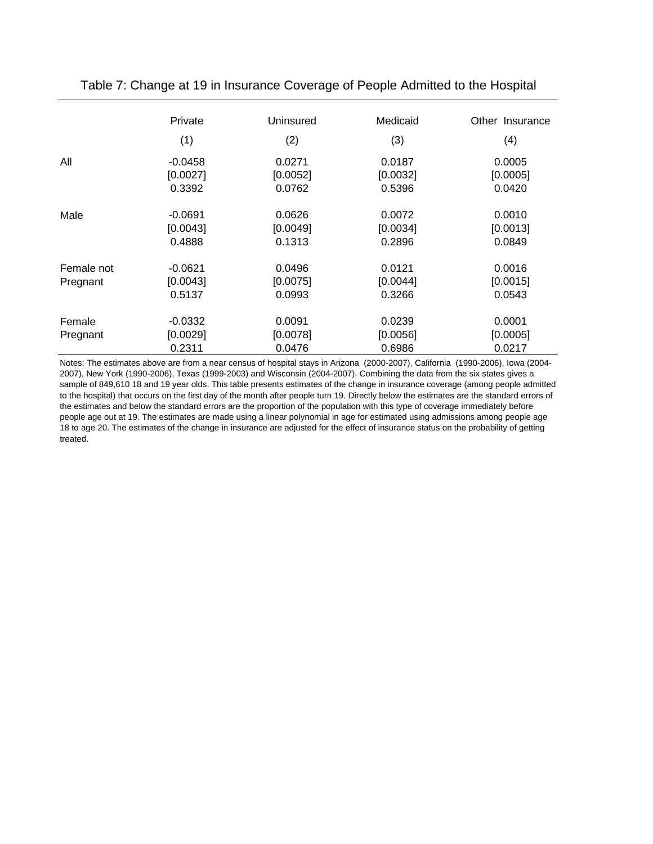|                        | Private                         | Uninsured                    | Medicaid                     | Other Insurance              |
|------------------------|---------------------------------|------------------------------|------------------------------|------------------------------|
|                        | (1)                             | (2)                          | (3)                          | (4)                          |
| All                    | $-0.0458$                       | 0.0271                       | 0.0187                       | 0.0005                       |
|                        | [0.0027]                        | [0.0052]                     | [0.0032]                     | [0.0005]                     |
|                        | 0.3392                          | 0.0762                       | 0.5396                       | 0.0420                       |
| Male                   | $-0.0691$                       | 0.0626                       | 0.0072                       | 0.0010                       |
|                        | [0.0043]                        | [0.0049]                     | [0.0034]                     | [0.0013]                     |
|                        | 0.4888                          | 0.1313                       | 0.2896                       | 0.0849                       |
| Female not<br>Pregnant | $-0.0621$<br>[0.0043]<br>0.5137 | 0.0496<br>[0.0075]<br>0.0993 | 0.0121<br>[0.0044]<br>0.3266 | 0.0016<br>[0.0015]<br>0.0543 |
| Female<br>Pregnant     | $-0.0332$<br>[0.0029]<br>0.2311 | 0.0091<br>[0.0078]<br>0.0476 | 0.0239<br>[0.0056]<br>0.6986 | 0.0001<br>[0.0005]<br>0.0217 |

Table 7: Change at 19 in Insurance Coverage of People Admitted to the Hospital

Notes: The estimates above are from a near census of hospital stays in Arizona (2000-2007), California (1990-2006), Iowa (2004- 2007), New York (1990-2006), Texas (1999-2003) and Wisconsin (2004-2007). Combining the data from the six states gives a sample of 849,610 18 and 19 year olds. This table presents estimates of the change in insurance coverage (among people admitted to the hospital) that occurs on the first day of the month after people turn 19. Directly below the estimates are the standard errors of the estimates and below the standard errors are the proportion of the population with this type of coverage immediately before people age out at 19. The estimates are made using a linear polynomial in age for estimated using admissions among people age 18 to age 20. The estimates of the change in insurance are adjusted for the effect of insurance status on the probability of getting treated.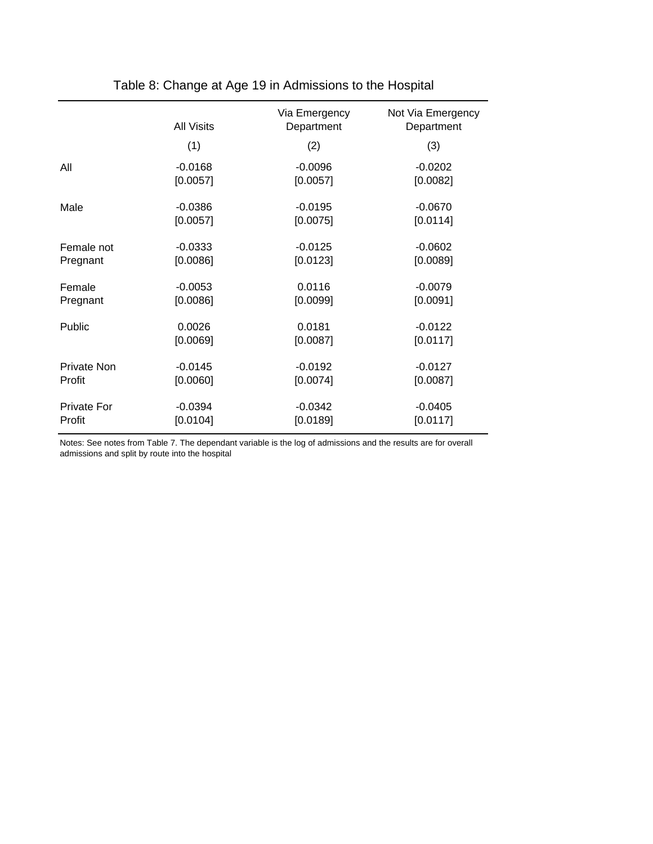|                    | <b>All Visits</b> | Via Emergency<br>Department | Not Via Emergency<br>Department |
|--------------------|-------------------|-----------------------------|---------------------------------|
|                    | (1)               | (2)                         | (3)                             |
| All                | $-0.0168$         | $-0.0096$                   | $-0.0202$                       |
|                    | [0.0057]          | [0.0057]                    | [0.0082]                        |
| Male               | $-0.0386$         | $-0.0195$                   | $-0.0670$                       |
|                    | [0.0057]          | [0.0075]                    | [0.0114]                        |
| Female not         | $-0.0333$         | $-0.0125$                   | $-0.0602$                       |
| Pregnant           | [0.0086]          | [0.0123]                    | [0.0089]                        |
| Female             | $-0.0053$         | 0.0116                      | $-0.0079$                       |
| Pregnant           | [0.0086]          | [0.0099]                    | [0.0091]                        |
| Public             | 0.0026            | 0.0181                      | $-0.0122$                       |
|                    | [0.0069]          | [0.0087]                    | [0.0117]                        |
| Private Non        | $-0.0145$         | $-0.0192$                   | $-0.0127$                       |
| Profit             | [0.0060]          | [0.0074]                    | [0.0087]                        |
| <b>Private For</b> | $-0.0394$         | $-0.0342$                   | $-0.0405$                       |
| Profit             | [0.0104]          | [0.0189]                    | [0.0117]                        |

Table 8: Change at Age 19 in Admissions to the Hospital

Notes: See notes from Table 7. The dependant variable is the log of admissions and the results are for overall admissions and split by route into the hospital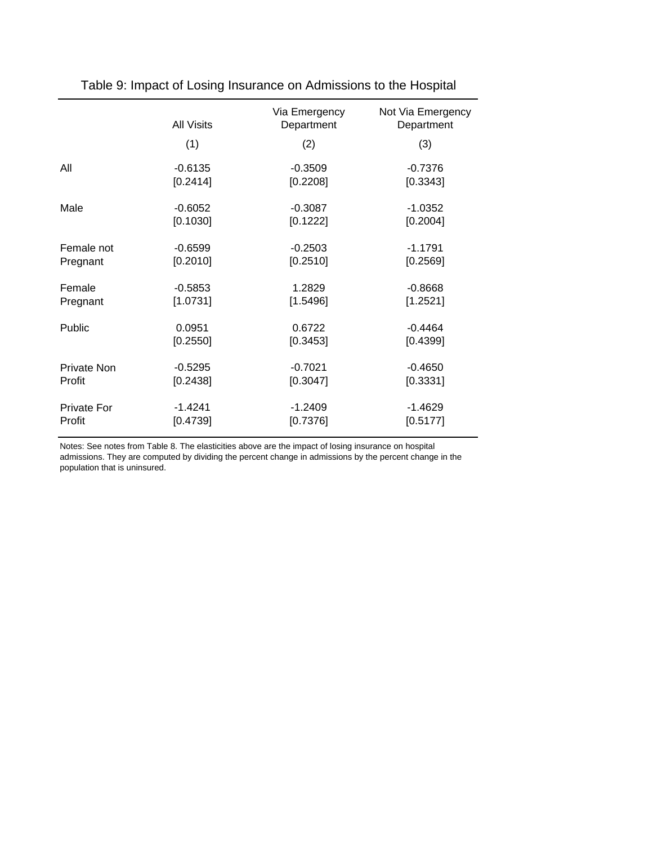|                    | All Visits | Via Emergency<br>Department | Not Via Emergency<br>Department |
|--------------------|------------|-----------------------------|---------------------------------|
|                    | (1)        | (2)                         | (3)                             |
| All                | $-0.6135$  | $-0.3509$                   | $-0.7376$                       |
|                    | [0.2414]   | [0.2208]                    | [0.3343]                        |
| Male               | $-0.6052$  | $-0.3087$                   | $-1.0352$                       |
|                    | [0.1030]   | [0.1222]                    | [0.2004]                        |
| Female not         | $-0.6599$  | $-0.2503$                   | $-1.1791$                       |
| Pregnant           | [0.2010]   | [0.2510]                    | [0.2569]                        |
| Female             | $-0.5853$  | 1.2829                      | $-0.8668$                       |
| Pregnant           | [1.0731]   | [1.5496]                    | [1.2521]                        |
| Public             | 0.0951     | 0.6722                      | $-0.4464$                       |
|                    | [0.2550]   | [0.3453]                    | [0.4399]                        |
| <b>Private Non</b> | $-0.5295$  | $-0.7021$                   | $-0.4650$                       |
| Profit             | [0.2438]   | [0.3047]                    | [0.3331]                        |
| <b>Private For</b> | $-1.4241$  | $-1.2409$                   | $-1.4629$                       |
| Profit             | [0.4739]   | [0.7376]                    | [0.5177]                        |

Table 9: Impact of Losing Insurance on Admissions to the Hospital

Notes: See notes from Table 8. The elasticities above are the impact of losing insurance on hospital admissions. They are computed by dividing the percent change in admissions by the percent change in the population that is uninsured.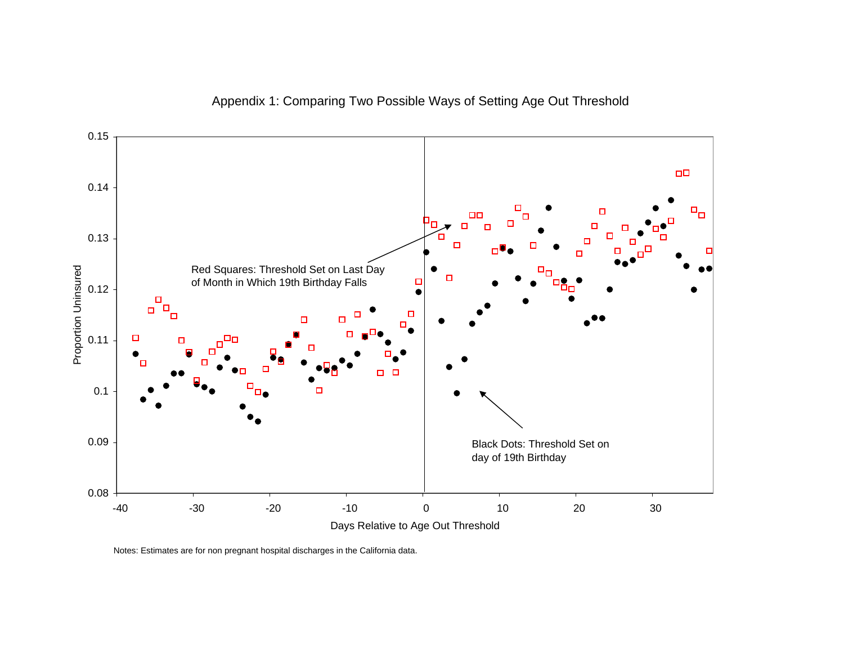



Notes: Estimates are for non pregnant hospital discharges in the California data.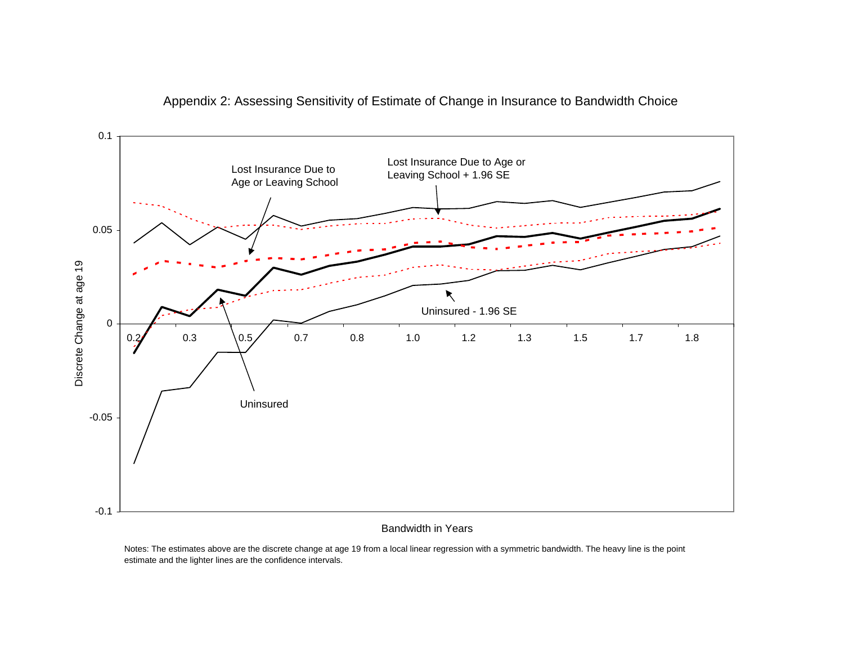

#### Appendix 2: Assessing Sensitivity of Estimate of Change in Insurance to Bandwidth Choice

Bandwidth in Years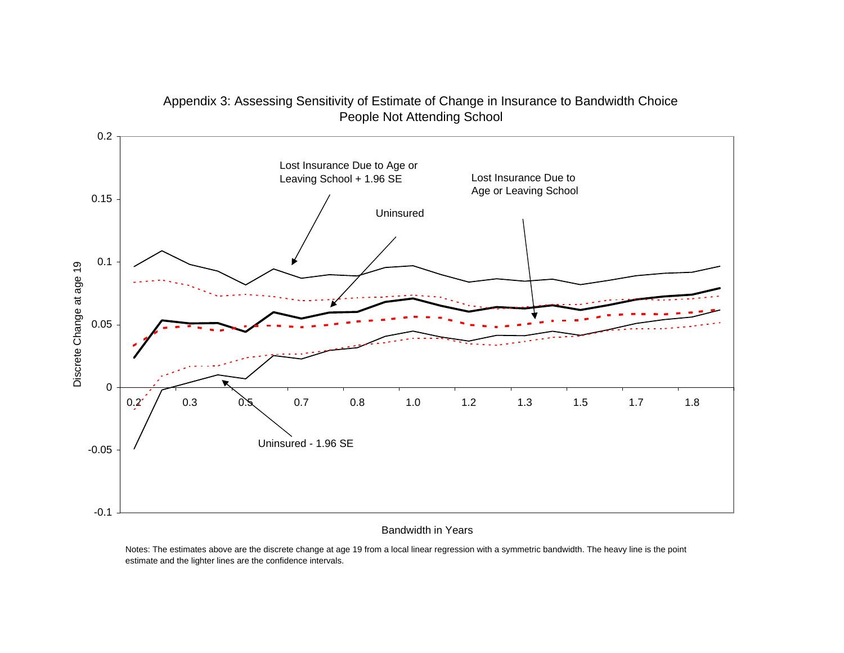

## Appendix 3: Assessing Sensitivity of Estimate of Change in Insurance to Bandwidth Choice People Not Attending School

#### Bandwidth in Years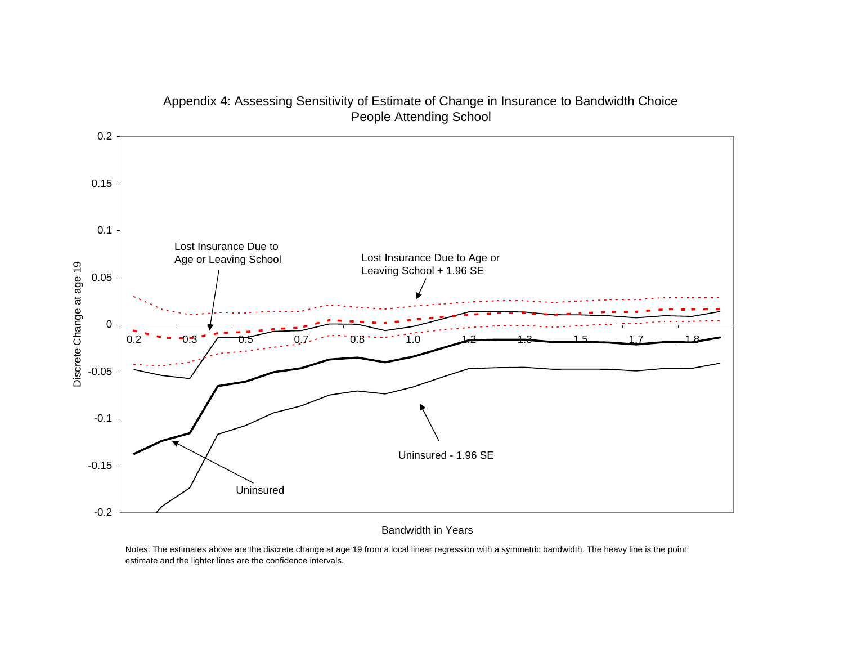

#### Appendix 4: Assessing Sensitivity of Estimate of Change in Insurance to Bandwidth Choice People Attending School

#### Bandwidth in Years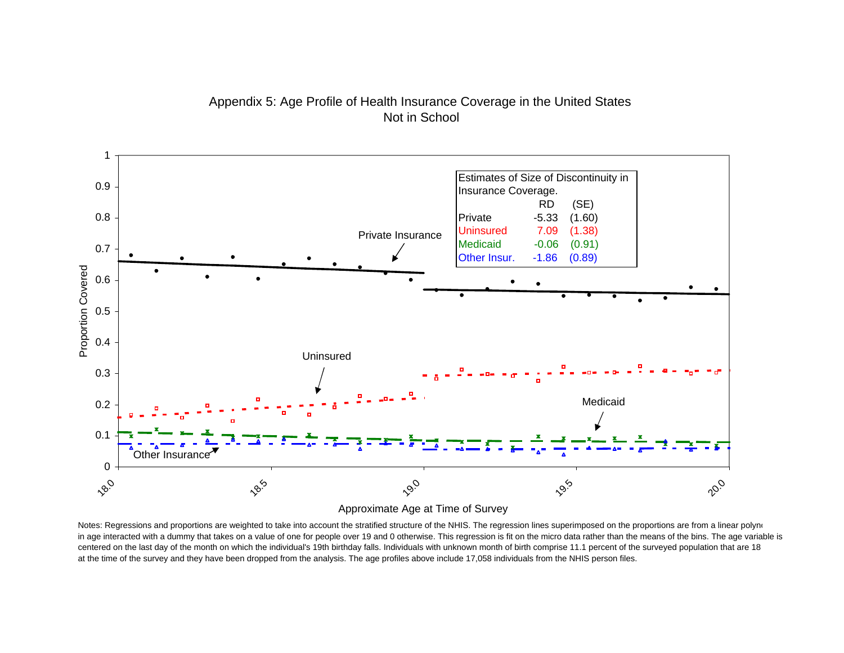

# Appendix 5: Age Profile of Health Insurance Coverage in the United States Not in School

Approximate Age at Time of Survey

Notes: Regressions and proportions are weighted to take into account the stratified structure of the NHIS. The regression lines superimposed on the proportions are from a linear polynour in age interacted with a dummy that takes on a value of one for people over 19 and 0 otherwise. This regression is fit on the micro data rather than the means of the bins. The age variable is centered on the last day of the month on which the individual's 19th birthday falls. Individuals with unknown month of birth comprise 11.1 percent of the surveyed population that are 18 at the time of the survey and they have been dropped from the analysis. The age profiles above include 17,058 individuals from the NHIS person files.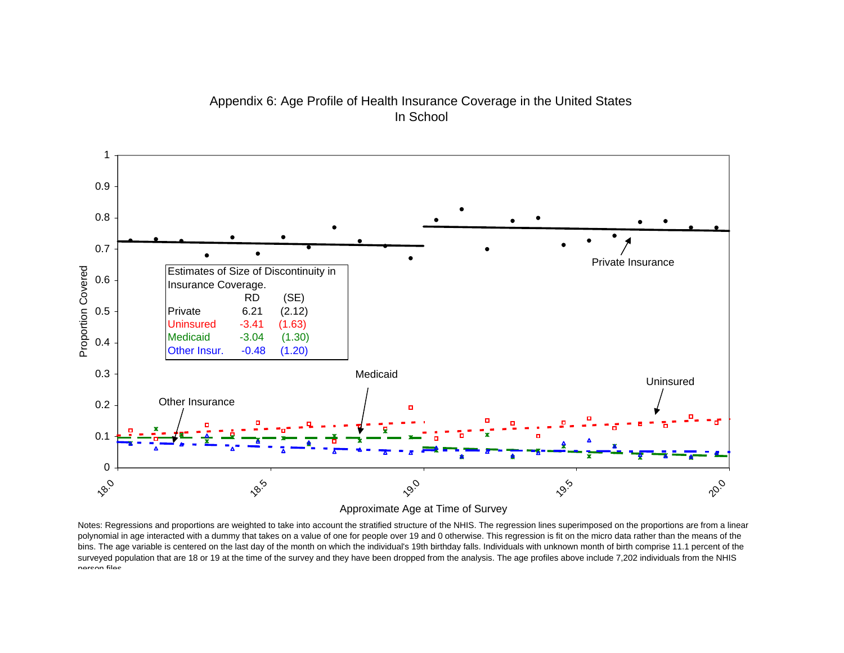

Appendix 6: Age Profile of Health Insurance Coverage in the United States In School

Approximate Age at Time of Survey

Notes: Regressions and proportions are weighted to take into account the stratified structure of the NHIS. The regression lines superimposed on the proportions are from a linear polynomial in age interacted with a dummy that takes on a value of one for people over 19 and 0 otherwise. This regression is fit on the micro data rather than the means of the bins. The age variable is centered on the last day of the month on which the individual's 19th birthday falls. Individuals with unknown month of birth comprise 11.1 percent of the surveyed population that are 18 or 19 at the time of the survey and they have been dropped from the analysis. The age profiles above include 7,202 individuals from the NHIS person files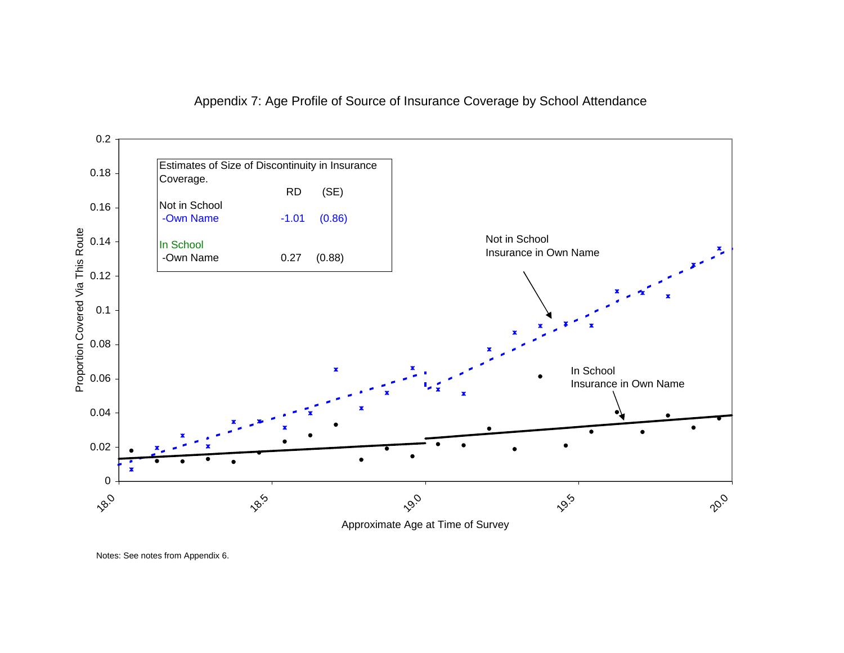



Notes: See notes from Appendix 6.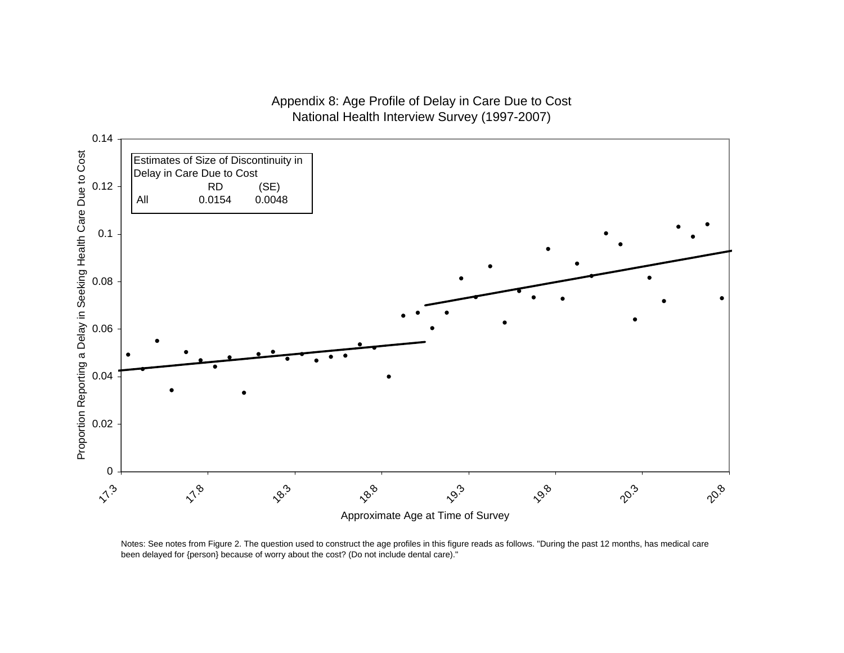## Appendix 8: Age Profile of Delay in Care Due to Cost National Health Interview Survey (1997-2007)



Notes: See notes from Figure 2. The question used to construct the age profiles in this figure reads as follows. "During the past 12 months, has medical care been delayed for {person} because of worry about the cost? (Do not include dental care)."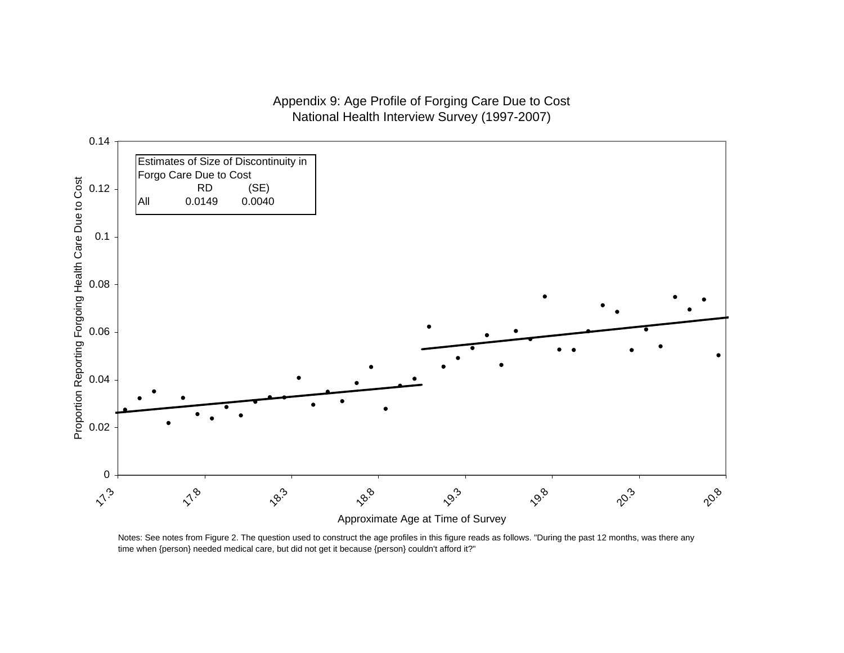## Appendix 9: Age Profile of Forging Care Due to Cost National Health Interview Survey (1997-2007)



Notes: See notes from Figure 2. The question used to construct the age profiles in this figure reads as follows. "During the past 12 months, was there any time when {person} needed medical care, but did not get it because {person} couldn't afford it?"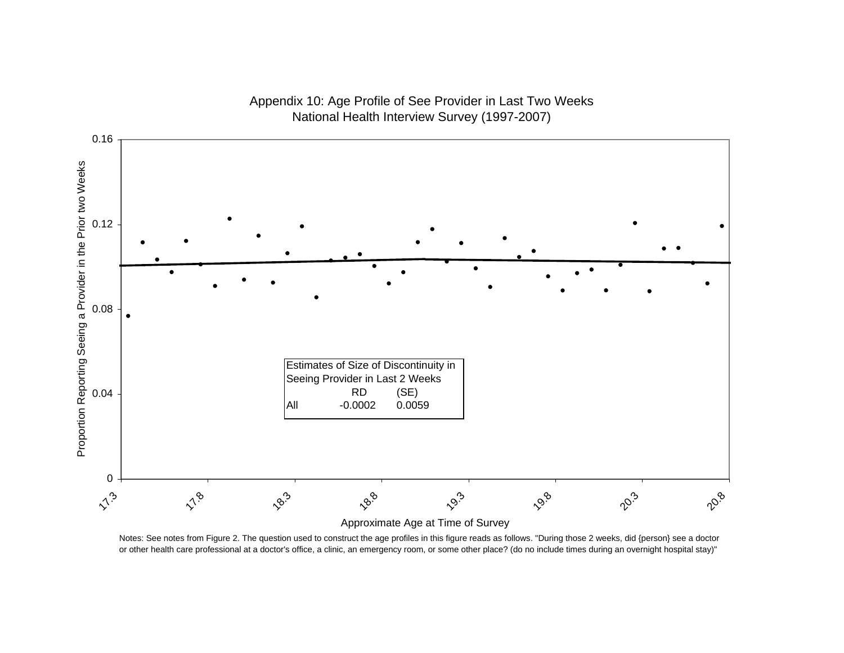

## Appendix 10: Age Profile of See Provider in Last Two Weeks National Health Interview Survey (1997-2007)

Notes: See notes from Figure 2. The question used to construct the age profiles in this figure reads as follows. "During those 2 weeks, did {person} see a doctor or other health care professional at a doctor's office, a clinic, an emergency room, or some other place? (do no include times during an overnight hospital stay)"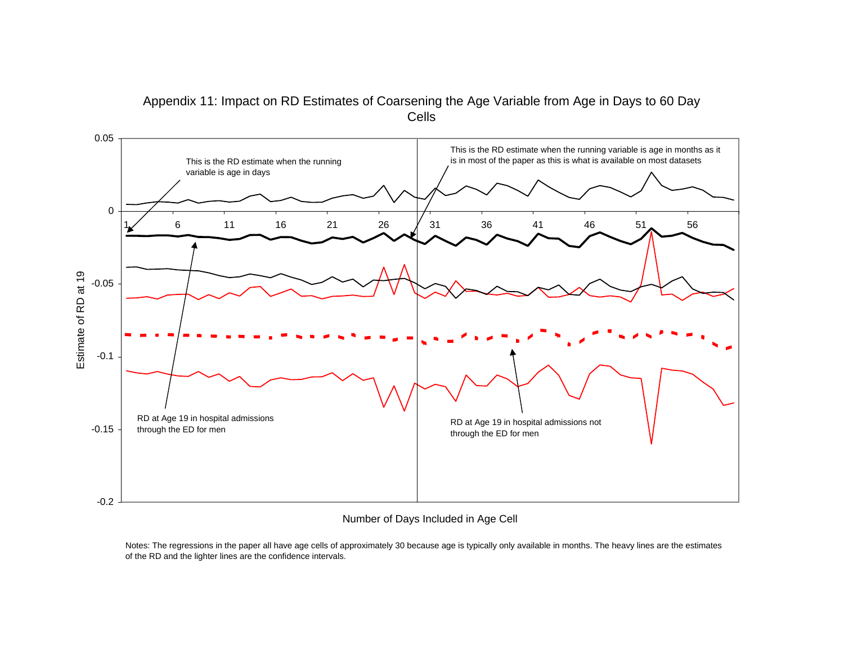

#### Appendix 11: Impact on RD Estimates of Coarsening the Age Variable from Age in Days to 60 Day Cells

Number of Days Included in Age Cell

Notes: The regressions in the paper all have age cells of approximately 30 because age is typically only available in months. The heavy lines are the estimates of the RD and the lighter lines are the confidence intervals.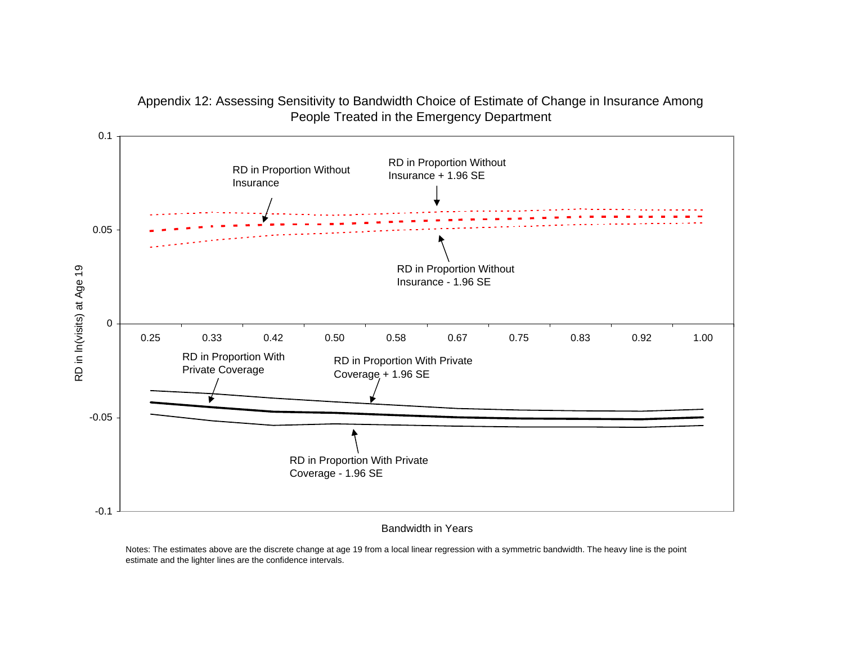

#### Appendix 12: Assessing Sensitivity to Bandwidth Choice of Estimate of Change in Insurance Among People Treated in the Emergency Department

Bandwidth in Years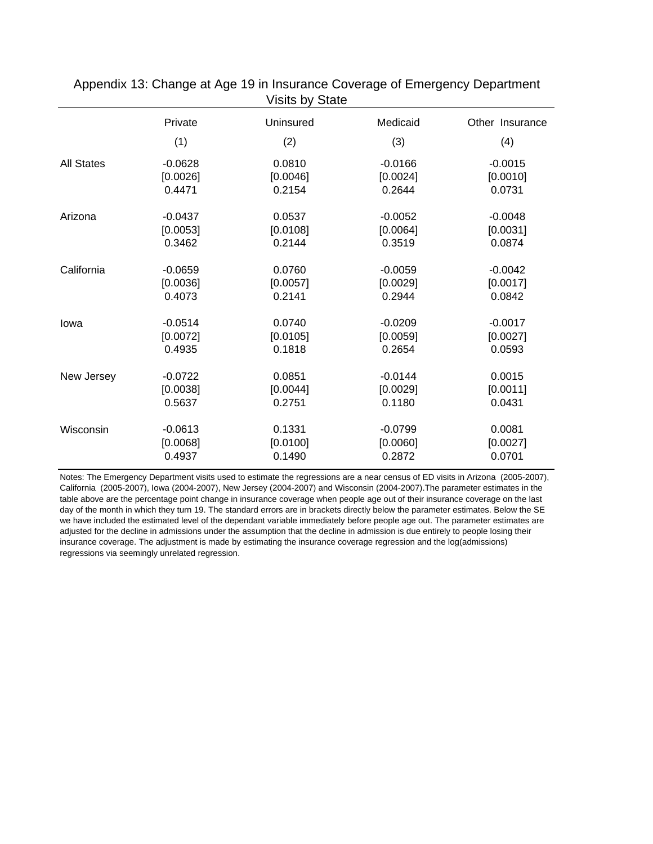|                   | Private   | Uninsured | Medicaid  | Other Insurance |
|-------------------|-----------|-----------|-----------|-----------------|
|                   | (1)       | (2)       | (3)       | (4)             |
| <b>All States</b> | $-0.0628$ | 0.0810    | $-0.0166$ | $-0.0015$       |
|                   | [0.0026]  | [0.0046]  | [0.0024]  | [0.0010]        |
|                   | 0.4471    | 0.2154    | 0.2644    | 0.0731          |
| Arizona           | $-0.0437$ | 0.0537    | $-0.0052$ | $-0.0048$       |
|                   | [0.0053]  | [0.0108]  | [0.0064]  | [0.0031]        |
|                   | 0.3462    | 0.2144    | 0.3519    | 0.0874          |
| California        | $-0.0659$ | 0.0760    | $-0.0059$ | $-0.0042$       |
|                   | [0.0036]  | [0.0057]  | [0.0029]  | [0.0017]        |
|                   | 0.4073    | 0.2141    | 0.2944    | 0.0842          |
| lowa              | $-0.0514$ | 0.0740    | $-0.0209$ | $-0.0017$       |
|                   | [0.0072]  | [0.0105]  | [0.0059]  | [0.0027]        |
|                   | 0.4935    | 0.1818    | 0.2654    | 0.0593          |
| New Jersey        | $-0.0722$ | 0.0851    | $-0.0144$ | 0.0015          |
|                   | [0.0038]  | [0.0044]  | [0.0029]  | [0.0011]        |
|                   | 0.5637    | 0.2751    | 0.1180    | 0.0431          |
| Wisconsin         | $-0.0613$ | 0.1331    | $-0.0799$ | 0.0081          |
|                   | [0.0068]  | [0.0100]  | [0.0060]  | [0.0027]        |
|                   | 0.4937    | 0.1490    | 0.2872    | 0.0701          |

Appendix 13: Change at Age 19 in Insurance Coverage of Emergency Department Visits by State

Notes: The Emergency Department visits used to estimate the regressions are a near census of ED visits in Arizona (2005-2007), California (2005-2007), Iowa (2004-2007), New Jersey (2004-2007) and Wisconsin (2004-2007).The parameter estimates in the table above are the percentage point change in insurance coverage when people age out of their insurance coverage on the last day of the month in which they turn 19. The standard errors are in brackets directly below the parameter estimates. Below the SE we have included the estimated level of the dependant variable immediately before people age out. The parameter estimates are adjusted for the decline in admissions under the assumption that the decline in admission is due entirely to people losing their insurance coverage. The adjustment is made by estimating the insurance coverage regression and the log(admissions) regressions via seemingly unrelated regression.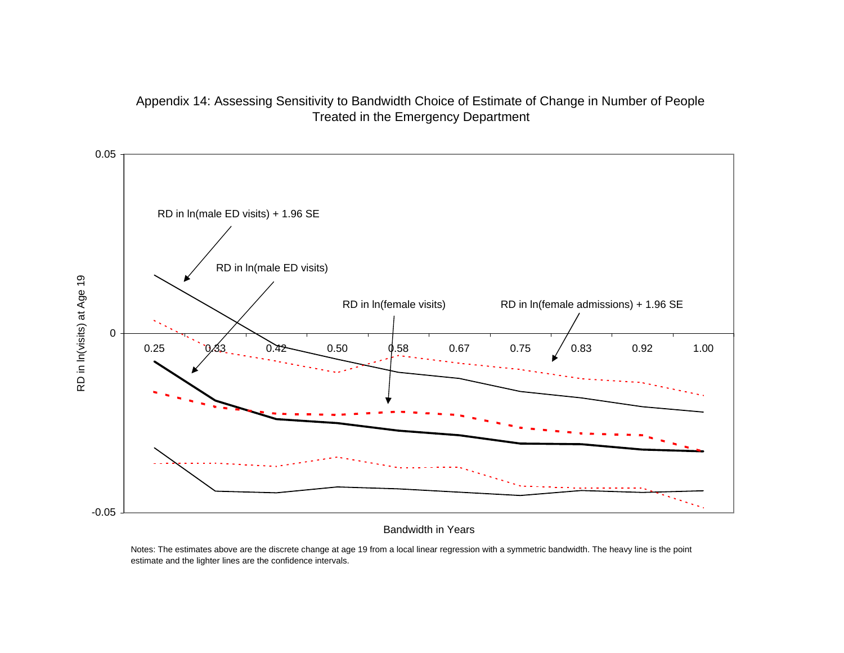



Bandwidth in Years

Notes: The estimates above are the discrete change at age 19 from a local linear regression with a symmetric bandwidth. The heavy line is the point estimate and the lighter lines are the confidence intervals.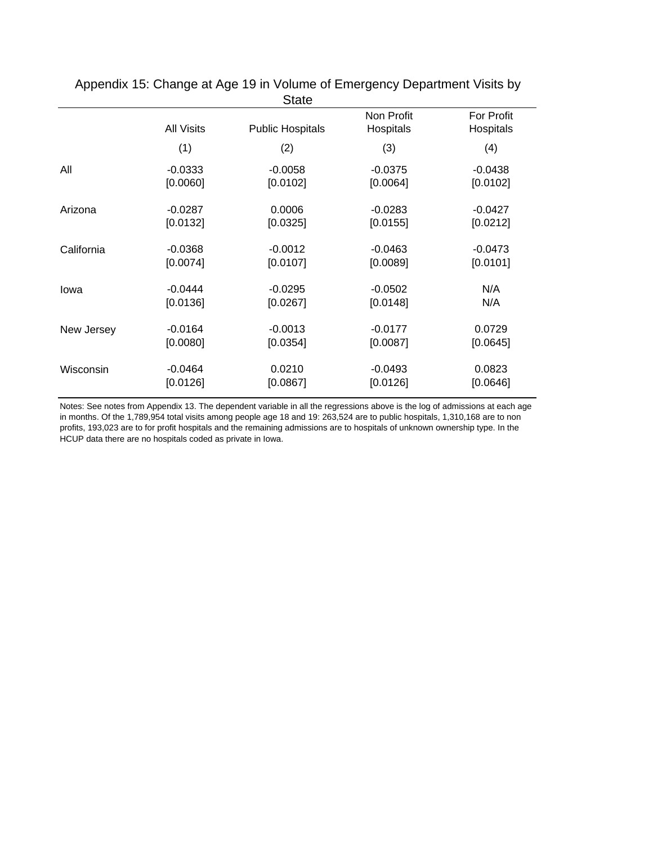|            |                   | <b>State</b>            |                         |                         |
|------------|-------------------|-------------------------|-------------------------|-------------------------|
|            | <b>All Visits</b> | <b>Public Hospitals</b> | Non Profit<br>Hospitals | For Profit<br>Hospitals |
|            | (1)               | (2)                     | (3)                     | (4)                     |
| All        | $-0.0333$         | $-0.0058$               | $-0.0375$               | $-0.0438$               |
|            | [0.0060]          | [0.0102]                | [0.0064]                | [0.0102]                |
| Arizona    | $-0.0287$         | 0.0006                  | $-0.0283$               | $-0.0427$               |
|            | [0.0132]          | [0.0325]                | [0.0155]                | [0.0212]                |
| California | $-0.0368$         | $-0.0012$               | $-0.0463$               | $-0.0473$               |
|            | [0.0074]          | [0.0107]                | [0.0089]                | [0.0101]                |
| lowa       | $-0.0444$         | $-0.0295$               | $-0.0502$               | N/A                     |
|            | [0.0136]          | [0.0267]                | [0.0148]                | N/A                     |
| New Jersey | $-0.0164$         | $-0.0013$               | $-0.0177$               | 0.0729                  |
|            | [0.0080]          | [0.0354]                | [0.0087]                | [0.0645]                |
| Wisconsin  | $-0.0464$         | 0.0210                  | $-0.0493$               | 0.0823                  |
|            | [0.0126]          | [0.0867]                | [0.0126]                | [0.0646]                |

Appendix 15: Change at Age 19 in Volume of Emergency Department Visits by

Notes: See notes from Appendix 13. The dependent variable in all the regressions above is the log of admissions at each age in months. Of the 1,789,954 total visits among people age 18 and 19: 263,524 are to public hospitals, 1,310,168 are to non profits, 193,023 are to for profit hospitals and the remaining admissions are to hospitals of unknown ownership type. In the HCUP data there are no hospitals coded as private in Iowa.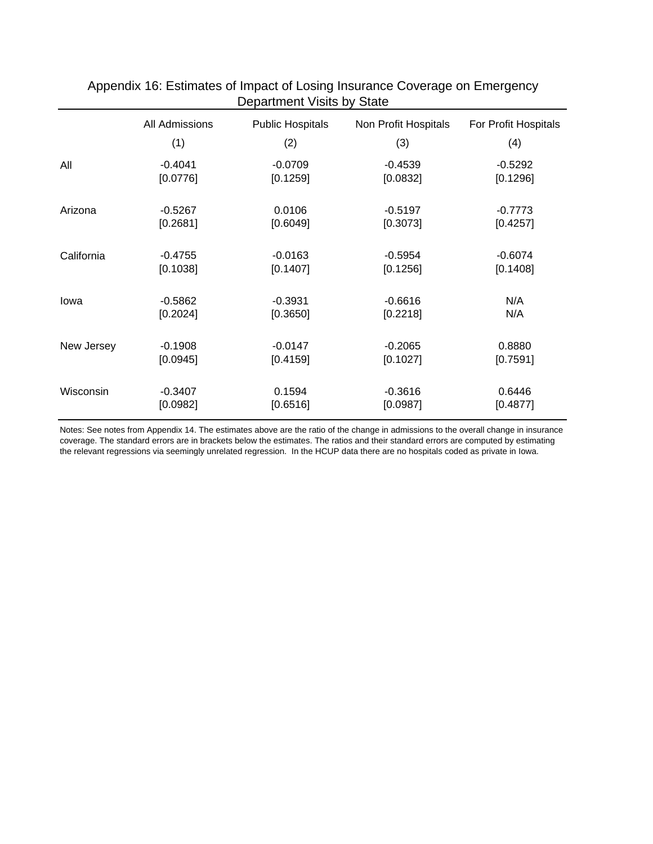|            | All Admissions        | <b>Public Hospitals</b> | Non Profit Hospitals  | For Profit Hospitals |
|------------|-----------------------|-------------------------|-----------------------|----------------------|
|            | (1)                   | (2)                     | (3)                   | (4)                  |
| All        | $-0.4041$             | $-0.0709$               | $-0.4539$             | $-0.5292$            |
|            | [0.0776]              | [0.1259]                | [0.0832]              | [0.1296]             |
| Arizona    | $-0.5267$             | 0.0106                  | $-0.5197$             | $-0.7773$            |
|            | [0.2681]              | [0.6049]                | [0.3073]              | [0.4257]             |
| California | $-0.4755$             | $-0.0163$               | $-0.5954$             | $-0.6074$            |
|            | [0.1038]              | [0.1407]                | [0.1256]              | [0.1408]             |
| lowa       | $-0.5862$             | $-0.3931$               | $-0.6616$             | N/A                  |
|            | [0.2024]              | [0.3650]                | [0.2218]              | N/A                  |
| New Jersey | $-0.1908$             | $-0.0147$               | $-0.2065$             | 0.8880               |
|            | [0.0945]              | [0.4159]                | [0.1027]              | [0.7591]             |
|            |                       |                         |                       |                      |
| Wisconsin  | $-0.3407$<br>[0.0982] | 0.1594<br>[0.6516]      | $-0.3616$<br>[0.0987] | 0.6446<br>[0.4877]   |
|            |                       |                         |                       |                      |

# Appendix 16: Estimates of Impact of Losing Insurance Coverage on Emergency Department Visits by State

Notes: See notes from Appendix 14. The estimates above are the ratio of the change in admissions to the overall change in insurance coverage. The standard errors are in brackets below the estimates. The ratios and their standard errors are computed by estimating the relevant regressions via seemingly unrelated regression. In the HCUP data there are no hospitals coded as private in Iowa.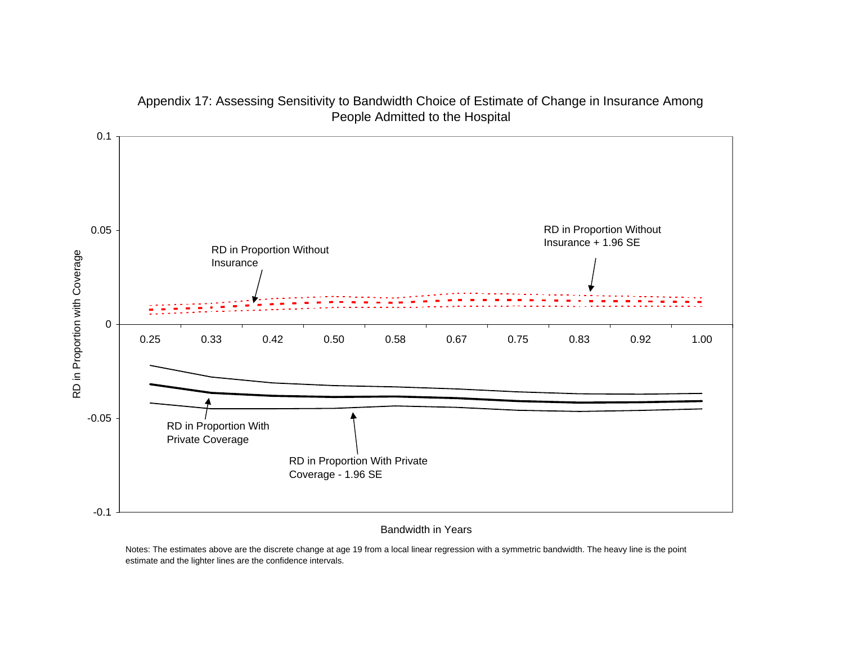

#### Appendix 17: Assessing Sensitivity to Bandwidth Choice of Estimate of Change in Insurance Among People Admitted to the Hospital

#### Bandwidth in Years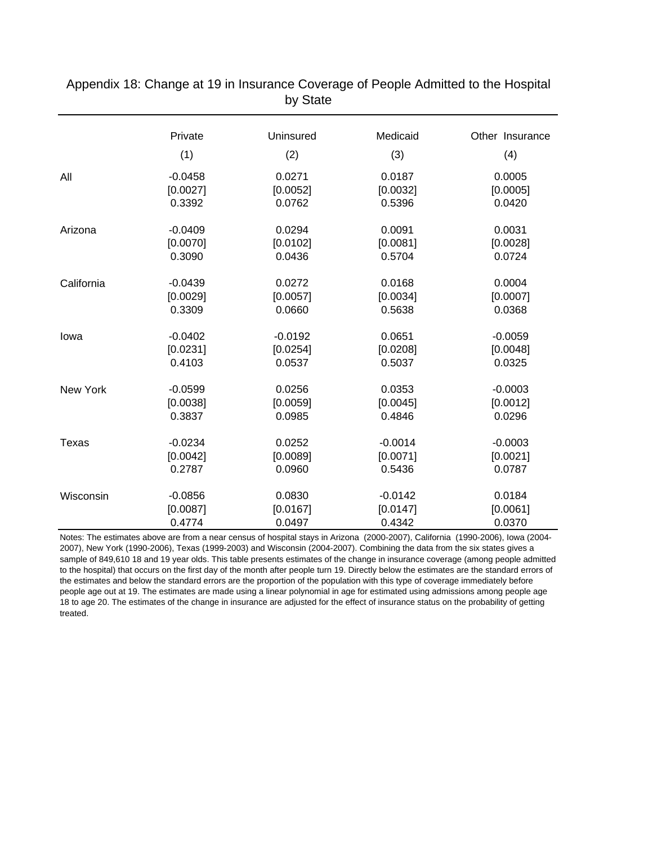|                 | Private   | Uninsured | Medicaid  | Other Insurance |
|-----------------|-----------|-----------|-----------|-----------------|
|                 | (1)       | (2)       | (3)       | (4)             |
| All             | $-0.0458$ | 0.0271    | 0.0187    | 0.0005          |
|                 | [0.0027]  | [0.0052]  | [0.0032]  | [0.0005]        |
|                 | 0.3392    | 0.0762    | 0.5396    | 0.0420          |
| Arizona         | $-0.0409$ | 0.0294    | 0.0091    | 0.0031          |
|                 | [0.0070]  | [0.0102]  | [0.0081]  | [0.0028]        |
|                 | 0.3090    | 0.0436    | 0.5704    | 0.0724          |
| California      | $-0.0439$ | 0.0272    | 0.0168    | 0.0004          |
|                 | [0.0029]  | [0.0057]  | [0.0034]  | [0.0007]        |
|                 | 0.3309    | 0.0660    | 0.5638    | 0.0368          |
| lowa            | $-0.0402$ | $-0.0192$ | 0.0651    | $-0.0059$       |
|                 | [0.0231]  | [0.0254]  | [0.0208]  | [0.0048]        |
|                 | 0.4103    | 0.0537    | 0.5037    | 0.0325          |
| <b>New York</b> | $-0.0599$ | 0.0256    | 0.0353    | $-0.0003$       |
|                 | [0.0038]  | [0.0059]  | [0.0045]  | [0.0012]        |
|                 | 0.3837    | 0.0985    | 0.4846    | 0.0296          |
| Texas           | $-0.0234$ | 0.0252    | $-0.0014$ | $-0.0003$       |
|                 | [0.0042]  | [0.0089]  | [0.0071]  | [0.0021]        |
|                 | 0.2787    | 0.0960    | 0.5436    | 0.0787          |
| Wisconsin       | $-0.0856$ | 0.0830    | $-0.0142$ | 0.0184          |
|                 | [0.0087]  | [0.0167]  | [0.0147]  | [0.0061]        |
|                 | 0.4774    | 0.0497    | 0.4342    | 0.0370          |

Appendix 18: Change at 19 in Insurance Coverage of People Admitted to the Hospital by State

Notes: The estimates above are from a near census of hospital stays in Arizona (2000-2007), California (1990-2006), Iowa (2004- 2007), New York (1990-2006), Texas (1999-2003) and Wisconsin (2004-2007). Combining the data from the six states gives a sample of 849,610 18 and 19 year olds. This table presents estimates of the change in insurance coverage (among people admitted to the hospital) that occurs on the first day of the month after people turn 19. Directly below the estimates are the standard errors of the estimates and below the standard errors are the proportion of the population with this type of coverage immediately before people age out at 19. The estimates are made using a linear polynomial in age for estimated using admissions among people age 18 to age 20. The estimates of the change in insurance are adjusted for the effect of insurance status on the probability of getting treated.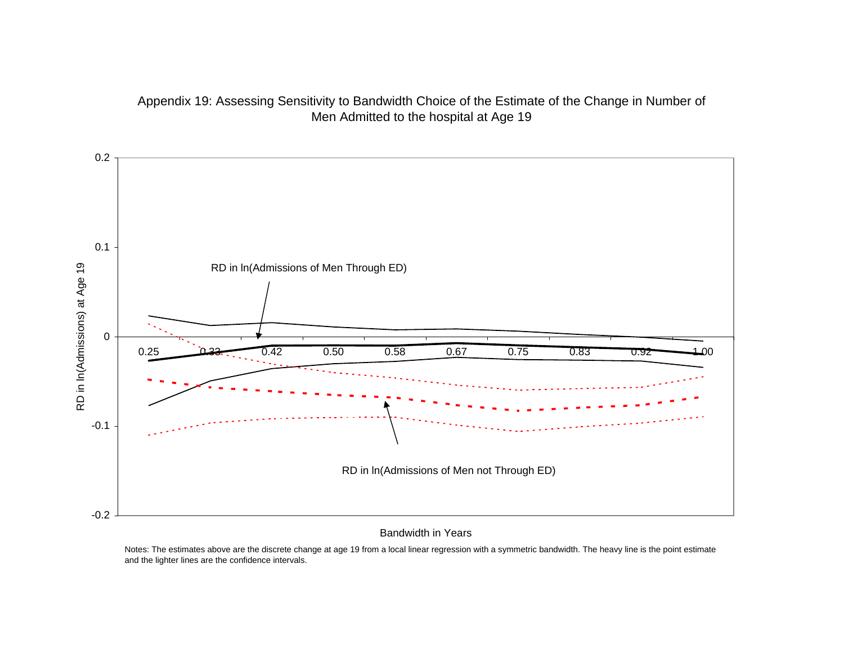



#### Bandwidth in Years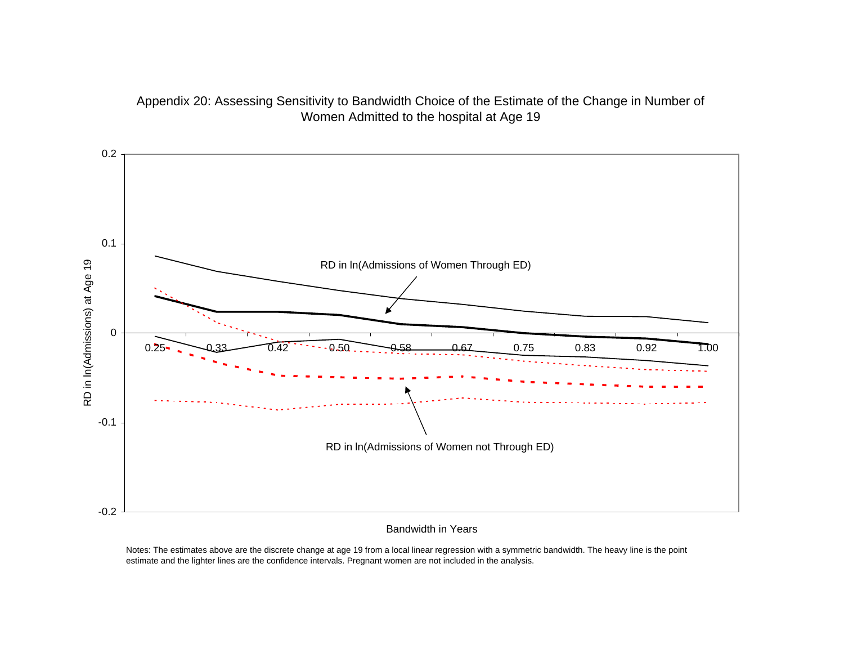



#### Bandwidth in Years

Notes: The estimates above are the discrete change at age 19 from a local linear regression with a symmetric bandwidth. The heavy line is the point estimate and the lighter lines are the confidence intervals. Pregnant women are not included in the analysis.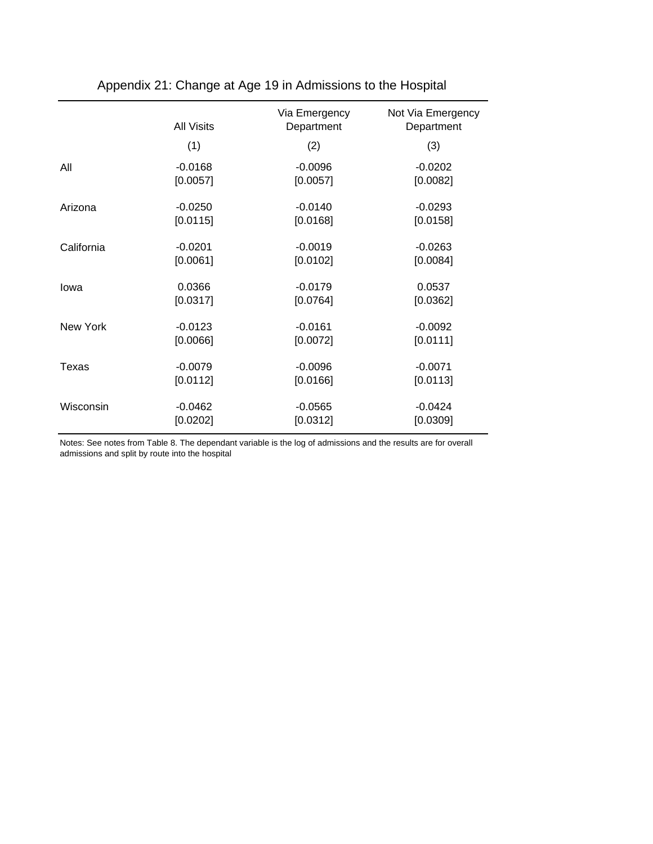|            | <b>All Visits</b> | Via Emergency<br>Department | Not Via Emergency<br>Department |
|------------|-------------------|-----------------------------|---------------------------------|
|            | (1)               | (2)                         | (3)                             |
| All        | $-0.0168$         | $-0.0096$                   | $-0.0202$                       |
|            | [0.0057]          | [0.0057]                    | [0.0082]                        |
| Arizona    | $-0.0250$         | $-0.0140$                   | $-0.0293$                       |
|            | [0.0115]          | [0.0168]                    | [0.0158]                        |
| California | $-0.0201$         | $-0.0019$                   | $-0.0263$                       |
|            | [0.0061]          | [0.0102]                    | [0.0084]                        |
| lowa       | 0.0366            | $-0.0179$                   | 0.0537                          |
|            | [0.0317]          | [0.0764]                    | [0.0362]                        |
| New York   | $-0.0123$         | $-0.0161$                   | $-0.0092$                       |
|            | [0.0066]          | [0.0072]                    | [0.0111]                        |
| Texas      | $-0.0079$         | $-0.0096$                   | $-0.0071$                       |
|            | [0.0112]          | [0.0166]                    | [0.0113]                        |
| Wisconsin  | $-0.0462$         | $-0.0565$                   | $-0.0424$                       |
|            | [0.0202]          | [0.0312]                    | [0.0309]                        |

# Appendix 21: Change at Age 19 in Admissions to the Hospital

Notes: See notes from Table 8. The dependant variable is the log of admissions and the results are for overall admissions and split by route into the hospital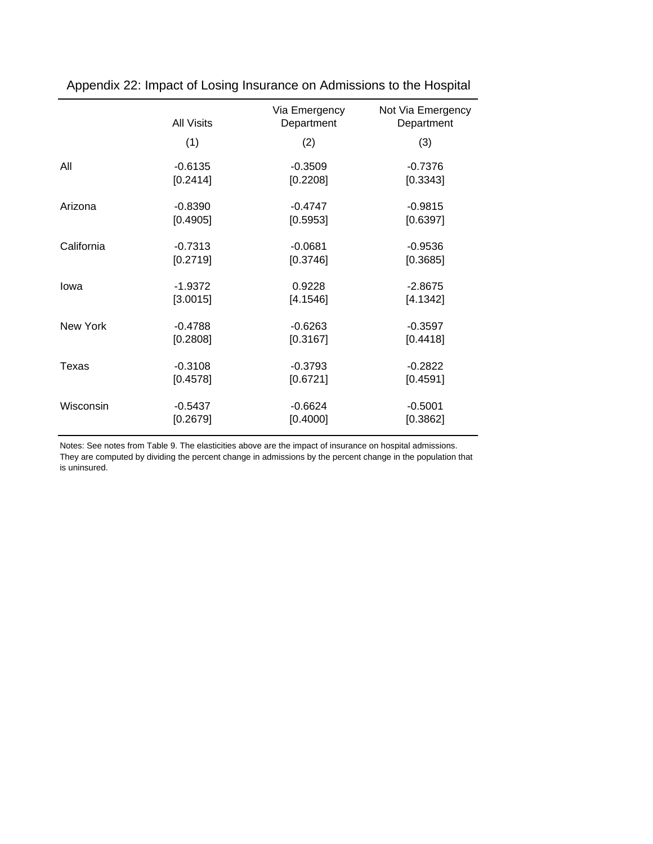|            | <b>All Visits</b> | Via Emergency<br>Department | Not Via Emergency<br>Department |
|------------|-------------------|-----------------------------|---------------------------------|
|            | (1)               | (2)                         | (3)                             |
| All        | $-0.6135$         | $-0.3509$                   | $-0.7376$                       |
|            | [0.2414]          | [0.2208]                    | [0.3343]                        |
| Arizona    | $-0.8390$         | $-0.4747$                   | $-0.9815$                       |
|            | [0.4905]          | [0.5953]                    | [0.6397]                        |
| California | $-0.7313$         | $-0.0681$                   | $-0.9536$                       |
|            | [0.2719]          | [0.3746]                    | [0.3685]                        |
| lowa       | $-1.9372$         | 0.9228                      | $-2.8675$                       |
|            | [3.0015]          | [4.1546]                    | [4.1342]                        |
| New York   | $-0.4788$         | $-0.6263$                   | $-0.3597$                       |
|            | [0.2808]          | [0.3167]                    | [0.4418]                        |
| Texas      | $-0.3108$         | $-0.3793$                   | $-0.2822$                       |
|            | [0.4578]          | [0.6721]                    | [0.4591]                        |
| Wisconsin  | $-0.5437$         | $-0.6624$                   | $-0.5001$                       |
|            | [0.2679]          | [0.4000]                    | [0.3862]                        |

Appendix 22: Impact of Losing Insurance on Admissions to the Hospital

Notes: See notes from Table 9. The elasticities above are the impact of insurance on hospital admissions. They are computed by dividing the percent change in admissions by the percent change in the population that is uninsured.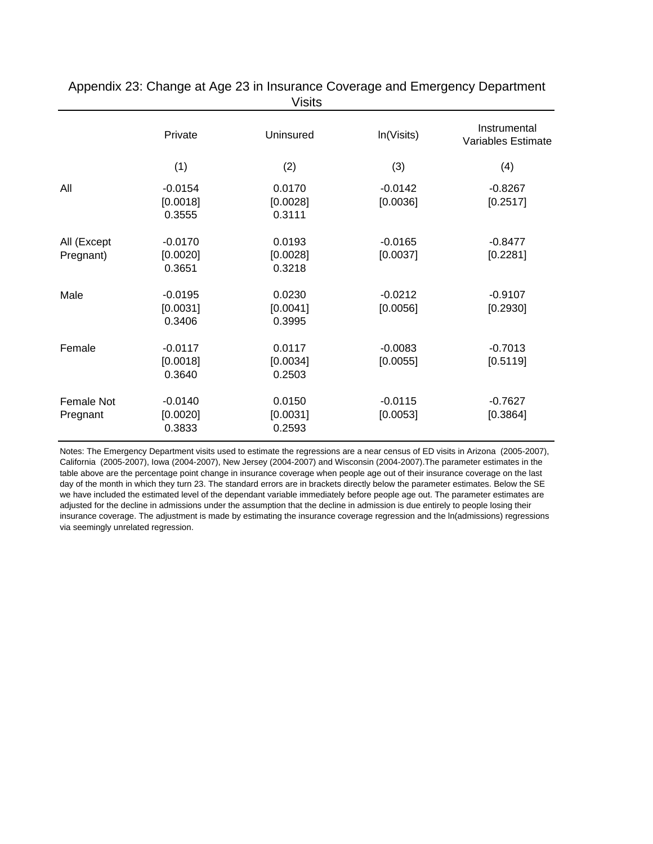|                          |                                 | ៴ ៲៴៲៶៴                      |                       |                                    |
|--------------------------|---------------------------------|------------------------------|-----------------------|------------------------------------|
|                          | Private                         | Uninsured                    | In(Visits)            | Instrumental<br>Variables Estimate |
|                          | (1)                             | (2)                          | (3)                   | (4)                                |
| All                      | $-0.0154$<br>[0.0018]<br>0.3555 | 0.0170<br>[0.0028]<br>0.3111 | $-0.0142$<br>[0.0036] | $-0.8267$<br>[0.2517]              |
| All (Except<br>Pregnant) | $-0.0170$<br>[0.0020]<br>0.3651 | 0.0193<br>[0.0028]<br>0.3218 | $-0.0165$<br>[0.0037] | $-0.8477$<br>[0.2281]              |
| Male                     | $-0.0195$<br>[0.0031]<br>0.3406 | 0.0230<br>[0.0041]<br>0.3995 | $-0.0212$<br>[0.0056] | $-0.9107$<br>[0.2930]              |
| Female                   | $-0.0117$<br>[0.0018]<br>0.3640 | 0.0117<br>[0.0034]<br>0.2503 | $-0.0083$<br>[0.0055] | $-0.7013$<br>[0.5119]              |
| Female Not<br>Pregnant   | $-0.0140$<br>[0.0020]<br>0.3833 | 0.0150<br>[0.0031]<br>0.2593 | $-0.0115$<br>[0.0053] | $-0.7627$<br>[0.3864]              |

Appendix 23: Change at Age 23 in Insurance Coverage and Emergency Department Visits

Notes: The Emergency Department visits used to estimate the regressions are a near census of ED visits in Arizona (2005-2007), California (2005-2007), Iowa (2004-2007), New Jersey (2004-2007) and Wisconsin (2004-2007).The parameter estimates in the table above are the percentage point change in insurance coverage when people age out of their insurance coverage on the last day of the month in which they turn 23. The standard errors are in brackets directly below the parameter estimates. Below the SE we have included the estimated level of the dependant variable immediately before people age out. The parameter estimates are adjusted for the decline in admissions under the assumption that the decline in admission is due entirely to people losing their insurance coverage. The adjustment is made by estimating the insurance coverage regression and the ln(admissions) regressions via seemingly unrelated regression.